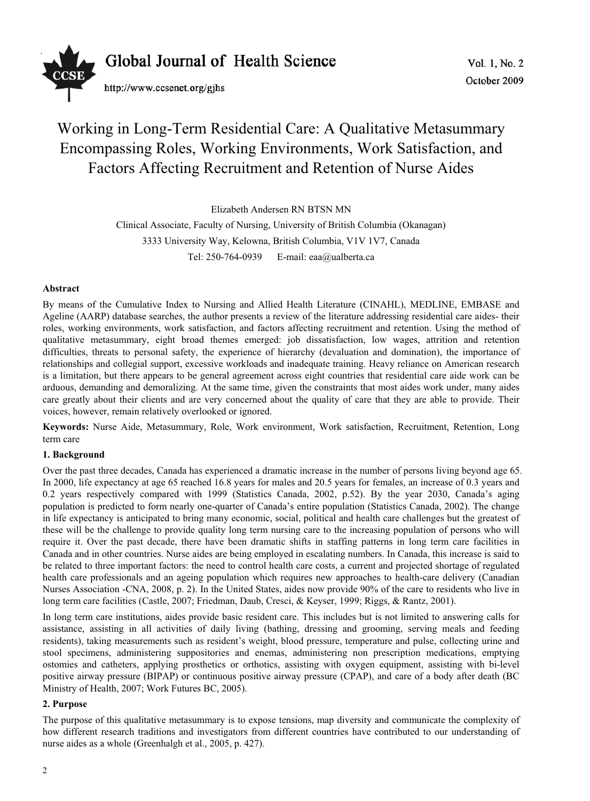

# Working in Long-Term Residential Care: A Qualitative Metasummary Encompassing Roles, Working Environments, Work Satisfaction, and Factors Affecting Recruitment and Retention of Nurse Aides

Elizabeth Andersen RN BTSN MN

Clinical Associate, Faculty of Nursing, University of British Columbia (Okanagan) 3333 University Way, Kelowna, British Columbia, V1V 1V7, Canada Tel: 250-764-0939 E-mail: eaa@ualberta.ca

# **Abstract**

By means of the Cumulative Index to Nursing and Allied Health Literature (CINAHL), MEDLINE, EMBASE and Ageline (AARP) database searches, the author presents a review of the literature addressing residential care aides- their roles, working environments, work satisfaction, and factors affecting recruitment and retention. Using the method of qualitative metasummary, eight broad themes emerged: job dissatisfaction, low wages, attrition and retention difficulties, threats to personal safety, the experience of hierarchy (devaluation and domination), the importance of relationships and collegial support, excessive workloads and inadequate training. Heavy reliance on American research is a limitation, but there appears to be general agreement across eight countries that residential care aide work can be arduous, demanding and demoralizing. At the same time, given the constraints that most aides work under, many aides care greatly about their clients and are very concerned about the quality of care that they are able to provide. Their voices, however, remain relatively overlooked or ignored.

**Keywords:** Nurse Aide, Metasummary, Role, Work environment, Work satisfaction, Recruitment, Retention, Long term care

# **1. Background**

Over the past three decades, Canada has experienced a dramatic increase in the number of persons living beyond age 65. In 2000, life expectancy at age 65 reached 16.8 years for males and 20.5 years for females, an increase of 0.3 years and 0.2 years respectively compared with 1999 (Statistics Canada, 2002, p.52). By the year 2030, Canada's aging population is predicted to form nearly one-quarter of Canada's entire population (Statistics Canada, 2002). The change in life expectancy is anticipated to bring many economic, social, political and health care challenges but the greatest of these will be the challenge to provide quality long term nursing care to the increasing population of persons who will require it. Over the past decade, there have been dramatic shifts in staffing patterns in long term care facilities in Canada and in other countries. Nurse aides are being employed in escalating numbers. In Canada, this increase is said to be related to three important factors: the need to control health care costs, a current and projected shortage of regulated health care professionals and an ageing population which requires new approaches to health-care delivery (Canadian Nurses Association -CNA, 2008, p. 2). In the United States, aides now provide 90% of the care to residents who live in long term care facilities (Castle, 2007; Friedman, Daub, Cresci, & Keyser, 1999; Riggs, & Rantz, 2001).

In long term care institutions, aides provide basic resident care. This includes but is not limited to answering calls for assistance, assisting in all activities of daily living (bathing, dressing and grooming, serving meals and feeding residents), taking measurements such as resident's weight, blood pressure, temperature and pulse, collecting urine and stool specimens, administering suppositories and enemas, administering non prescription medications, emptying ostomies and catheters, applying prosthetics or orthotics, assisting with oxygen equipment, assisting with bi-level positive airway pressure (BIPAP) or continuous positive airway pressure (CPAP), and care of a body after death (BC Ministry of Health, 2007; Work Futures BC, 2005).

# **2. Purpose**

The purpose of this qualitative metasummary is to expose tensions, map diversity and communicate the complexity of how different research traditions and investigators from different countries have contributed to our understanding of nurse aides as a whole (Greenhalgh et al., 2005, p. 427).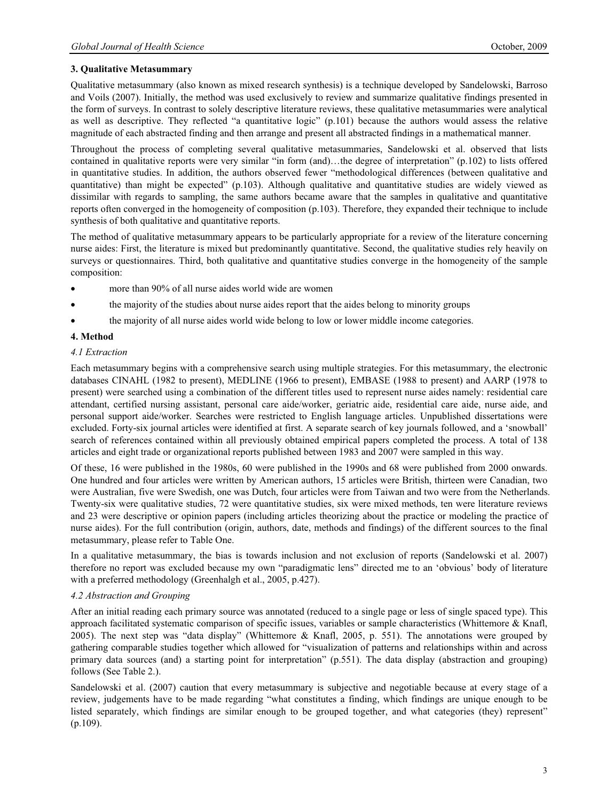# **3. Qualitative Metasummary**

Qualitative metasummary (also known as mixed research synthesis) is a technique developed by Sandelowski, Barroso and Voils (2007). Initially, the method was used exclusively to review and summarize qualitative findings presented in the form of surveys. In contrast to solely descriptive literature reviews, these qualitative metasummaries were analytical as well as descriptive. They reflected "a quantitative logic" (p.101) because the authors would assess the relative magnitude of each abstracted finding and then arrange and present all abstracted findings in a mathematical manner.

Throughout the process of completing several qualitative metasummaries, Sandelowski et al. observed that lists contained in qualitative reports were very similar "in form (and)…the degree of interpretation" (p.102) to lists offered in quantitative studies. In addition, the authors observed fewer "methodological differences (between qualitative and quantitative) than might be expected" (p.103). Although qualitative and quantitative studies are widely viewed as dissimilar with regards to sampling, the same authors became aware that the samples in qualitative and quantitative reports often converged in the homogeneity of composition (p.103). Therefore, they expanded their technique to include synthesis of both qualitative and quantitative reports.

The method of qualitative metasummary appears to be particularly appropriate for a review of the literature concerning nurse aides: First, the literature is mixed but predominantly quantitative. Second, the qualitative studies rely heavily on surveys or questionnaires. Third, both qualitative and quantitative studies converge in the homogeneity of the sample composition:

- more than 90% of all nurse aides world wide are women
- x the majority of the studies about nurse aides report that the aides belong to minority groups
- the majority of all nurse aides world wide belong to low or lower middle income categories.

# **4. Method**

#### *4.1 Extraction*

Each metasummary begins with a comprehensive search using multiple strategies. For this metasummary, the electronic databases CINAHL (1982 to present), MEDLINE (1966 to present), EMBASE (1988 to present) and AARP (1978 to present) were searched using a combination of the different titles used to represent nurse aides namely: residential care attendant, certified nursing assistant, personal care aide/worker, geriatric aide, residential care aide, nurse aide, and personal support aide/worker. Searches were restricted to English language articles. Unpublished dissertations were excluded. Forty-six journal articles were identified at first. A separate search of key journals followed, and a 'snowball' search of references contained within all previously obtained empirical papers completed the process. A total of 138 articles and eight trade or organizational reports published between 1983 and 2007 were sampled in this way.

Of these, 16 were published in the 1980s, 60 were published in the 1990s and 68 were published from 2000 onwards. One hundred and four articles were written by American authors, 15 articles were British, thirteen were Canadian, two were Australian, five were Swedish, one was Dutch, four articles were from Taiwan and two were from the Netherlands. Twenty-six were qualitative studies, 72 were quantitative studies, six were mixed methods, ten were literature reviews and 23 were descriptive or opinion papers (including articles theorizing about the practice or modeling the practice of nurse aides). For the full contribution (origin, authors, date, methods and findings) of the different sources to the final metasummary, please refer to Table One.

In a qualitative metasummary, the bias is towards inclusion and not exclusion of reports (Sandelowski et al. 2007) therefore no report was excluded because my own "paradigmatic lens" directed me to an 'obvious' body of literature with a preferred methodology (Greenhalgh et al., 2005, p.427).

# *4.2 Abstraction and Grouping*

After an initial reading each primary source was annotated (reduced to a single page or less of single spaced type). This approach facilitated systematic comparison of specific issues, variables or sample characteristics (Whittemore  $\&$  Knafl, 2005). The next step was "data display" (Whittemore & Knafl, 2005, p. 551). The annotations were grouped by gathering comparable studies together which allowed for "visualization of patterns and relationships within and across primary data sources (and) a starting point for interpretation" (p.551). The data display (abstraction and grouping) follows (See Table 2.).

Sandelowski et al. (2007) caution that every metasummary is subjective and negotiable because at every stage of a review, judgements have to be made regarding "what constitutes a finding, which findings are unique enough to be listed separately, which findings are similar enough to be grouped together, and what categories (they) represent" (p.109).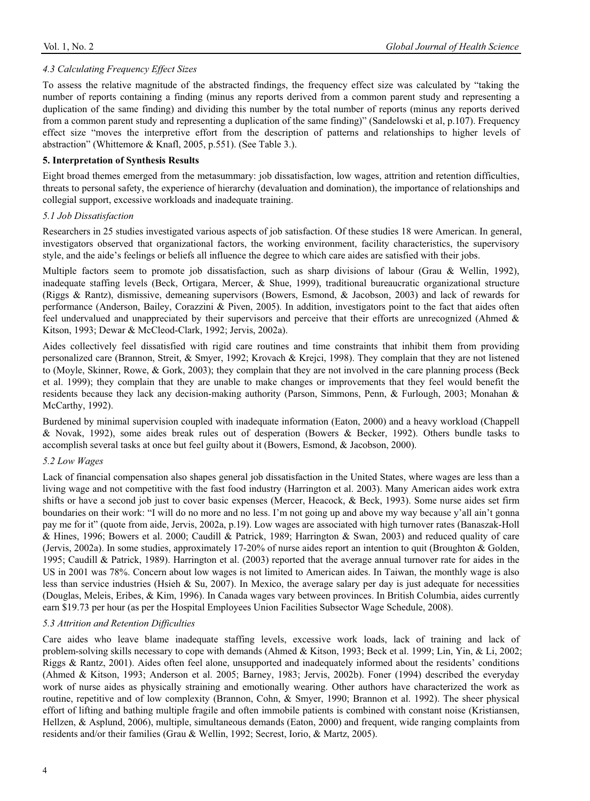#### *4.3 Calculating Frequency Effect Sizes*

To assess the relative magnitude of the abstracted findings, the frequency effect size was calculated by "taking the number of reports containing a finding (minus any reports derived from a common parent study and representing a duplication of the same finding) and dividing this number by the total number of reports (minus any reports derived from a common parent study and representing a duplication of the same finding)" (Sandelowski et al, p.107). Frequency effect size "moves the interpretive effort from the description of patterns and relationships to higher levels of abstraction" (Whittemore & Knafl, 2005, p.551). (See Table 3.).

#### **5. Interpretation of Synthesis Results**

Eight broad themes emerged from the metasummary: job dissatisfaction, low wages, attrition and retention difficulties, threats to personal safety, the experience of hierarchy (devaluation and domination), the importance of relationships and collegial support, excessive workloads and inadequate training.

#### *5.1 Job Dissatisfaction*

Researchers in 25 studies investigated various aspects of job satisfaction. Of these studies 18 were American. In general, investigators observed that organizational factors, the working environment, facility characteristics, the supervisory style, and the aide's feelings or beliefs all influence the degree to which care aides are satisfied with their jobs.

Multiple factors seem to promote job dissatisfaction, such as sharp divisions of labour (Grau & Wellin, 1992), inadequate staffing levels (Beck, Ortigara, Mercer, & Shue, 1999), traditional bureaucratic organizational structure (Riggs & Rantz), dismissive, demeaning supervisors (Bowers, Esmond, & Jacobson, 2003) and lack of rewards for performance (Anderson, Bailey, Corazzini & Piven, 2005). In addition, investigators point to the fact that aides often feel undervalued and unappreciated by their supervisors and perceive that their efforts are unrecognized (Ahmed & Kitson, 1993; Dewar & McCleod-Clark, 1992; Jervis, 2002a).

Aides collectively feel dissatisfied with rigid care routines and time constraints that inhibit them from providing personalized care (Brannon, Streit, & Smyer, 1992; Krovach & Krejci, 1998). They complain that they are not listened to (Moyle, Skinner, Rowe, & Gork, 2003); they complain that they are not involved in the care planning process (Beck et al. 1999); they complain that they are unable to make changes or improvements that they feel would benefit the residents because they lack any decision-making authority (Parson, Simmons, Penn, & Furlough, 2003; Monahan & McCarthy, 1992).

Burdened by minimal supervision coupled with inadequate information (Eaton, 2000) and a heavy workload (Chappell & Novak, 1992), some aides break rules out of desperation (Bowers & Becker, 1992). Others bundle tasks to accomplish several tasks at once but feel guilty about it (Bowers, Esmond, & Jacobson, 2000).

#### *5.2 Low Wages*

Lack of financial compensation also shapes general job dissatisfaction in the United States, where wages are less than a living wage and not competitive with the fast food industry (Harrington et al. 2003). Many American aides work extra shifts or have a second job just to cover basic expenses (Mercer, Heacock, & Beck, 1993). Some nurse aides set firm boundaries on their work: "I will do no more and no less. I'm not going up and above my way because y'all ain't gonna pay me for it" (quote from aide, Jervis, 2002a, p.19). Low wages are associated with high turnover rates (Banaszak-Holl & Hines, 1996; Bowers et al. 2000; Caudill & Patrick, 1989; Harrington & Swan, 2003) and reduced quality of care (Jervis, 2002a). In some studies, approximately 17-20% of nurse aides report an intention to quit (Broughton & Golden, 1995; Caudill & Patrick, 1989). Harrington et al. (2003) reported that the average annual turnover rate for aides in the US in 2001 was 78%. Concern about low wages is not limited to American aides. In Taiwan, the monthly wage is also less than service industries (Hsieh & Su, 2007). In Mexico, the average salary per day is just adequate for necessities (Douglas, Meleis, Eribes, & Kim, 1996). In Canada wages vary between provinces. In British Columbia, aides currently earn \$19.73 per hour (as per the Hospital Employees Union Facilities Subsector Wage Schedule, 2008).

#### *5.3 Attrition and Retention Difficulties*

Care aides who leave blame inadequate staffing levels, excessive work loads, lack of training and lack of problem-solving skills necessary to cope with demands (Ahmed & Kitson, 1993; Beck et al. 1999; Lin, Yin, & Li, 2002; Riggs & Rantz, 2001). Aides often feel alone, unsupported and inadequately informed about the residents' conditions (Ahmed & Kitson, 1993; Anderson et al. 2005; Barney, 1983; Jervis, 2002b). Foner (1994) described the everyday work of nurse aides as physically straining and emotionally wearing. Other authors have characterized the work as routine, repetitive and of low complexity (Brannon, Cohn, & Smyer, 1990; Brannon et al. 1992). The sheer physical effort of lifting and bathing multiple fragile and often immobile patients is combined with constant noise (Kristiansen, Hellzen, & Asplund, 2006), multiple, simultaneous demands (Eaton, 2000) and frequent, wide ranging complaints from residents and/or their families (Grau & Wellin, 1992; Secrest, Iorio, & Martz, 2005).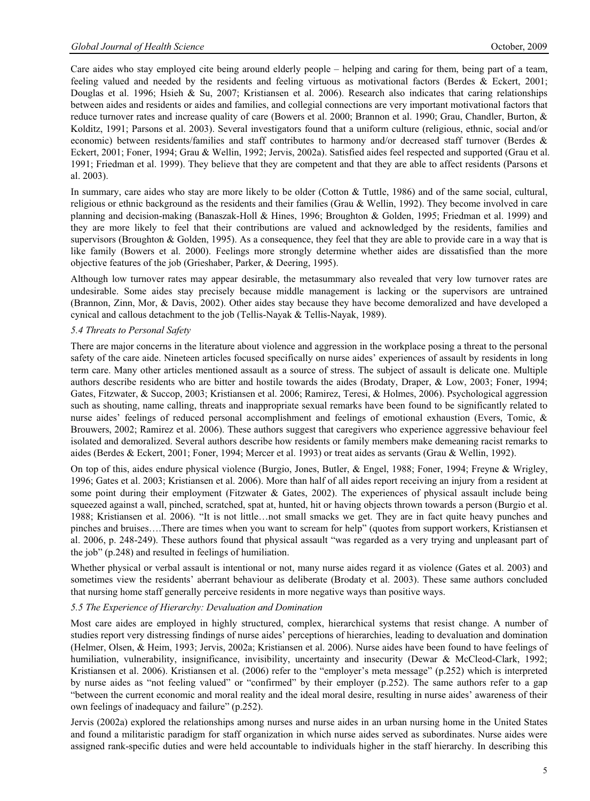Care aides who stay employed cite being around elderly people – helping and caring for them, being part of a team, feeling valued and needed by the residents and feeling virtuous as motivational factors (Berdes & Eckert, 2001; Douglas et al. 1996; Hsieh & Su, 2007; Kristiansen et al. 2006). Research also indicates that caring relationships between aides and residents or aides and families, and collegial connections are very important motivational factors that reduce turnover rates and increase quality of care (Bowers et al. 2000; Brannon et al. 1990; Grau, Chandler, Burton, & Kolditz, 1991; Parsons et al. 2003). Several investigators found that a uniform culture (religious, ethnic, social and/or economic) between residents/families and staff contributes to harmony and/or decreased staff turnover (Berdes & Eckert, 2001; Foner, 1994; Grau & Wellin, 1992; Jervis, 2002a). Satisfied aides feel respected and supported (Grau et al. 1991; Friedman et al. 1999). They believe that they are competent and that they are able to affect residents (Parsons et al. 2003).

In summary, care aides who stay are more likely to be older (Cotton & Tuttle, 1986) and of the same social, cultural, religious or ethnic background as the residents and their families (Grau & Wellin, 1992). They become involved in care planning and decision-making (Banaszak-Holl & Hines, 1996; Broughton & Golden, 1995; Friedman et al. 1999) and they are more likely to feel that their contributions are valued and acknowledged by the residents, families and supervisors (Broughton & Golden, 1995). As a consequence, they feel that they are able to provide care in a way that is like family (Bowers et al. 2000). Feelings more strongly determine whether aides are dissatisfied than the more objective features of the job (Grieshaber, Parker, & Deering, 1995).

Although low turnover rates may appear desirable, the metasummary also revealed that very low turnover rates are undesirable. Some aides stay precisely because middle management is lacking or the supervisors are untrained (Brannon, Zinn, Mor, & Davis, 2002). Other aides stay because they have become demoralized and have developed a cynical and callous detachment to the job (Tellis-Nayak & Tellis-Nayak, 1989).

#### *5.4 Threats to Personal Safety*

There are major concerns in the literature about violence and aggression in the workplace posing a threat to the personal safety of the care aide. Nineteen articles focused specifically on nurse aides' experiences of assault by residents in long term care. Many other articles mentioned assault as a source of stress. The subject of assault is delicate one. Multiple authors describe residents who are bitter and hostile towards the aides (Brodaty, Draper, & Low, 2003; Foner, 1994; Gates, Fitzwater, & Succop, 2003; Kristiansen et al. 2006; Ramirez, Teresi, & Holmes, 2006). Psychological aggression such as shouting, name calling, threats and inappropriate sexual remarks have been found to be significantly related to nurse aides' feelings of reduced personal accomplishment and feelings of emotional exhaustion (Evers, Tomic, & Brouwers, 2002; Ramirez et al. 2006). These authors suggest that caregivers who experience aggressive behaviour feel isolated and demoralized. Several authors describe how residents or family members make demeaning racist remarks to aides (Berdes & Eckert, 2001; Foner, 1994; Mercer et al. 1993) or treat aides as servants (Grau & Wellin, 1992).

On top of this, aides endure physical violence (Burgio, Jones, Butler, & Engel, 1988; Foner, 1994; Freyne & Wrigley, 1996; Gates et al. 2003; Kristiansen et al. 2006). More than half of all aides report receiving an injury from a resident at some point during their employment (Fitzwater & Gates, 2002). The experiences of physical assault include being squeezed against a wall, pinched, scratched, spat at, hunted, hit or having objects thrown towards a person (Burgio et al. 1988; Kristiansen et al. 2006). "It is not little…not small smacks we get. They are in fact quite heavy punches and pinches and bruises….There are times when you want to scream for help" (quotes from support workers, Kristiansen et al. 2006, p. 248-249). These authors found that physical assault "was regarded as a very trying and unpleasant part of the job" (p.248) and resulted in feelings of humiliation.

Whether physical or verbal assault is intentional or not, many nurse aides regard it as violence (Gates et al. 2003) and sometimes view the residents' aberrant behaviour as deliberate (Brodaty et al. 2003). These same authors concluded that nursing home staff generally perceive residents in more negative ways than positive ways.

#### *5.5 The Experience of Hierarchy: Devaluation and Domination*

Most care aides are employed in highly structured, complex, hierarchical systems that resist change. A number of studies report very distressing findings of nurse aides' perceptions of hierarchies, leading to devaluation and domination (Helmer, Olsen, & Heim, 1993; Jervis, 2002a; Kristiansen et al. 2006). Nurse aides have been found to have feelings of humiliation, vulnerability, insignificance, invisibility, uncertainty and insecurity (Dewar & McCleod-Clark, 1992; Kristiansen et al. 2006). Kristiansen et al. (2006) refer to the "employer's meta message" (p.252) which is interpreted by nurse aides as "not feeling valued" or "confirmed" by their employer (p.252). The same authors refer to a gap "between the current economic and moral reality and the ideal moral desire, resulting in nurse aides' awareness of their own feelings of inadequacy and failure" (p.252).

Jervis (2002a) explored the relationships among nurses and nurse aides in an urban nursing home in the United States and found a militaristic paradigm for staff organization in which nurse aides served as subordinates. Nurse aides were assigned rank-specific duties and were held accountable to individuals higher in the staff hierarchy. In describing this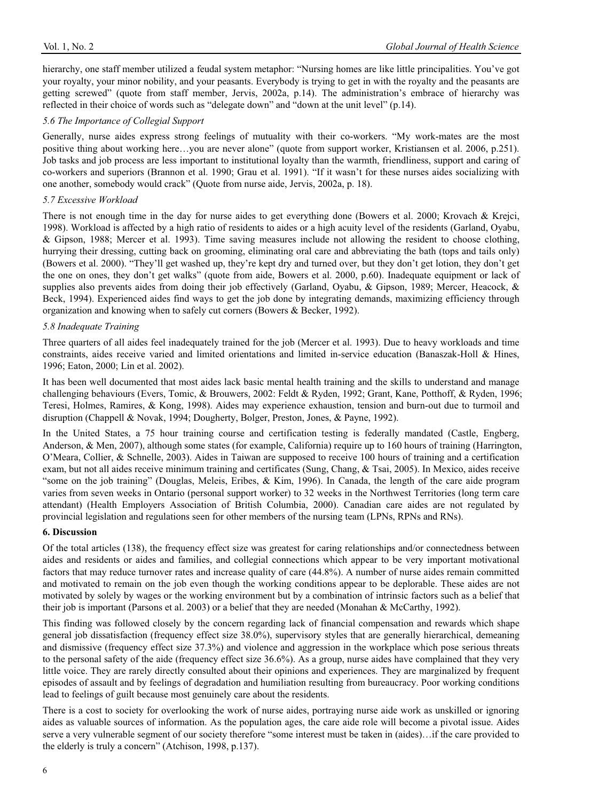hierarchy, one staff member utilized a feudal system metaphor: "Nursing homes are like little principalities. You've got your royalty, your minor nobility, and your peasants. Everybody is trying to get in with the royalty and the peasants are getting screwed" (quote from staff member, Jervis, 2002a, p.14). The administration's embrace of hierarchy was reflected in their choice of words such as "delegate down" and "down at the unit level" (p.14).

#### *5.6 The Importance of Collegial Support*

Generally, nurse aides express strong feelings of mutuality with their co-workers. "My work-mates are the most positive thing about working here…you are never alone" (quote from support worker, Kristiansen et al. 2006, p.251). Job tasks and job process are less important to institutional loyalty than the warmth, friendliness, support and caring of co-workers and superiors (Brannon et al. 1990; Grau et al. 1991). "If it wasn't for these nurses aides socializing with one another, somebody would crack" (Quote from nurse aide, Jervis, 2002a, p. 18).

#### *5.7 Excessive Workload*

There is not enough time in the day for nurse aides to get everything done (Bowers et al. 2000; Krovach & Krejci, 1998). Workload is affected by a high ratio of residents to aides or a high acuity level of the residents (Garland, Oyabu, & Gipson, 1988; Mercer et al. 1993). Time saving measures include not allowing the resident to choose clothing, hurrying their dressing, cutting back on grooming, eliminating oral care and abbreviating the bath (tops and tails only) (Bowers et al. 2000). "They'll get washed up, they're kept dry and turned over, but they don't get lotion, they don't get the one on ones, they don't get walks" (quote from aide, Bowers et al. 2000, p.60). Inadequate equipment or lack of supplies also prevents aides from doing their job effectively (Garland, Oyabu, & Gipson, 1989; Mercer, Heacock, & Beck, 1994). Experienced aides find ways to get the job done by integrating demands, maximizing efficiency through organization and knowing when to safely cut corners (Bowers & Becker, 1992).

#### *5.8 Inadequate Training*

Three quarters of all aides feel inadequately trained for the job (Mercer et al. 1993). Due to heavy workloads and time constraints, aides receive varied and limited orientations and limited in-service education (Banaszak-Holl & Hines, 1996; Eaton, 2000; Lin et al. 2002).

It has been well documented that most aides lack basic mental health training and the skills to understand and manage challenging behaviours (Evers, Tomic, & Brouwers, 2002: Feldt & Ryden, 1992; Grant, Kane, Potthoff, & Ryden, 1996; Teresi, Holmes, Ramires, & Kong, 1998). Aides may experience exhaustion, tension and burn-out due to turmoil and disruption (Chappell & Novak, 1994; Dougherty, Bolger, Preston, Jones, & Payne, 1992).

In the United States, a 75 hour training course and certification testing is federally mandated (Castle, Engberg, Anderson, & Men, 2007), although some states (for example, California) require up to 160 hours of training (Harrington, O'Meara, Collier, & Schnelle, 2003). Aides in Taiwan are supposed to receive 100 hours of training and a certification exam, but not all aides receive minimum training and certificates (Sung, Chang, & Tsai, 2005). In Mexico, aides receive "some on the job training" (Douglas, Meleis, Eribes, & Kim, 1996). In Canada, the length of the care aide program varies from seven weeks in Ontario (personal support worker) to 32 weeks in the Northwest Territories (long term care attendant) (Health Employers Association of British Columbia, 2000). Canadian care aides are not regulated by provincial legislation and regulations seen for other members of the nursing team (LPNs, RPNs and RNs).

#### **6. Discussion**

Of the total articles (138), the frequency effect size was greatest for caring relationships and/or connectedness between aides and residents or aides and families, and collegial connections which appear to be very important motivational factors that may reduce turnover rates and increase quality of care (44.8%). A number of nurse aides remain committed and motivated to remain on the job even though the working conditions appear to be deplorable. These aides are not motivated by solely by wages or the working environment but by a combination of intrinsic factors such as a belief that their job is important (Parsons et al. 2003) or a belief that they are needed (Monahan & McCarthy, 1992).

This finding was followed closely by the concern regarding lack of financial compensation and rewards which shape general job dissatisfaction (frequency effect size 38.0%), supervisory styles that are generally hierarchical, demeaning and dismissive (frequency effect size 37.3%) and violence and aggression in the workplace which pose serious threats to the personal safety of the aide (frequency effect size 36.6%). As a group, nurse aides have complained that they very little voice. They are rarely directly consulted about their opinions and experiences. They are marginalized by frequent episodes of assault and by feelings of degradation and humiliation resulting from bureaucracy. Poor working conditions lead to feelings of guilt because most genuinely care about the residents.

There is a cost to society for overlooking the work of nurse aides, portraying nurse aide work as unskilled or ignoring aides as valuable sources of information. As the population ages, the care aide role will become a pivotal issue. Aides serve a very vulnerable segment of our society therefore "some interest must be taken in (aides)…if the care provided to the elderly is truly a concern" (Atchison, 1998, p.137).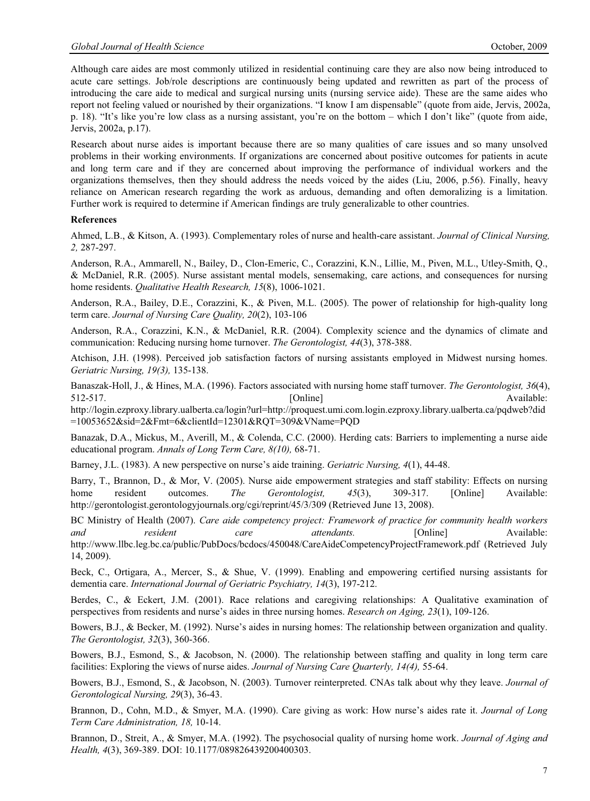Although care aides are most commonly utilized in residential continuing care they are also now being introduced to acute care settings. Job/role descriptions are continuously being updated and rewritten as part of the process of introducing the care aide to medical and surgical nursing units (nursing service aide). These are the same aides who report not feeling valued or nourished by their organizations. "I know I am dispensable" (quote from aide, Jervis, 2002a, p. 18). "It's like you're low class as a nursing assistant, you're on the bottom – which I don't like" (quote from aide, Jervis, 2002a, p.17).

Research about nurse aides is important because there are so many qualities of care issues and so many unsolved problems in their working environments. If organizations are concerned about positive outcomes for patients in acute and long term care and if they are concerned about improving the performance of individual workers and the organizations themselves, then they should address the needs voiced by the aides (Liu, 2006, p.56). Finally, heavy reliance on American research regarding the work as arduous, demanding and often demoralizing is a limitation. Further work is required to determine if American findings are truly generalizable to other countries.

#### **References**

Ahmed, L.B., & Kitson, A. (1993). Complementary roles of nurse and health-care assistant. *Journal of Clinical Nursing, 2,* 287-297.

Anderson, R.A., Ammarell, N., Bailey, D., Clon-Emeric, C., Corazzini, K.N., Lillie, M., Piven, M.L., Utley-Smith, Q., & McDaniel, R.R. (2005). Nurse assistant mental models, sensemaking, care actions, and consequences for nursing home residents. *Qualitative Health Research, 15*(8), 1006-1021.

Anderson, R.A., Bailey, D.E., Corazzini, K., & Piven, M.L. (2005). The power of relationship for high-quality long term care. *Journal of Nursing Care Quality, 20*(2), 103-106

Anderson, R.A., Corazzini, K.N., & McDaniel, R.R. (2004). Complexity science and the dynamics of climate and communication: Reducing nursing home turnover. *The Gerontologist, 44*(3), 378-388.

Atchison, J.H. (1998). Perceived job satisfaction factors of nursing assistants employed in Midwest nursing homes. *Geriatric Nursing, 19(3),* 135-138.

Banaszak-Holl, J., & Hines, M.A. (1996). Factors associated with nursing home staff turnover. *The Gerontologist, 36*(4), 512-517. Available: [Online] Available:

http://login.ezproxy.library.ualberta.ca/login?url=http://proquest.umi.com.login.ezproxy.library.ualberta.ca/pqdweb?did =10053652&sid=2&Fmt=6&clientId=12301&RQT=309&VName=PQD

Banazak, D.A., Mickus, M., Averill, M., & Colenda, C.C. (2000). Herding cats: Barriers to implementing a nurse aide educational program. *Annals of Long Term Care, 8(10),* 68-71.

Barney, J.L. (1983). A new perspective on nurse's aide training. *Geriatric Nursing, 4*(1), 44-48.

Barry, T., Brannon, D., & Mor, V. (2005). Nurse aide empowerment strategies and staff stability: Effects on nursing home resident outcomes. *The Gerontologist*, 45(3), 309-317. [Online] Available: http://gerontologist.gerontologyjournals.org/cgi/reprint/45/3/309 (Retrieved June 13, 2008).

BC Ministry of Health (2007). *Care aide competency project: Framework of practice for community health workers and resident care attendants.* [Online] Available: http://www.llbc.leg.bc.ca/public/PubDocs/bcdocs/450048/CareAideCompetencyProjectFramework.pdf (Retrieved July 14, 2009).

Beck, C., Ortigara, A., Mercer, S., & Shue, V. (1999). Enabling and empowering certified nursing assistants for dementia care. *International Journal of Geriatric Psychiatry, 14*(3), 197-212.

Berdes, C., & Eckert, J.M. (2001). Race relations and caregiving relationships: A Qualitative examination of perspectives from residents and nurse's aides in three nursing homes. *Research on Aging, 23*(1), 109-126.

Bowers, B.J., & Becker, M. (1992). Nurse's aides in nursing homes: The relationship between organization and quality. *The Gerontologist, 32*(3), 360-366.

Bowers, B.J., Esmond, S., & Jacobson, N. (2000). The relationship between staffing and quality in long term care facilities: Exploring the views of nurse aides. *Journal of Nursing Care Quarterly, 14(4),* 55-64.

Bowers, B.J., Esmond, S., & Jacobson, N. (2003). Turnover reinterpreted. CNAs talk about why they leave. *Journal of Gerontological Nursing, 29*(3), 36-43.

Brannon, D., Cohn, M.D., & Smyer, M.A. (1990). Care giving as work: How nurse's aides rate it. *Journal of Long Term Care Administration, 18,* 10-14.

Brannon, D., Streit, A., & Smyer, M.A. (1992). The psychosocial quality of nursing home work. *Journal of Aging and Health, 4*(3), 369-389. DOI: 10.1177/089826439200400303.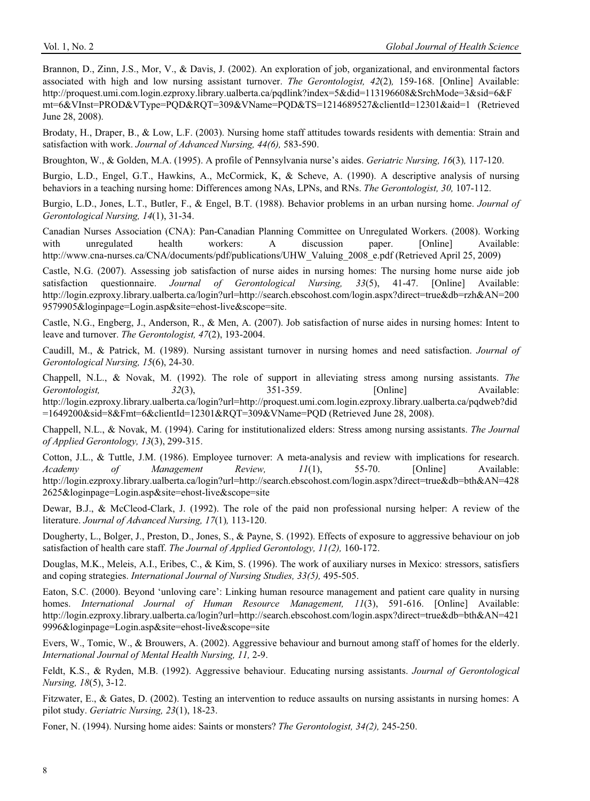Brannon, D., Zinn, J.S., Mor, V., & Davis, J. (2002). An exploration of job, organizational, and environmental factors associated with high and low nursing assistant turnover. *The Gerontologist, 42*(2)*,* 159-168. [Online] Available: http://proquest.umi.com.login.ezproxy.library.ualberta.ca/pqdlink?index=5&did=113196608&SrchMode=3&sid=6&F mt=6&VInst=PROD&VType=PQD&RQT=309&VName=PQD&TS=1214689527&clientId=12301&aid=1 (Retrieved June 28, 2008).

Brodaty, H., Draper, B., & Low, L.F. (2003). Nursing home staff attitudes towards residents with dementia: Strain and satisfaction with work. *Journal of Advanced Nursing, 44(6),* 583-590.

Broughton, W., & Golden, M.A. (1995). A profile of Pennsylvania nurse's aides. *Geriatric Nursing, 16*(3)*,* 117-120.

Burgio, L.D., Engel, G.T., Hawkins, A., McCormick, K, & Scheve, A. (1990). A descriptive analysis of nursing behaviors in a teaching nursing home: Differences among NAs, LPNs, and RNs. *The Gerontologist, 30,* 107-112.

Burgio, L.D., Jones, L.T., Butler, F., & Engel, B.T. (1988). Behavior problems in an urban nursing home. *Journal of Gerontological Nursing, 14*(1), 31-34.

Canadian Nurses Association (CNA): Pan-Canadian Planning Committee on Unregulated Workers. (2008). Working with unregulated health workers: A discussion paper. [Online] Available: http://www.cna-nurses.ca/CNA/documents/pdf/publications/UHW\_Valuing\_2008\_e.pdf (Retrieved April 25, 2009)

Castle, N.G. (2007). Assessing job satisfaction of nurse aides in nursing homes: The nursing home nurse aide job satisfaction questionnaire. *Journal of Gerontological Nursing, 33*(5), 41-47. [Online] Available: http://login.ezproxy.library.ualberta.ca/login?url=http://search.ebscohost.com/login.aspx?direct=true&db=rzh&AN=200 9579905&loginpage=Login.asp&site=ehost-live&scope=site.

Castle, N.G., Engberg, J., Anderson, R., & Men, A. (2007). Job satisfaction of nurse aides in nursing homes: Intent to leave and turnover. *The Gerontologist, 47*(2), 193-2004.

Caudill, M., & Patrick, M. (1989). Nursing assistant turnover in nursing homes and need satisfaction. *Journal of Gerontological Nursing, 15*(6), 24-30.

Chappell, N.L., & Novak, M. (1992). The role of support in alleviating stress among nursing assistants. *The Gerontologist*, 32(3), 351-359. [Online] Available: http://login.ezproxy.library.ualberta.ca/login?url=http://proquest.umi.com.login.ezproxy.library.ualberta.ca/pqdweb?did =1649200&sid=8&Fmt=6&clientId=12301&RQT=309&VName=PQD (Retrieved June 28, 2008).

Chappell, N.L., & Novak, M. (1994). Caring for institutionalized elders: Stress among nursing assistants. *The Journal of Applied Gerontology, 13*(3), 299-315.

Cotton, J.L., & Tuttle, J.M. (1986). Employee turnover: A meta-analysis and review with implications for research. *Academy of Management Review, 11*(1), 55-70. [Online] Available: http://login.ezproxy.library.ualberta.ca/login?url=http://search.ebscohost.com/login.aspx?direct=true&db=bth&AN=428 2625&loginpage=Login.asp&site=ehost-live&scope=site

Dewar, B.J., & McCleod-Clark, J. (1992). The role of the paid non professional nursing helper: A review of the literature. *Journal of Advanced Nursing, 17*(1)*,* 113-120.

Dougherty, L., Bolger, J., Preston, D., Jones, S., & Payne, S. (1992). Effects of exposure to aggressive behaviour on job satisfaction of health care staff. *The Journal of Applied Gerontology, 11(2),* 160-172.

Douglas, M.K., Meleis, A.I., Eribes, C., & Kim, S. (1996). The work of auxiliary nurses in Mexico: stressors, satisfiers and coping strategies. *International Journal of Nursing Studies, 33(5),* 495-505.

Eaton, S.C. (2000). Beyond 'unloving care': Linking human resource management and patient care quality in nursing homes. *International Journal of Human Resource Management, 11*(3), 591-616. [Online] Available: http://login.ezproxy.library.ualberta.ca/login?url=http://search.ebscohost.com/login.aspx?direct=true&db=bth&AN=421 9996&loginpage=Login.asp&site=ehost-live&scope=site

Evers, W., Tomic, W., & Brouwers, A. (2002). Aggressive behaviour and burnout among staff of homes for the elderly. *International Journal of Mental Health Nursing, 11,* 2-9.

Feldt, K.S., & Ryden, M.B. (1992). Aggressive behaviour. Educating nursing assistants. *Journal of Gerontological Nursing, 18*(5), 3-12.

Fitzwater, E., & Gates, D. (2002). Testing an intervention to reduce assaults on nursing assistants in nursing homes: A pilot study. *Geriatric Nursing, 23*(1), 18-23.

Foner, N. (1994). Nursing home aides: Saints or monsters? *The Gerontologist, 34(2),* 245-250.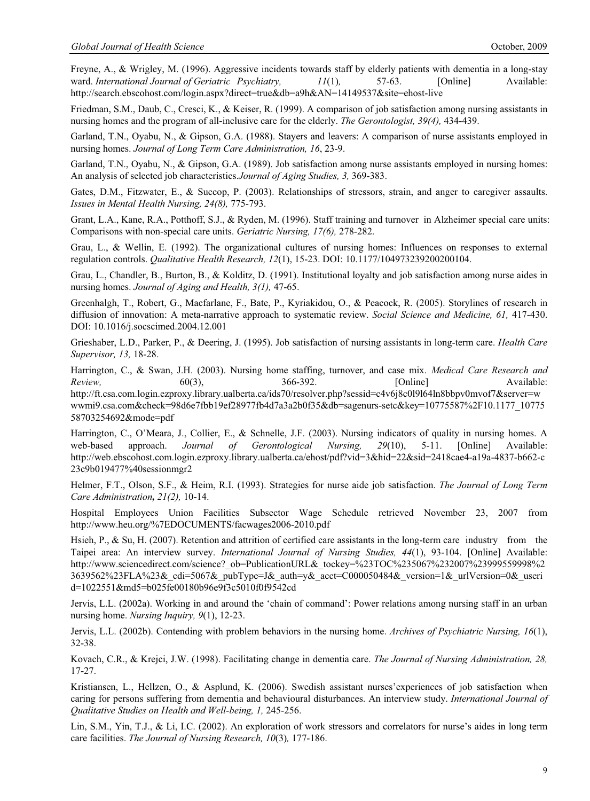Freyne, A., & Wrigley, M. (1996). Aggressive incidents towards staff by elderly patients with dementia in a long-stay ward. *International Journal of Geriatric Psychiatry,*  $11(1)$ , 57-63. [Online] Available: http://search.ebscohost.com/login.aspx?direct=true&db=a9h&AN=14149537&site=ehost-live

Friedman, S.M., Daub, C., Cresci, K., & Keiser, R. (1999). A comparison of job satisfaction among nursing assistants in nursing homes and the program of all-inclusive care for the elderly. *The Gerontologist, 39(4),* 434-439.

Garland, T.N., Oyabu, N., & Gipson, G.A. (1988). Stayers and leavers: A comparison of nurse assistants employed in nursing homes. *Journal of Long Term Care Administration, 16*, 23-9.

Garland, T.N., Oyabu, N., & Gipson, G.A. (1989). Job satisfaction among nurse assistants employed in nursing homes: An analysis of selected job characteristics.*Journal of Aging Studies, 3,* 369-383.

Gates, D.M., Fitzwater, E., & Succop, P. (2003). Relationships of stressors, strain, and anger to caregiver assaults. *Issues in Mental Health Nursing, 24(8),* 775-793.

Grant, L.A., Kane, R.A., Potthoff, S.J., & Ryden, M. (1996). Staff training and turnover in Alzheimer special care units: Comparisons with non-special care units. *Geriatric Nursing, 17(6),* 278-282.

Grau, L., & Wellin, E. (1992). The organizational cultures of nursing homes: Influences on responses to external regulation controls. *Qualitative Health Research, 12*(1), 15-23. DOI: 10.1177/104973239200200104.

Grau, L., Chandler, B., Burton, B., & Kolditz, D. (1991). Institutional loyalty and job satisfaction among nurse aides in nursing homes. *Journal of Aging and Health, 3(1),* 47-65.

Greenhalgh, T., Robert, G., Macfarlane, F., Bate, P., Kyriakidou, O., & Peacock, R. (2005). Storylines of research in diffusion of innovation: A meta-narrative approach to systematic review. *Social Science and Medicine, 61,* 417-430. DOI: 10.1016/j.socscimed.2004.12.001

Grieshaber, L.D., Parker, P., & Deering, J. (1995). Job satisfaction of nursing assistants in long-term care. *Health Care Supervisor, 13,* 18-28.

Harrington, C., & Swan, J.H. (2003). Nursing home staffing, turnover, and case mix. *Medical Care Research and Review*, 60(3), 366-392. [Online] Available: http://ft.csa.com.login.ezproxy.library.ualberta.ca/ids70/resolver.php?sessid=c4v6j8c0l9l64ln8bbpv0mvof7&server=w wwmi9.csa.com&check=98d6e7fbb19ef28977fb4d7a3a2b0f35&db=sagenurs-setc&key=10775587%2F10.1177\_10775 58703254692&mode=pdf

Harrington, C., O'Meara, J., Collier, E., & Schnelle, J.F. (2003). Nursing indicators of quality in nursing homes. A web-based approach. *Journal of Gerontological Nursing, 29*(10), 5-11. [Online] Available: http://web.ebscohost.com.login.ezproxy.library.ualberta.ca/ehost/pdf?vid=3&hid=22&sid=2418cae4-a19a-4837-b662-c 23c9b019477%40sessionmgr2

Helmer, F.T., Olson, S.F., & Heim, R.I. (1993). Strategies for nurse aide job satisfaction. *The Journal of Long Term Care Administration, 21(2),* 10-14.

Hospital Employees Union Facilities Subsector Wage Schedule retrieved November 23, 2007 from http://www.heu.org/%7EDOCUMENTS/facwages2006-2010.pdf

Hsieh, P., & Su, H. (2007). Retention and attrition of certified care assistants in the long-term care industry from the Taipei area: An interview survey. *International Journal of Nursing Studies, 44*(1), 93-104. [Online] Available: http://www.sciencedirect.com/science?\_ob=PublicationURL&\_tockey=%23TOC%235067%232007%23999559998%2 3639562%23FLA%23&\_cdi=5067&\_pubType=J&\_auth=y&\_acct=C000050484&\_version=1&\_urlVersion=0&\_useri d=1022551&md5=b025fe00180b96e9f3c5010f0f9542cd

Jervis, L.L. (2002a). Working in and around the 'chain of command': Power relations among nursing staff in an urban nursing home. *Nursing Inquiry, 9*(1), 12-23.

Jervis, L.L. (2002b). Contending with problem behaviors in the nursing home. *Archives of Psychiatric Nursing, 16*(1), 32-38.

Kovach, C.R., & Krejci, J.W. (1998). Facilitating change in dementia care. *The Journal of Nursing Administration, 28,*  17-27.

Kristiansen, L., Hellzen, O., & Asplund, K. (2006). Swedish assistant nurses'experiences of job satisfaction when caring for persons suffering from dementia and behavioural disturbances. An interview study. *International Journal of Qualitative Studies on Health and Well-being, 1,* 245-256.

Lin, S.M., Yin, T.J., & Li, I.C. (2002). An exploration of work stressors and correlators for nurse's aides in long term care facilities. *The Journal of Nursing Research, 10*(3)*,* 177-186.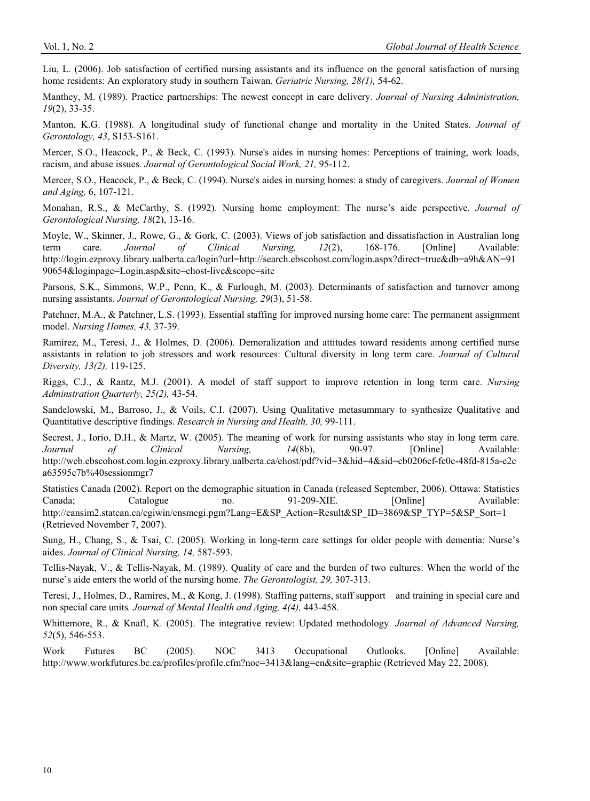Liu, L. (2006). Job satisfaction of certified nursing assistants and its influence on the general satisfaction of nursing home residents: An exploratory study in southern Taiwan. *Geriatric Nursing, 28(1),* 54-62.

Manthey, M. (1989). Practice partnerships: The newest concept in care delivery. *Journal of Nursing Administration, 19*(2), 33-35.

Manton, K.G. (1988). A longitudinal study of functional change and mortality in the United States. *Journal of Gerontology, 43*, S153-S161.

Mercer, S.O., Heacock, P., & Beck, C. (1993). Nurse's aides in nursing homes: Perceptions of training, work loads, racism, and abuse issues. *Journal of Gerontological Social Work, 21,* 95-112.

Mercer, S.O., Heacock, P., & Beck, C. (1994). Nurse's aides in nursing homes: a study of caregivers. *Journal of Women and Aging,* 6, 107-121.

Monahan, R.S., & McCarthy, S. (1992). Nursing home employment: The nurse's aide perspective. *Journal of Gerontological Nursing, 18*(2), 13-16.

Moyle, W., Skinner, J., Rowe, G., & Gork, C. (2003). Views of job satisfaction and dissatisfaction in Australian long term care. *Journal of Clinical Nursing, 12*(2), 168-176. [Online] Available: http://login.ezproxy.library.ualberta.ca/login?url=http://search.ebscohost.com/login.aspx?direct=true&db=a9h&AN=91 90654&loginpage=Login.asp&site=ehost-live&scope=site

Parsons, S.K., Simmons, W.P., Penn, K., & Furlough, M. (2003). Determinants of satisfaction and turnover among nursing assistants. *Journal of Gerontological Nursing, 29*(3), 51-58.

Patchner, M.A., & Patchner, L.S. (1993). Essential staffing for improved nursing home care: The permanent assignment model. *Nursing Homes, 43,* 37-39.

Ramirez, M., Teresi, J., & Holmes, D. (2006). Demoralization and attitudes toward residents among certified nurse assistants in relation to job stressors and work resources: Cultural diversity in long term care. *Journal of Cultural Diversity, 13(2),* 119-125.

Riggs, C.J., & Rantz, M.J. (2001). A model of staff support to improve retention in long term care. *Nursing Adminstration Quarterly, 25(2),* 43-54.

Sandelowski, M., Barroso, J., & Voils, C.I. (2007). Using Qualitative metasummary to synthesize Qualitative and Quantitative descriptive findings. *Research in Nursing and Health, 30,* 99-111.

Secrest, J., Iorio, D.H., & Martz, W. (2005). The meaning of work for nursing assistants who stay in long term care. *Journal of Clinical Nursing, 14*(8b), 90-97. [Online] Available: http://web.ebscohost.com.login.ezproxy.library.ualberta.ca/ehost/pdf?vid=3&hid=4&sid=cb0206cf-fc0c-48fd-815a-e2c a63595c7b%40sessionmgr7

Statistics Canada (2002). Report on the demographic situation in Canada (released September, 2006). Ottawa: Statistics Canada; Catalogue no. 91-209-XIE. [Online] Available: http://cansim2.statcan.ca/cgiwin/cnsmcgi.pgm?Lang=E&SP\_Action=Result&SP\_ID=3869&SP\_TYP=5&SP\_Sort=1 (Retrieved November 7, 2007).

Sung, H., Chang, S., & Tsai, C. (2005). Working in long-term care settings for older people with dementia: Nurse's aides. *Journal of Clinical Nursing, 14,* 587-593.

Tellis-Nayak, V., & Tellis-Nayak, M. (1989). Quality of care and the burden of two cultures: When the world of the nurse's aide enters the world of the nursing home. *The Gerontologist, 29,* 307-313.

Teresi, J., Holmes, D., Ramires, M., & Kong, J. (1998). Staffing patterns, staff support and training in special care and non special care units*. Journal of Mental Health and Aging, 4(4),* 443-458.

Whittemore, R., & Knafl, K. (2005). The integrative review: Updated methodology. *Journal of Advanced Nursing, 52*(5), 546-553.

Work Futures BC (2005). NOC 3413 Occupational Outlooks. [Online] Available: http://www.workfutures.bc.ca/profiles/profile.cfm?noc=3413&lang=en&site=graphic (Retrieved May 22, 2008).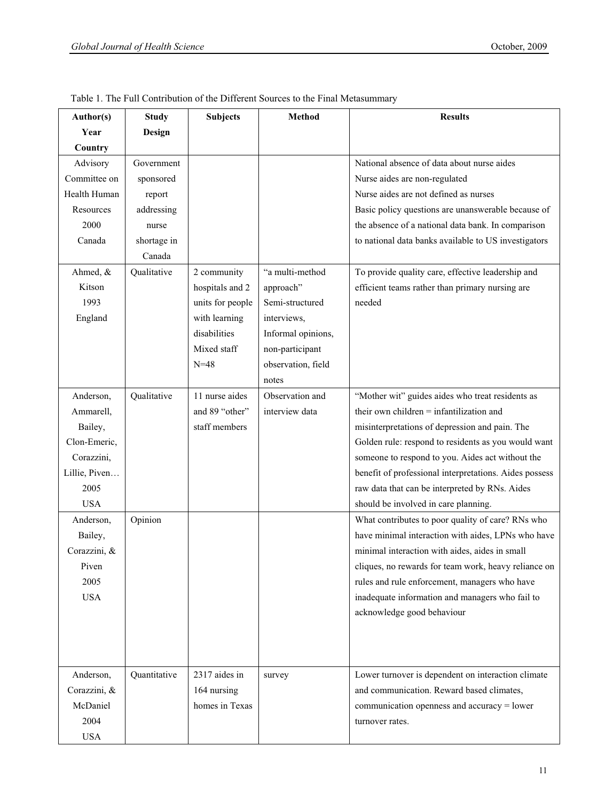| Author(s)     | <b>Study</b>  | <b>Subjects</b>  | <b>Method</b>      | <b>Results</b>                                         |
|---------------|---------------|------------------|--------------------|--------------------------------------------------------|
| Year          | <b>Design</b> |                  |                    |                                                        |
| Country       |               |                  |                    |                                                        |
| Advisory      | Government    |                  |                    | National absence of data about nurse aides             |
| Committee on  | sponsored     |                  |                    | Nurse aides are non-regulated                          |
| Health Human  | report        |                  |                    | Nurse aides are not defined as nurses                  |
| Resources     | addressing    |                  |                    | Basic policy questions are unanswerable because of     |
| 2000          | nurse         |                  |                    | the absence of a national data bank. In comparison     |
| Canada        | shortage in   |                  |                    | to national data banks available to US investigators   |
|               | Canada        |                  |                    |                                                        |
| Ahmed, &      | Qualitative   | 2 community      | "a multi-method    | To provide quality care, effective leadership and      |
| Kitson        |               | hospitals and 2  | approach"          | efficient teams rather than primary nursing are        |
| 1993          |               | units for people | Semi-structured    | needed                                                 |
| England       |               | with learning    | interviews,        |                                                        |
|               |               | disabilities     | Informal opinions, |                                                        |
|               |               | Mixed staff      | non-participant    |                                                        |
|               |               | $N = 48$         | observation, field |                                                        |
|               |               |                  | notes              |                                                        |
| Anderson,     | Qualitative   | 11 nurse aides   | Observation and    | "Mother wit" guides aides who treat residents as       |
| Ammarell,     |               | and 89 "other"   | interview data     | their own children = infantilization and               |
| Bailey,       |               | staff members    |                    | misinterpretations of depression and pain. The         |
| Clon-Emeric,  |               |                  |                    | Golden rule: respond to residents as you would want    |
| Corazzini,    |               |                  |                    | someone to respond to you. Aides act without the       |
| Lillie, Piven |               |                  |                    | benefit of professional interpretations. Aides possess |
| 2005          |               |                  |                    | raw data that can be interpreted by RNs. Aides         |
| <b>USA</b>    |               |                  |                    | should be involved in care planning.                   |
| Anderson,     | Opinion       |                  |                    | What contributes to poor quality of care? RNs who      |
| Bailey,       |               |                  |                    | have minimal interaction with aides, LPNs who have     |
| Corazzini, &  |               |                  |                    | minimal interaction with aides, aides in small         |
| Piven         |               |                  |                    | cliques, no rewards for team work, heavy reliance on   |
| 2005          |               |                  |                    | rules and rule enforcement, managers who have          |
| <b>USA</b>    |               |                  |                    | inadequate information and managers who fail to        |
|               |               |                  |                    | acknowledge good behaviour                             |
|               |               |                  |                    |                                                        |
|               |               |                  |                    |                                                        |
| Anderson,     | Quantitative  | 2317 aides in    | survey             | Lower turnover is dependent on interaction climate     |
| Corazzini, &  |               | 164 nursing      |                    | and communication. Reward based climates,              |
| McDaniel      |               | homes in Texas   |                    | communication openness and accuracy = lower            |
| 2004          |               |                  |                    | turnover rates.                                        |
| <b>USA</b>    |               |                  |                    |                                                        |

Table 1. The Full Contribution of the Different Sources to the Final Metasummary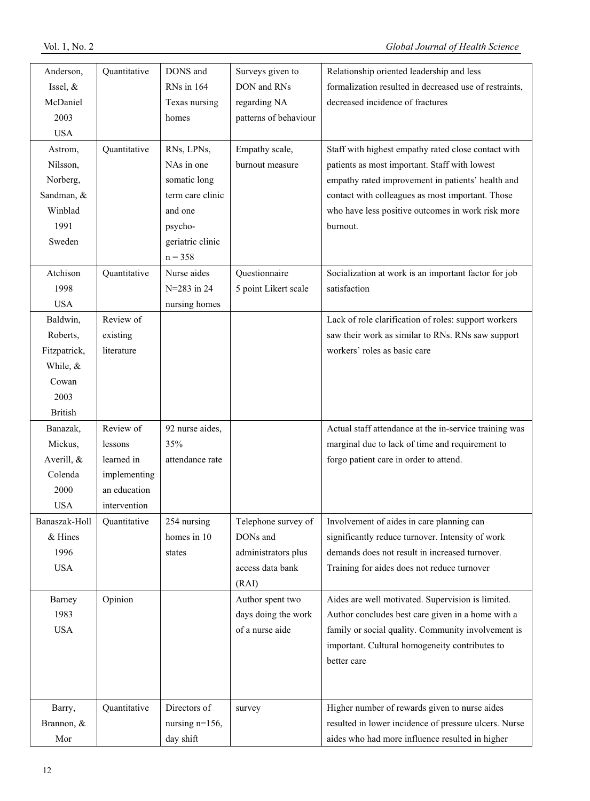| Anderson,      | Quantitative | DONS and          | Surveys given to      | Relationship oriented leadership and less              |
|----------------|--------------|-------------------|-----------------------|--------------------------------------------------------|
| Issel, $&$     |              | RNs in 164        | DON and RNs           | formalization resulted in decreased use of restraints, |
| McDaniel       |              | Texas nursing     | regarding NA          | decreased incidence of fractures                       |
| 2003           |              | homes             | patterns of behaviour |                                                        |
| <b>USA</b>     |              |                   |                       |                                                        |
| Astrom,        | Quantitative | RNs, LPNs,        | Empathy scale,        | Staff with highest empathy rated close contact with    |
| Nilsson,       |              | NAs in one        | burnout measure       | patients as most important. Staff with lowest          |
| Norberg,       |              | somatic long      |                       | empathy rated improvement in patients' health and      |
| Sandman, &     |              | term care clinic  |                       | contact with colleagues as most important. Those       |
| Winblad        |              | and one           |                       | who have less positive outcomes in work risk more      |
| 1991           |              | psycho-           |                       | burnout.                                               |
| Sweden         |              | geriatric clinic  |                       |                                                        |
|                |              | $n = 358$         |                       |                                                        |
| Atchison       | Quantitative | Nurse aides       | Questionnaire         | Socialization at work is an important factor for job   |
| 1998           |              | $N = 283$ in 24   | 5 point Likert scale  | satisfaction                                           |
| <b>USA</b>     |              | nursing homes     |                       |                                                        |
| Baldwin,       | Review of    |                   |                       | Lack of role clarification of roles: support workers   |
| Roberts,       | existing     |                   |                       | saw their work as similar to RNs. RNs saw support      |
| Fitzpatrick,   | literature   |                   |                       | workers' roles as basic care                           |
| While, &       |              |                   |                       |                                                        |
| Cowan          |              |                   |                       |                                                        |
| 2003           |              |                   |                       |                                                        |
| <b>British</b> |              |                   |                       |                                                        |
| Banazak,       | Review of    | 92 nurse aides,   |                       | Actual staff attendance at the in-service training was |
| Mickus,        | lessons      | 35%               |                       | marginal due to lack of time and requirement to        |
| Averill, &     | learned in   | attendance rate   |                       | forgo patient care in order to attend.                 |
| Colenda        | implementing |                   |                       |                                                        |
| 2000           | an education |                   |                       |                                                        |
| <b>USA</b>     | intervention |                   |                       |                                                        |
| Banaszak-Holl  | Quantitative | 254 nursing       | Telephone survey of   | Involvement of aides in care planning can              |
| & Hines        |              | homes in 10       | DONs and              | significantly reduce turnover. Intensity of work       |
| 1996           |              | states            | administrators plus   | demands does not result in increased turnover.         |
| <b>USA</b>     |              |                   | access data bank      | Training for aides does not reduce turnover            |
|                |              |                   | (RAI)                 |                                                        |
| Barney         | Opinion      |                   | Author spent two      | Aides are well motivated. Supervision is limited.      |
| 1983           |              |                   | days doing the work   | Author concludes best care given in a home with a      |
| <b>USA</b>     |              |                   | of a nurse aide       | family or social quality. Community involvement is     |
|                |              |                   |                       | important. Cultural homogeneity contributes to         |
|                |              |                   |                       | better care                                            |
|                |              |                   |                       |                                                        |
|                |              |                   |                       |                                                        |
| Barry,         | Quantitative | Directors of      | survey                | Higher number of rewards given to nurse aides          |
| Brannon, &     |              | nursing $n=156$ , |                       | resulted in lower incidence of pressure ulcers. Nurse  |
| Mor            |              | day shift         |                       | aides who had more influence resulted in higher        |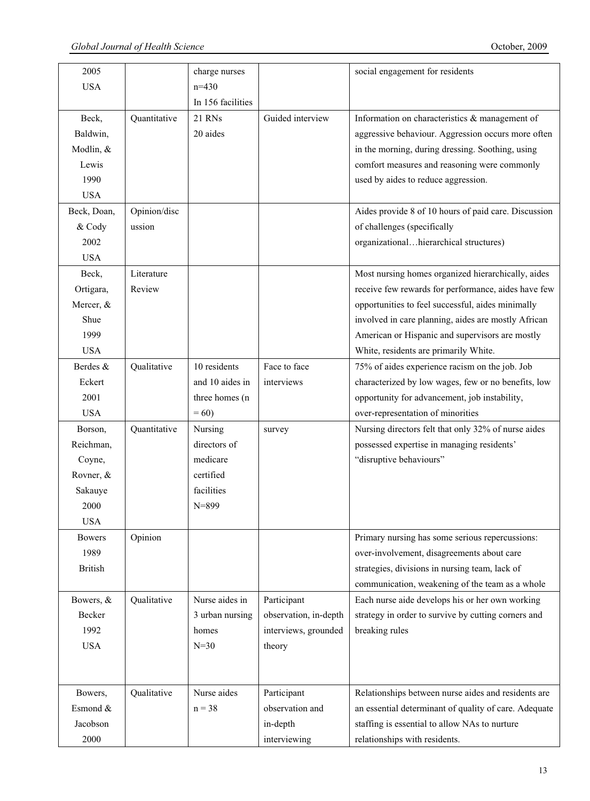| 2005           |              | charge nurses     |                       | social engagement for residents                       |
|----------------|--------------|-------------------|-----------------------|-------------------------------------------------------|
| <b>USA</b>     |              | $n=430$           |                       |                                                       |
|                |              | In 156 facilities |                       |                                                       |
| Beck,          | Quantitative | 21 RNs            | Guided interview      | Information on characteristics & management of        |
| Baldwin,       |              | 20 aides          |                       | aggressive behaviour. Aggression occurs more often    |
| Modlin, &      |              |                   |                       | in the morning, during dressing. Soothing, using      |
| Lewis          |              |                   |                       | comfort measures and reasoning were commonly          |
| 1990           |              |                   |                       | used by aides to reduce aggression.                   |
| <b>USA</b>     |              |                   |                       |                                                       |
| Beck, Doan,    | Opinion/disc |                   |                       | Aides provide 8 of 10 hours of paid care. Discussion  |
| & Cody         | ussion       |                   |                       | of challenges (specifically                           |
| 2002           |              |                   |                       | organizationalhierarchical structures)                |
| <b>USA</b>     |              |                   |                       |                                                       |
| Beck,          | Literature   |                   |                       | Most nursing homes organized hierarchically, aides    |
| Ortigara,      | Review       |                   |                       | receive few rewards for performance, aides have few   |
| Mercer, &      |              |                   |                       | opportunities to feel successful, aides minimally     |
| Shue           |              |                   |                       | involved in care planning, aides are mostly African   |
| 1999           |              |                   |                       | American or Hispanic and supervisors are mostly       |
| <b>USA</b>     |              |                   |                       | White, residents are primarily White.                 |
| Berdes &       | Qualitative  | 10 residents      | Face to face          | 75% of aides experience racism on the job. Job        |
| Eckert         |              | and 10 aides in   | interviews            | characterized by low wages, few or no benefits, low   |
| 2001           |              | three homes (n    |                       | opportunity for advancement, job instability,         |
| <b>USA</b>     |              | $= 60$            |                       | over-representation of minorities                     |
| Borson,        | Quantitative | Nursing           | survey                | Nursing directors felt that only 32% of nurse aides   |
| Reichman,      |              | directors of      |                       | possessed expertise in managing residents'            |
| Coyne,         |              | medicare          |                       | "disruptive behaviours"                               |
| Rovner, &      |              | certified         |                       |                                                       |
| Sakauye        |              | facilities        |                       |                                                       |
| 2000           |              | $N = 899$         |                       |                                                       |
| <b>USA</b>     |              |                   |                       |                                                       |
| <b>Bowers</b>  | Opinion      |                   |                       | Primary nursing has some serious repercussions:       |
| 1989           |              |                   |                       | over-involvement, disagreements about care            |
| <b>British</b> |              |                   |                       | strategies, divisions in nursing team, lack of        |
|                |              |                   |                       | communication, weakening of the team as a whole       |
| Bowers, &      | Qualitative  | Nurse aides in    | Participant           | Each nurse aide develops his or her own working       |
| Becker         |              | 3 urban nursing   | observation, in-depth | strategy in order to survive by cutting corners and   |
| 1992           |              | homes             | interviews, grounded  | breaking rules                                        |
| <b>USA</b>     |              | $N=30$            | theory                |                                                       |
|                |              |                   |                       |                                                       |
|                |              |                   |                       |                                                       |
| Bowers,        | Qualitative  | Nurse aides       | Participant           | Relationships between nurse aides and residents are   |
| Esmond &       |              | $n = 38$          | observation and       | an essential determinant of quality of care. Adequate |
| Jacobson       |              |                   | in-depth              | staffing is essential to allow NAs to nurture         |
| 2000           |              |                   | interviewing          | relationships with residents.                         |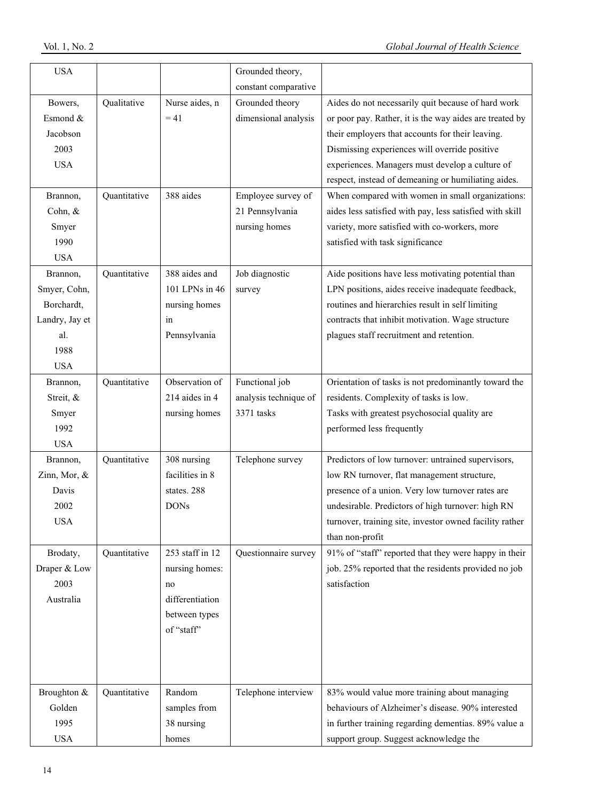| <b>USA</b>     |              |                 | Grounded theory,      |                                                          |
|----------------|--------------|-----------------|-----------------------|----------------------------------------------------------|
|                |              |                 | constant comparative  |                                                          |
| Bowers,        | Qualitative  | Nurse aides, n  | Grounded theory       | Aides do not necessarily quit because of hard work       |
| Esmond &       |              | $= 41$          | dimensional analysis  | or poor pay. Rather, it is the way aides are treated by  |
| Jacobson       |              |                 |                       | their employers that accounts for their leaving.         |
| 2003           |              |                 |                       | Dismissing experiences will override positive            |
| <b>USA</b>     |              |                 |                       | experiences. Managers must develop a culture of          |
|                |              |                 |                       | respect, instead of demeaning or humiliating aides.      |
| Brannon,       | Quantitative | 388 aides       | Employee survey of    | When compared with women in small organizations:         |
| Cohn, &        |              |                 | 21 Pennsylvania       | aides less satisfied with pay, less satisfied with skill |
| Smyer          |              |                 | nursing homes         | variety, more satisfied with co-workers, more            |
| 1990           |              |                 |                       | satisfied with task significance                         |
| <b>USA</b>     |              |                 |                       |                                                          |
| Brannon,       | Quantitative | 388 aides and   | Job diagnostic        | Aide positions have less motivating potential than       |
| Smyer, Cohn,   |              | 101 LPNs in 46  | survey                | LPN positions, aides receive inadequate feedback,        |
| Borchardt,     |              | nursing homes   |                       | routines and hierarchies result in self limiting         |
| Landry, Jay et |              | in              |                       | contracts that inhibit motivation. Wage structure        |
| al.            |              | Pennsylvania    |                       | plagues staff recruitment and retention.                 |
| 1988           |              |                 |                       |                                                          |
| <b>USA</b>     |              |                 |                       |                                                          |
| Brannon,       | Quantitative | Observation of  | Functional job        | Orientation of tasks is not predominantly toward the     |
| Streit, &      |              | 214 aides in 4  | analysis technique of | residents. Complexity of tasks is low.                   |
| Smyer          |              | nursing homes   | 3371 tasks            | Tasks with greatest psychosocial quality are             |
| 1992           |              |                 |                       | performed less frequently                                |
| <b>USA</b>     |              |                 |                       |                                                          |
| Brannon,       | Quantitative | 308 nursing     | Telephone survey      | Predictors of low turnover: untrained supervisors,       |
| Zinn, Mor, &   |              | facilities in 8 |                       | low RN turnover, flat management structure,              |
| Davis          |              | states. 288     |                       | presence of a union. Very low turnover rates are         |
| 2002           |              | <b>DONs</b>     |                       | undesirable. Predictors of high turnover: high RN        |
| <b>USA</b>     |              |                 |                       | turnover, training site, investor owned facility rather  |
|                |              |                 |                       | than non-profit                                          |
| Brodaty,       | Quantitative | 253 staff in 12 | Questionnaire survey  | 91% of "staff" reported that they were happy in their    |
| Draper & Low   |              | nursing homes:  |                       | job. 25% reported that the residents provided no job     |
| 2003           |              | no              |                       | satisfaction                                             |
| Australia      |              | differentiation |                       |                                                          |
|                |              | between types   |                       |                                                          |
|                |              | of "staff"      |                       |                                                          |
|                |              |                 |                       |                                                          |
|                |              |                 |                       |                                                          |
|                |              |                 |                       |                                                          |
| Broughton &    | Quantitative | Random          | Telephone interview   | 83% would value more training about managing             |
| Golden         |              | samples from    |                       | behaviours of Alzheimer's disease. 90% interested        |
| 1995           |              | 38 nursing      |                       | in further training regarding dementias. 89% value a     |
| <b>USA</b>     |              | homes           |                       | support group. Suggest acknowledge the                   |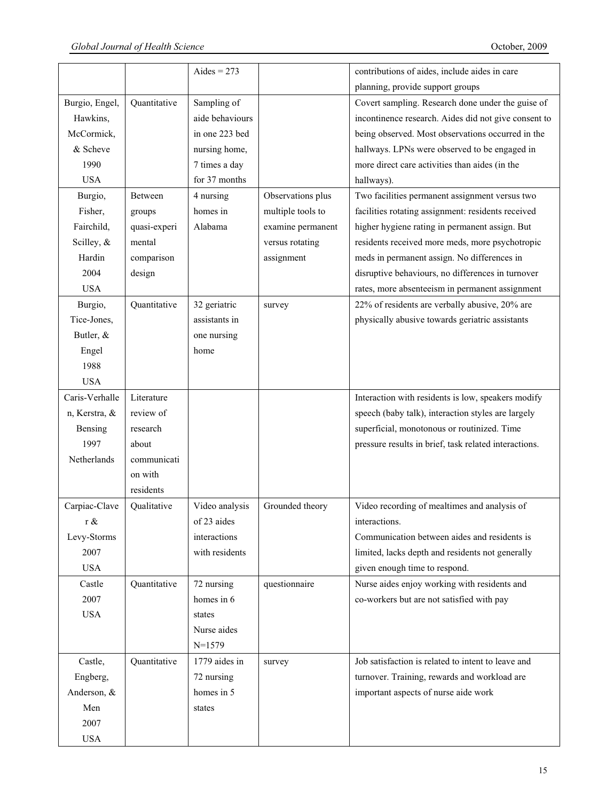|                |              | Aides = $273$   |                   | contributions of aides, include aides in care         |
|----------------|--------------|-----------------|-------------------|-------------------------------------------------------|
|                |              |                 |                   | planning, provide support groups                      |
| Burgio, Engel, | Quantitative | Sampling of     |                   | Covert sampling. Research done under the guise of     |
| Hawkins,       |              | aide behaviours |                   | incontinence research. Aides did not give consent to  |
| McCormick,     |              | in one 223 bed  |                   | being observed. Most observations occurred in the     |
| & Scheve       |              | nursing home,   |                   | hallways. LPNs were observed to be engaged in         |
| 1990           |              | 7 times a day   |                   | more direct care activities than aides (in the        |
| <b>USA</b>     |              | for 37 months   |                   | hallways).                                            |
|                | Between      | 4 nursing       | Observations plus | Two facilities permanent assignment versus two        |
| Burgio,        |              | homes in        |                   |                                                       |
| Fisher,        | groups       |                 | multiple tools to | facilities rotating assignment: residents received    |
| Fairchild,     | quasi-experi | Alabama         | examine permanent | higher hygiene rating in permanent assign. But        |
| Scilley, &     | mental       |                 | versus rotating   | residents received more meds, more psychotropic       |
| Hardin         | comparison   |                 | assignment        | meds in permanent assign. No differences in           |
| 2004           | design       |                 |                   | disruptive behaviours, no differences in turnover     |
| <b>USA</b>     |              |                 |                   | rates, more absenteeism in permanent assignment       |
| Burgio,        | Quantitative | 32 geriatric    | survey            | 22% of residents are verbally abusive, 20% are        |
| Tice-Jones,    |              | assistants in   |                   | physically abusive towards geriatric assistants       |
| Butler, &      |              | one nursing     |                   |                                                       |
| Engel          |              | home            |                   |                                                       |
| 1988           |              |                 |                   |                                                       |
| <b>USA</b>     |              |                 |                   |                                                       |
| Caris-Verhalle | Literature   |                 |                   | Interaction with residents is low, speakers modify    |
| n, Kerstra, &  | review of    |                 |                   | speech (baby talk), interaction styles are largely    |
| Bensing        | research     |                 |                   | superficial, monotonous or routinized. Time           |
| 1997           | about        |                 |                   | pressure results in brief, task related interactions. |
| Netherlands    | communicati  |                 |                   |                                                       |
|                | on with      |                 |                   |                                                       |
|                | residents    |                 |                   |                                                       |
| Carpiac-Clave  | Qualitative  | Video analysis  | Grounded theory   | Video recording of mealtimes and analysis of          |
| r &            |              | of 23 aides     |                   | interactions.                                         |
| Levy-Storms    |              | interactions    |                   | Communication between aides and residents is          |
| 2007           |              | with residents  |                   | limited, lacks depth and residents not generally      |
| <b>USA</b>     |              |                 |                   | given enough time to respond.                         |
| Castle         | Quantitative | 72 nursing      | questionnaire     | Nurse aides enjoy working with residents and          |
| 2007           |              | homes in 6      |                   | co-workers but are not satisfied with pay             |
| <b>USA</b>     |              | states          |                   |                                                       |
|                |              |                 |                   |                                                       |
|                |              | Nurse aides     |                   |                                                       |
|                |              | $N=1579$        |                   |                                                       |
| Castle,        | Quantitative | 1779 aides in   | survey            | Job satisfaction is related to intent to leave and    |
| Engberg,       |              | 72 nursing      |                   | turnover. Training, rewards and workload are          |
| Anderson, &    |              | homes in 5      |                   | important aspects of nurse aide work                  |
| Men            |              | states          |                   |                                                       |
| 2007           |              |                 |                   |                                                       |
| <b>USA</b>     |              |                 |                   |                                                       |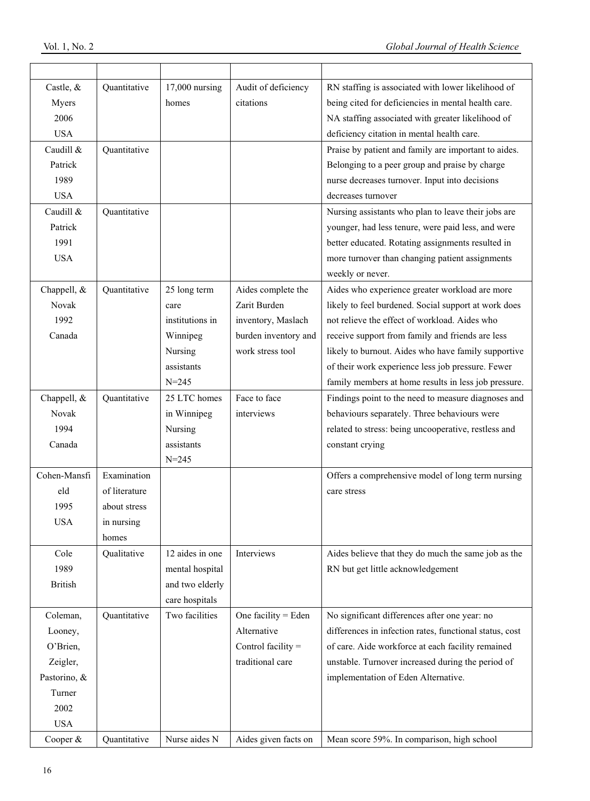| Castle, &      | Quantitative  | $17,000$ nursing | Audit of deficiency  | RN staffing is associated with lower likelihood of      |
|----------------|---------------|------------------|----------------------|---------------------------------------------------------|
| Myers          |               | homes            | citations            | being cited for deficiencies in mental health care.     |
| 2006           |               |                  |                      | NA staffing associated with greater likelihood of       |
| <b>USA</b>     |               |                  |                      | deficiency citation in mental health care.              |
| Caudill &      | Quantitative  |                  |                      | Praise by patient and family are important to aides.    |
| Patrick        |               |                  |                      | Belonging to a peer group and praise by charge          |
| 1989           |               |                  |                      | nurse decreases turnover. Input into decisions          |
| <b>USA</b>     |               |                  |                      | decreases turnover                                      |
| Caudill &      | Quantitative  |                  |                      | Nursing assistants who plan to leave their jobs are     |
| Patrick        |               |                  |                      | younger, had less tenure, were paid less, and were      |
| 1991           |               |                  |                      | better educated. Rotating assignments resulted in       |
| <b>USA</b>     |               |                  |                      | more turnover than changing patient assignments         |
|                |               |                  |                      | weekly or never.                                        |
| Chappell, &    | Quantitative  | 25 long term     | Aides complete the   | Aides who experience greater workload are more          |
| Novak          |               | care             | Zarit Burden         | likely to feel burdened. Social support at work does    |
| 1992           |               | institutions in  | inventory, Maslach   | not relieve the effect of workload. Aides who           |
| Canada         |               | Winnipeg         | burden inventory and | receive support from family and friends are less        |
|                |               | Nursing          | work stress tool     | likely to burnout. Aides who have family supportive     |
|                |               | assistants       |                      | of their work experience less job pressure. Fewer       |
|                |               | $N = 245$        |                      | family members at home results in less job pressure.    |
| Chappell, &    | Quantitative  | 25 LTC homes     | Face to face         | Findings point to the need to measure diagnoses and     |
| Novak          |               | in Winnipeg      | interviews           | behaviours separately. Three behaviours were            |
| 1994           |               | Nursing          |                      | related to stress: being uncooperative, restless and    |
| Canada         |               | assistants       |                      | constant crying                                         |
|                |               | $N = 245$        |                      |                                                         |
| Cohen-Mansfi   | Examination   |                  |                      | Offers a comprehensive model of long term nursing       |
| eld            | of literature |                  |                      | care stress                                             |
| 1995           | about stress  |                  |                      |                                                         |
| <b>USA</b>     | in nursing    |                  |                      |                                                         |
|                | homes         |                  |                      |                                                         |
| Cole           | Qualitative   | 12 aides in one  | Interviews           | Aides believe that they do much the same job as the     |
| 1989           |               | mental hospital  |                      | RN but get little acknowledgement                       |
| <b>British</b> |               | and two elderly  |                      |                                                         |
|                |               | care hospitals   |                      |                                                         |
| Coleman,       | Quantitative  | Two facilities   | One facility = Eden  | No significant differences after one year: no           |
| Looney,        |               |                  | Alternative          | differences in infection rates, functional status, cost |
| O'Brien,       |               |                  | Control facility =   | of care. Aide workforce at each facility remained       |
| Zeigler,       |               |                  | traditional care     | unstable. Turnover increased during the period of       |
| Pastorino, &   |               |                  |                      | implementation of Eden Alternative.                     |
| Turner         |               |                  |                      |                                                         |
| 2002           |               |                  |                      |                                                         |
| <b>USA</b>     |               |                  |                      |                                                         |
| Cooper &       | Quantitative  | Nurse aides N    | Aides given facts on | Mean score 59%. In comparison, high school              |
|                |               |                  |                      |                                                         |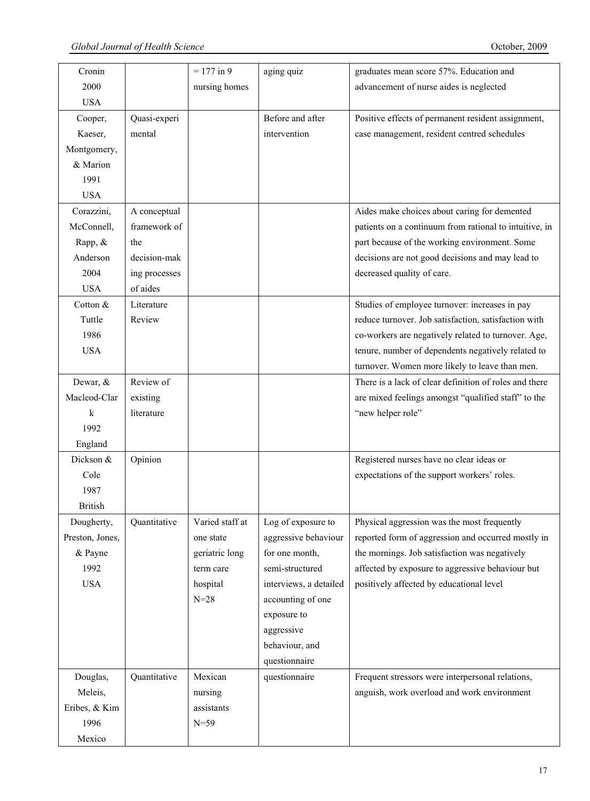| Cronin          |               | $= 177$ in 9    | aging quiz             | graduates mean score 57%. Education and                |
|-----------------|---------------|-----------------|------------------------|--------------------------------------------------------|
| 2000            |               | nursing homes   |                        | advancement of nurse aides is neglected                |
| <b>USA</b>      |               |                 |                        |                                                        |
| Cooper,         | Quasi-experi  |                 | Before and after       | Positive effects of permanent resident assignment,     |
| Kaeser,         | mental        |                 | intervention           | case management, resident centred schedules            |
| Montgomery,     |               |                 |                        |                                                        |
| & Marion        |               |                 |                        |                                                        |
| 1991            |               |                 |                        |                                                        |
| <b>USA</b>      |               |                 |                        |                                                        |
| Corazzini,      | A conceptual  |                 |                        | Aides make choices about caring for demented           |
| McConnell,      | framework of  |                 |                        | patients on a continuum from rational to intuitive, in |
| Rapp, &         | the           |                 |                        | part because of the working environment. Some          |
| Anderson        | decision-mak  |                 |                        | decisions are not good decisions and may lead to       |
| 2004            | ing processes |                 |                        | decreased quality of care.                             |
| <b>USA</b>      | of aides      |                 |                        |                                                        |
| Cotton &        | Literature    |                 |                        | Studies of employee turnover: increases in pay         |
| Tuttle          | Review        |                 |                        | reduce turnover. Job satisfaction, satisfaction with   |
| 1986            |               |                 |                        | co-workers are negatively related to turnover. Age,    |
| <b>USA</b>      |               |                 |                        | tenure, number of dependents negatively related to     |
|                 |               |                 |                        | turnover. Women more likely to leave than men.         |
| Dewar, &        | Review of     |                 |                        | There is a lack of clear definition of roles and there |
| Macleod-Clar    | existing      |                 |                        | are mixed feelings amongst "qualified staff" to the    |
| k               | literature    |                 |                        | "new helper role"                                      |
| 1992            |               |                 |                        |                                                        |
| England         |               |                 |                        |                                                        |
| Dickson &       | Opinion       |                 |                        | Registered nurses have no clear ideas or               |
| Cole            |               |                 |                        | expectations of the support workers' roles.            |
| 1987            |               |                 |                        |                                                        |
| <b>British</b>  |               |                 |                        |                                                        |
| Dougherty,      | Quantitative  | Varied staff at | Log of exposure to     | Physical aggression was the most frequently            |
| Preston, Jones, |               | one state       | aggressive behaviour   | reported form of aggression and occurred mostly in     |
| & Payne         |               | geriatric long  | for one month,         | the mornings. Job satisfaction was negatively          |
|                 |               |                 | semi-structured        |                                                        |
| 1992            |               | term care       |                        | affected by exposure to aggressive behaviour but       |
| <b>USA</b>      |               | hospital        | interviews, a detailed | positively affected by educational level               |
|                 |               | $N=28$          | accounting of one      |                                                        |
|                 |               |                 | exposure to            |                                                        |
|                 |               |                 | aggressive             |                                                        |
|                 |               |                 | behaviour, and         |                                                        |
|                 |               |                 | questionnaire          |                                                        |
| Douglas,        | Quantitative  | Mexican         | questionnaire          | Frequent stressors were interpersonal relations,       |
| Meleis,         |               | nursing         |                        | anguish, work overload and work environment            |
| Eribes, & Kim   |               | assistants      |                        |                                                        |
| 1996            |               | $N=59$          |                        |                                                        |
| Mexico          |               |                 |                        |                                                        |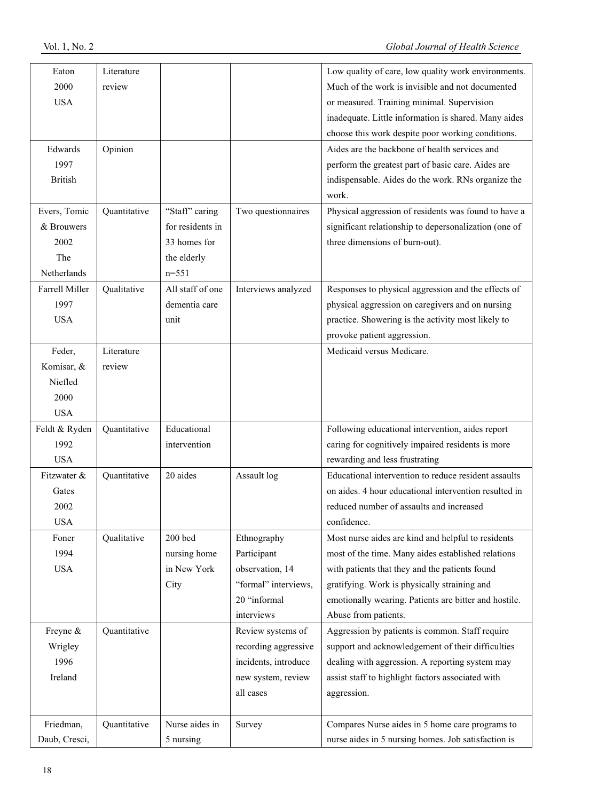| Eaton                 | Literature   |                  |                      | Low quality of care, low quality work environments.   |
|-----------------------|--------------|------------------|----------------------|-------------------------------------------------------|
| 2000                  | review       |                  |                      | Much of the work is invisible and not documented      |
| <b>USA</b>            |              |                  |                      | or measured. Training minimal. Supervision            |
|                       |              |                  |                      | inadequate. Little information is shared. Many aides  |
|                       |              |                  |                      | choose this work despite poor working conditions.     |
| Edwards               | Opinion      |                  |                      | Aides are the backbone of health services and         |
| 1997                  |              |                  |                      | perform the greatest part of basic care. Aides are    |
| <b>British</b>        |              |                  |                      | indispensable. Aides do the work. RNs organize the    |
|                       |              |                  |                      | work.                                                 |
| Evers, Tomic          | Quantitative | "Staff" caring   | Two questionnaires   | Physical aggression of residents was found to have a  |
| & Brouwers            |              | for residents in |                      | significant relationship to depersonalization (one of |
| 2002                  |              | 33 homes for     |                      | three dimensions of burn-out).                        |
| The                   |              | the elderly      |                      |                                                       |
| Netherlands           |              | $n = 551$        |                      |                                                       |
| <b>Farrell Miller</b> | Qualitative  | All staff of one | Interviews analyzed  | Responses to physical aggression and the effects of   |
| 1997                  |              | dementia care    |                      | physical aggression on caregivers and on nursing      |
| <b>USA</b>            |              | unit             |                      | practice. Showering is the activity most likely to    |
|                       |              |                  |                      | provoke patient aggression.                           |
| Feder,                | Literature   |                  |                      | Medicaid versus Medicare.                             |
| Komisar, &            | review       |                  |                      |                                                       |
| Niefled               |              |                  |                      |                                                       |
| 2000                  |              |                  |                      |                                                       |
| <b>USA</b>            |              |                  |                      |                                                       |
| Feldt & Ryden         | Quantitative | Educational      |                      | Following educational intervention, aides report      |
| 1992                  |              | intervention     |                      | caring for cognitively impaired residents is more     |
| <b>USA</b>            |              |                  |                      | rewarding and less frustrating                        |
| Fitzwater &           | Quantitative | 20 aides         | Assault log          | Educational intervention to reduce resident assaults  |
| Gates                 |              |                  |                      | on aides. 4 hour educational intervention resulted in |
| 2002                  |              |                  |                      | reduced number of assaults and increased              |
| <b>USA</b>            |              |                  |                      | confidence.                                           |
| Foner                 | Qualitative  | 200 bed          | Ethnography          | Most nurse aides are kind and helpful to residents    |
| 1994                  |              | nursing home     | Participant          | most of the time. Many aides established relations    |
| <b>USA</b>            |              | in New York      | observation, 14      | with patients that they and the patients found        |
|                       |              | City             | "formal" interviews, | gratifying. Work is physically straining and          |
|                       |              |                  | 20 "informal         | emotionally wearing. Patients are bitter and hostile. |
|                       |              |                  | interviews           | Abuse from patients.                                  |
| Freyne &              | Quantitative |                  | Review systems of    | Aggression by patients is common. Staff require       |
| Wrigley               |              |                  | recording aggressive | support and acknowledgement of their difficulties     |
| 1996                  |              |                  | incidents, introduce | dealing with aggression. A reporting system may       |
| Ireland               |              |                  | new system, review   | assist staff to highlight factors associated with     |
|                       |              |                  | all cases            | aggression.                                           |
|                       |              |                  |                      |                                                       |
| Friedman,             | Quantitative | Nurse aides in   | Survey               | Compares Nurse aides in 5 home care programs to       |
| Daub, Cresci,         |              | 5 nursing        |                      | nurse aides in 5 nursing homes. Job satisfaction is   |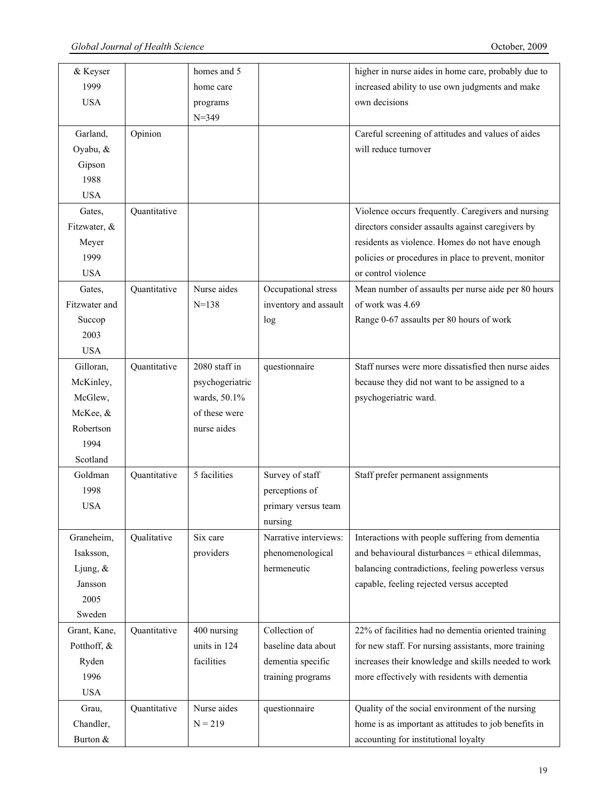| & Keyser      |              | homes and 5     |                       | higher in nurse aides in home care, probably due to  |
|---------------|--------------|-----------------|-----------------------|------------------------------------------------------|
| 1999          |              | home care       |                       | increased ability to use own judgments and make      |
| <b>USA</b>    |              | programs        |                       | own decisions                                        |
|               |              | $N = 349$       |                       |                                                      |
| Garland,      | Opinion      |                 |                       | Careful screening of attitudes and values of aides   |
| Oyabu, &      |              |                 |                       | will reduce turnover                                 |
| Gipson        |              |                 |                       |                                                      |
| 1988          |              |                 |                       |                                                      |
| <b>USA</b>    |              |                 |                       |                                                      |
| Gates,        | Quantitative |                 |                       | Violence occurs frequently. Caregivers and nursing   |
| Fitzwater, &  |              |                 |                       | directors consider assaults against caregivers by    |
| Meyer         |              |                 |                       | residents as violence. Homes do not have enough      |
| 1999          |              |                 |                       | policies or procedures in place to prevent, monitor  |
| <b>USA</b>    |              |                 |                       | or control violence                                  |
| Gates,        | Quantitative | Nurse aides     | Occupational stress   | Mean number of assaults per nurse aide per 80 hours  |
| Fitzwater and |              | $N = 138$       | inventory and assault | of work was 4.69                                     |
| Succop        |              |                 | log                   | Range 0-67 assaults per 80 hours of work             |
| 2003          |              |                 |                       |                                                      |
| <b>USA</b>    |              |                 |                       |                                                      |
| Gilloran,     | Quantitative | 2080 staff in   | questionnaire         | Staff nurses were more dissatisfied then nurse aides |
| McKinley,     |              | psychogeriatric |                       | because they did not want to be assigned to a        |
| McGlew,       |              | wards, 50.1%    |                       | psychogeriatric ward.                                |
| McKee, &      |              | of these were   |                       |                                                      |
| Robertson     |              | nurse aides     |                       |                                                      |
| 1994          |              |                 |                       |                                                      |
|               |              |                 |                       |                                                      |
| Scotland      |              |                 |                       |                                                      |
| Goldman       | Quantitative | 5 facilities    | Survey of staff       | Staff prefer permanent assignments                   |
| 1998          |              |                 | perceptions of        |                                                      |
| <b>USA</b>    |              |                 | primary versus team   |                                                      |
|               |              |                 | nursing               |                                                      |
| Graneheim,    | Qualitative  | Six care        | Narrative interviews: | Interactions with people suffering from dementia     |
| Isaksson,     |              | providers       | phenomenological      | and behavioural disturbances = ethical dilemmas,     |
| Ljung, $\&$   |              |                 | hermeneutic           | balancing contradictions, feeling powerless versus   |
| Jansson       |              |                 |                       | capable, feeling rejected versus accepted            |
| 2005          |              |                 |                       |                                                      |
| Sweden        |              |                 |                       |                                                      |
| Grant, Kane,  | Quantitative | 400 nursing     | Collection of         | 22% of facilities had no dementia oriented training  |
| Potthoff, &   |              | units in 124    | baseline data about   | for new staff. For nursing assistants, more training |
| Ryden         |              | facilities      | dementia specific     | increases their knowledge and skills needed to work  |
| 1996          |              |                 | training programs     | more effectively with residents with dementia        |
| <b>USA</b>    |              |                 |                       |                                                      |
| Grau,         | Quantitative | Nurse aides     | questionnaire         | Quality of the social environment of the nursing     |
| Chandler,     |              | $N = 219$       |                       | home is as important as attitudes to job benefits in |
| Burton &      |              |                 |                       | accounting for institutional loyalty                 |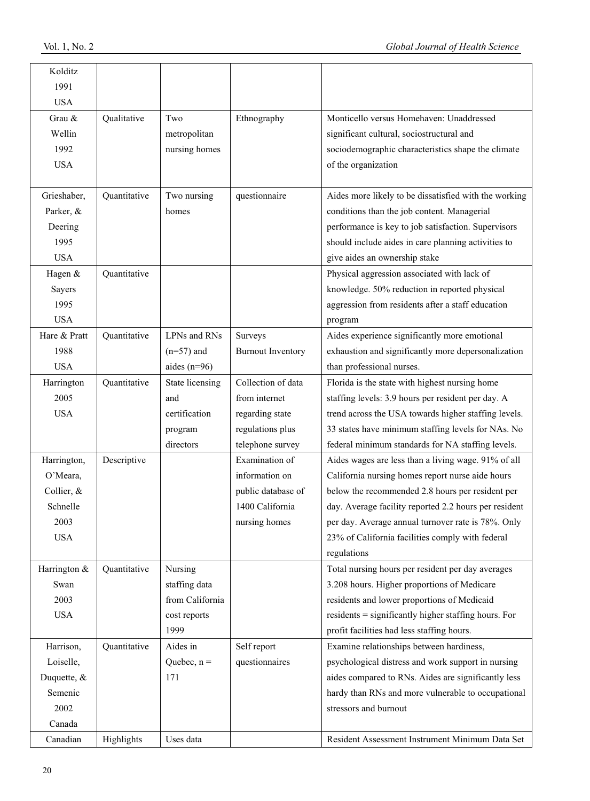| Kolditz      |              |                 |                          |                                                       |
|--------------|--------------|-----------------|--------------------------|-------------------------------------------------------|
| 1991         |              |                 |                          |                                                       |
| <b>USA</b>   |              |                 |                          |                                                       |
| Grau &       | Qualitative  | Two             | Ethnography              | Monticello versus Homehaven: Unaddressed              |
| Wellin       |              | metropolitan    |                          | significant cultural, sociostructural and             |
| 1992         |              | nursing homes   |                          | sociodemographic characteristics shape the climate    |
| <b>USA</b>   |              |                 |                          | of the organization                                   |
|              |              |                 |                          |                                                       |
| Grieshaber,  | Quantitative | Two nursing     | questionnaire            | Aides more likely to be dissatisfied with the working |
| Parker, &    |              | homes           |                          | conditions than the job content. Managerial           |
| Deering      |              |                 |                          | performance is key to job satisfaction. Supervisors   |
| 1995         |              |                 |                          | should include aides in care planning activities to   |
| <b>USA</b>   |              |                 |                          | give aides an ownership stake                         |
| Hagen &      | Quantitative |                 |                          | Physical aggression associated with lack of           |
| Sayers       |              |                 |                          | knowledge. 50% reduction in reported physical         |
| 1995         |              |                 |                          | aggression from residents after a staff education     |
| <b>USA</b>   |              |                 |                          | program                                               |
| Hare & Pratt | Quantitative | LPNs and RNs    | Surveys                  | Aides experience significantly more emotional         |
| 1988         |              | $(n=57)$ and    | <b>Burnout Inventory</b> | exhaustion and significantly more depersonalization   |
| <b>USA</b>   |              | aides $(n=96)$  |                          | than professional nurses.                             |
| Harrington   | Quantitative | State licensing | Collection of data       | Florida is the state with highest nursing home        |
| 2005         |              | and             | from internet            | staffing levels: 3.9 hours per resident per day. A    |
| <b>USA</b>   |              | certification   | regarding state          | trend across the USA towards higher staffing levels.  |
|              |              | program         | regulations plus         | 33 states have minimum staffing levels for NAs. No    |
|              |              | directors       | telephone survey         | federal minimum standards for NA staffing levels.     |
| Harrington,  | Descriptive  |                 | Examination of           | Aides wages are less than a living wage. 91% of all   |
| O'Meara,     |              |                 | information on           | California nursing homes report nurse aide hours      |
| Collier, &   |              |                 | public database of       | below the recommended 2.8 hours per resident per      |
| Schnelle     |              |                 | 1400 California          | day. Average facility reported 2.2 hours per resident |
| 2003         |              |                 | nursing homes            | per day. Average annual turnover rate is 78%. Only    |
| <b>USA</b>   |              |                 |                          | 23% of California facilities comply with federal      |
|              |              |                 |                          | regulations                                           |
| Harrington & | Quantitative | Nursing         |                          | Total nursing hours per resident per day averages     |
| Swan         |              | staffing data   |                          | 3.208 hours. Higher proportions of Medicare           |
| 2003         |              | from California |                          | residents and lower proportions of Medicaid           |
| <b>USA</b>   |              | cost reports    |                          | residents = significantly higher staffing hours. For  |
|              |              | 1999            |                          | profit facilities had less staffing hours.            |
| Harrison,    | Quantitative | Aides in        | Self report              | Examine relationships between hardiness,              |
| Loiselle,    |              | Quebec, $n =$   | questionnaires           | psychological distress and work support in nursing    |
| Duquette, &  |              | 171             |                          | aides compared to RNs. Aides are significantly less   |
| Semenic      |              |                 |                          | hardy than RNs and more vulnerable to occupational    |
| 2002         |              |                 |                          | stressors and burnout                                 |
| Canada       |              |                 |                          |                                                       |
| Canadian     | Highlights   | Uses data       |                          | Resident Assessment Instrument Minimum Data Set       |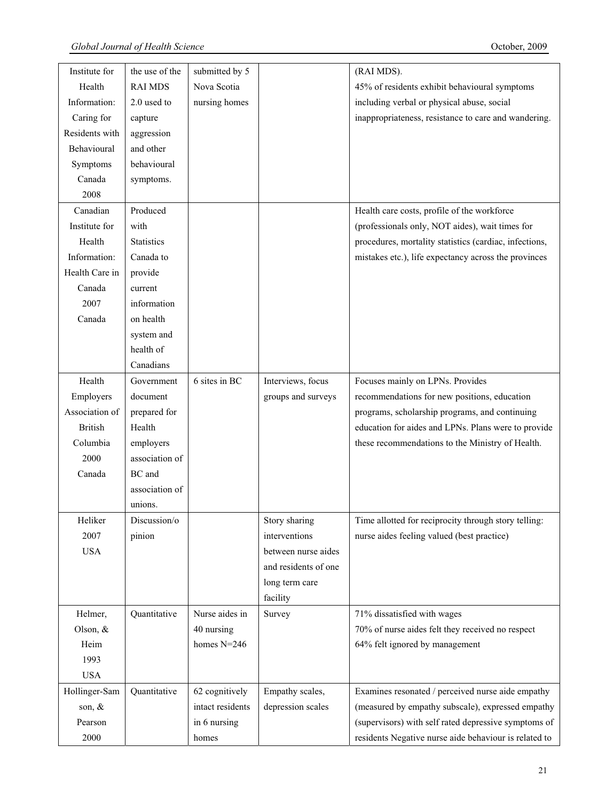| Institute for  | the use of the    | submitted by 5   |                      | (RAI MDS).                                             |
|----------------|-------------------|------------------|----------------------|--------------------------------------------------------|
| Health         | <b>RAI MDS</b>    | Nova Scotia      |                      | 45% of residents exhibit behavioural symptoms          |
| Information:   | 2.0 used to       | nursing homes    |                      | including verbal or physical abuse, social             |
| Caring for     | capture           |                  |                      | inappropriateness, resistance to care and wandering.   |
| Residents with | aggression        |                  |                      |                                                        |
| Behavioural    | and other         |                  |                      |                                                        |
| Symptoms       | behavioural       |                  |                      |                                                        |
| Canada         | symptoms.         |                  |                      |                                                        |
| 2008           |                   |                  |                      |                                                        |
| Canadian       | Produced          |                  |                      | Health care costs, profile of the workforce            |
| Institute for  | with              |                  |                      | (professionals only, NOT aides), wait times for        |
| Health         | <b>Statistics</b> |                  |                      | procedures, mortality statistics (cardiac, infections, |
| Information:   | Canada to         |                  |                      | mistakes etc.), life expectancy across the provinces   |
| Health Care in | provide           |                  |                      |                                                        |
| Canada         | current           |                  |                      |                                                        |
| 2007           | information       |                  |                      |                                                        |
| Canada         | on health         |                  |                      |                                                        |
|                | system and        |                  |                      |                                                        |
|                | health of         |                  |                      |                                                        |
|                | Canadians         |                  |                      |                                                        |
| Health         | Government        | 6 sites in BC    | Interviews, focus    | Focuses mainly on LPNs. Provides                       |
| Employers      | document          |                  | groups and surveys   | recommendations for new positions, education           |
| Association of | prepared for      |                  |                      | programs, scholarship programs, and continuing         |
| <b>British</b> | Health            |                  |                      | education for aides and LPNs. Plans were to provide    |
| Columbia       | employers         |                  |                      | these recommendations to the Ministry of Health.       |
| 2000           | association of    |                  |                      |                                                        |
| Canada         | BC and            |                  |                      |                                                        |
|                | association of    |                  |                      |                                                        |
|                | unions.           |                  |                      |                                                        |
| Heliker        | Discussion/o      |                  | Story sharing        | Time allotted for reciprocity through story telling:   |
| 2007           | pinion            |                  | interventions        | nurse aides feeling valued (best practice)             |
| <b>USA</b>     |                   |                  | between nurse aides  |                                                        |
|                |                   |                  | and residents of one |                                                        |
|                |                   |                  | long term care       |                                                        |
|                |                   |                  | facility             |                                                        |
| Helmer,        | Quantitative      | Nurse aides in   | Survey               | 71% dissatisfied with wages                            |
| Olson, &       |                   | 40 nursing       |                      | 70% of nurse aides felt they received no respect       |
| Heim           |                   | homes $N=246$    |                      | 64% felt ignored by management                         |
| 1993           |                   |                  |                      |                                                        |
| <b>USA</b>     |                   |                  |                      |                                                        |
| Hollinger-Sam  | Quantitative      | 62 cognitively   | Empathy scales,      | Examines resonated / perceived nurse aide empathy      |
| son, &         |                   | intact residents | depression scales    | (measured by empathy subscale), expressed empathy      |
| Pearson        |                   | in 6 nursing     |                      | (supervisors) with self rated depressive symptoms of   |
| 2000           |                   | homes            |                      | residents Negative nurse aide behaviour is related to  |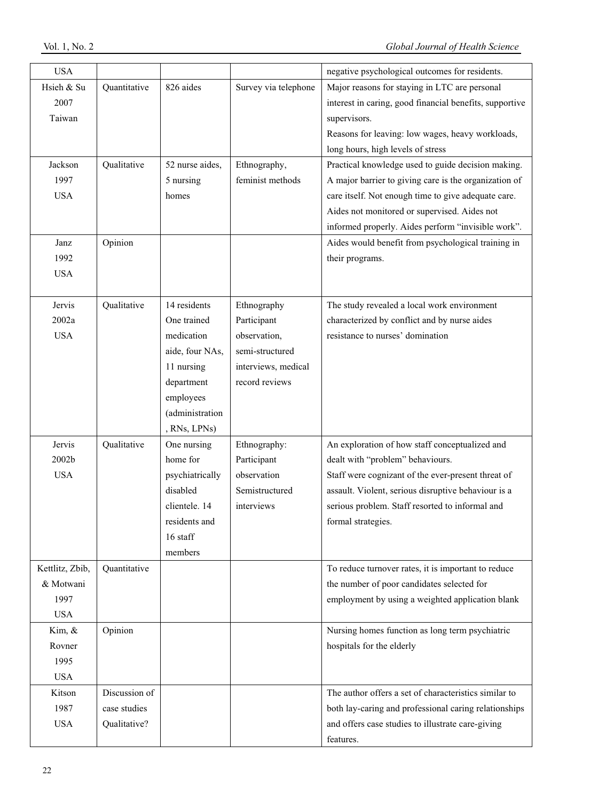| <b>USA</b>      |               |                 |                      | negative psychological outcomes for residents.          |
|-----------------|---------------|-----------------|----------------------|---------------------------------------------------------|
| Hsieh & Su      | Quantitative  | 826 aides       | Survey via telephone | Major reasons for staying in LTC are personal           |
| 2007            |               |                 |                      | interest in caring, good financial benefits, supportive |
| Taiwan          |               |                 |                      | supervisors.                                            |
|                 |               |                 |                      | Reasons for leaving: low wages, heavy workloads,        |
|                 |               |                 |                      | long hours, high levels of stress                       |
| Jackson         | Qualitative   | 52 nurse aides, | Ethnography,         | Practical knowledge used to guide decision making.      |
| 1997            |               | 5 nursing       | feminist methods     | A major barrier to giving care is the organization of   |
| <b>USA</b>      |               | homes           |                      | care itself. Not enough time to give adequate care.     |
|                 |               |                 |                      | Aides not monitored or supervised. Aides not            |
|                 |               |                 |                      | informed properly. Aides perform "invisible work".      |
| Janz            | Opinion       |                 |                      | Aides would benefit from psychological training in      |
| 1992            |               |                 |                      | their programs.                                         |
| <b>USA</b>      |               |                 |                      |                                                         |
|                 |               |                 |                      |                                                         |
| Jervis          | Qualitative   | 14 residents    | Ethnography          | The study revealed a local work environment             |
| 2002a           |               | One trained     | Participant          | characterized by conflict and by nurse aides            |
| <b>USA</b>      |               | medication      | observation,         | resistance to nurses' domination                        |
|                 |               | aide, four NAs, | semi-structured      |                                                         |
|                 |               | 11 nursing      | interviews, medical  |                                                         |
|                 |               | department      | record reviews       |                                                         |
|                 |               | employees       |                      |                                                         |
|                 |               | (administration |                      |                                                         |
|                 |               | , RNs, LPNs)    |                      |                                                         |
| Jervis          | Qualitative   | One nursing     | Ethnography:         | An exploration of how staff conceptualized and          |
| 2002b           |               | home for        | Participant          | dealt with "problem" behaviours.                        |
| <b>USA</b>      |               | psychiatrically | observation          | Staff were cognizant of the ever-present threat of      |
|                 |               | disabled        | Semistructured       | assault. Violent, serious disruptive behaviour is a     |
|                 |               | clientele. 14   | interviews           | serious problem. Staff resorted to informal and         |
|                 |               | residents and   |                      | formal strategies.                                      |
|                 |               | 16 staff        |                      |                                                         |
|                 |               | members         |                      |                                                         |
| Kettlitz, Zbib, | Quantitative  |                 |                      | To reduce turnover rates, it is important to reduce     |
| & Motwani       |               |                 |                      | the number of poor candidates selected for              |
| 1997            |               |                 |                      | employment by using a weighted application blank        |
| <b>USA</b>      |               |                 |                      |                                                         |
| Kim, &          | Opinion       |                 |                      | Nursing homes function as long term psychiatric         |
| Rovner          |               |                 |                      | hospitals for the elderly                               |
| 1995            |               |                 |                      |                                                         |
| <b>USA</b>      |               |                 |                      |                                                         |
| Kitson          | Discussion of |                 |                      | The author offers a set of characteristics similar to   |
| 1987            | case studies  |                 |                      | both lay-caring and professional caring relationships   |
| <b>USA</b>      | Qualitative?  |                 |                      | and offers case studies to illustrate care-giving       |
|                 |               |                 |                      | features.                                               |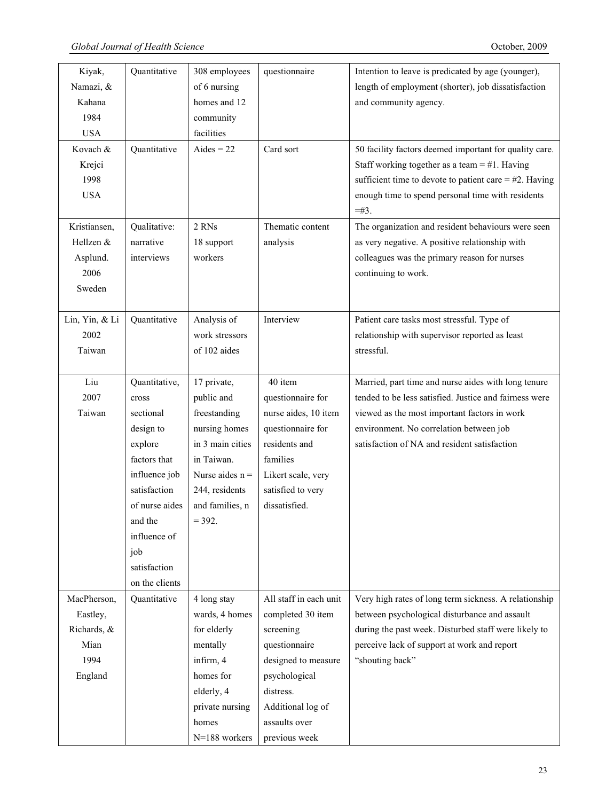$\perp$ 

| Kiyak,         | Quantitative   | 308 employees                          | questionnaire          | Intention to leave is predicated by age (younger),       |
|----------------|----------------|----------------------------------------|------------------------|----------------------------------------------------------|
| Namazi, &      |                | of 6 nursing                           |                        | length of employment (shorter), job dissatisfaction      |
| Kahana         |                | homes and 12                           |                        | and community agency.                                    |
| 1984           |                | community                              |                        |                                                          |
| <b>USA</b>     |                | facilities                             |                        |                                                          |
| Kovach &       | Quantitative   | Aides = $22$                           | Card sort              | 50 facility factors deemed important for quality care.   |
| Krejci         |                |                                        |                        | Staff working together as a team $=$ #1. Having          |
| 1998           |                |                                        |                        | sufficient time to devote to patient care $=$ #2. Having |
| <b>USA</b>     |                |                                        |                        | enough time to spend personal time with residents        |
|                |                |                                        |                        | $=$ #3.                                                  |
| Kristiansen,   | Qualitative:   | 2 RNs                                  | Thematic content       | The organization and resident behaviours were seen       |
| Hellzen &      | narrative      | 18 support                             | analysis               | as very negative. A positive relationship with           |
| Asplund.       | interviews     | workers                                |                        | colleagues was the primary reason for nurses             |
| 2006           |                |                                        |                        | continuing to work.                                      |
| Sweden         |                |                                        |                        |                                                          |
|                |                |                                        |                        |                                                          |
| Lin, Yin, & Li | Quantitative   | Analysis of                            | Interview              | Patient care tasks most stressful. Type of               |
| 2002           |                | work stressors                         |                        | relationship with supervisor reported as least           |
| Taiwan         |                | of 102 aides                           |                        | stressful.                                               |
|                |                |                                        |                        |                                                          |
| Liu            | Quantitative,  | 17 private,                            | 40 item                | Married, part time and nurse aides with long tenure      |
| 2007           | cross          | public and                             | questionnaire for      | tended to be less satisfied. Justice and fairness were   |
| Taiwan         | sectional      | freestanding                           | nurse aides, 10 item   | viewed as the most important factors in work             |
|                | design to      | nursing homes                          | questionnaire for      | environment. No correlation between job                  |
|                | explore        | in 3 main cities                       | residents and          | satisfaction of NA and resident satisfaction             |
|                | factors that   | in Taiwan.                             | families               |                                                          |
|                | influence job  | Nurse aides $n =$                      | Likert scale, very     |                                                          |
|                | satisfaction   | 244, residents                         | satisfied to very      |                                                          |
|                |                | of nurse aides $\vert$ and families, n | dissatisfied.          |                                                          |
|                | and the        | $= 392.$                               |                        |                                                          |
|                | influence of   |                                        |                        |                                                          |
|                | job            |                                        |                        |                                                          |
|                | satisfaction   |                                        |                        |                                                          |
|                | on the clients |                                        |                        |                                                          |
| MacPherson,    | Quantitative   | 4 long stay                            | All staff in each unit | Very high rates of long term sickness. A relationship    |
| Eastley,       |                | wards, 4 homes                         | completed 30 item      | between psychological disturbance and assault            |
| Richards, &    |                | for elderly                            | screening              | during the past week. Disturbed staff were likely to     |
| Mian           |                | mentally                               | questionnaire          | perceive lack of support at work and report              |
| 1994           |                | infirm, 4                              | designed to measure    | "shouting back"                                          |
| England        |                | homes for                              | psychological          |                                                          |
|                |                | elderly, 4                             | distress.              |                                                          |
|                |                | private nursing                        | Additional log of      |                                                          |
|                |                | homes                                  | assaults over          |                                                          |
|                |                | N=188 workers                          | previous week          |                                                          |
|                |                |                                        |                        |                                                          |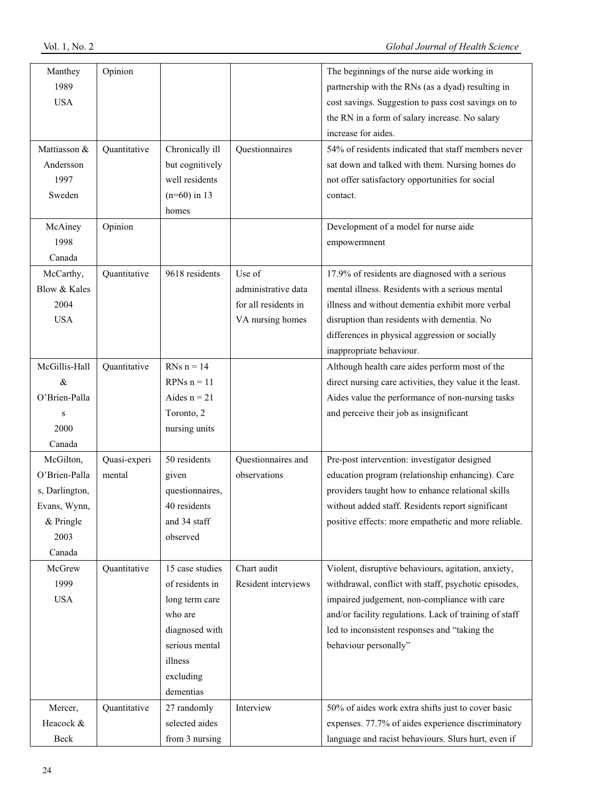| Manthey<br>1989     | Opinion      |                              |                      | The beginnings of the nurse aide working in<br>partnership with the RNs (as a dyad) resulting in |
|---------------------|--------------|------------------------------|----------------------|--------------------------------------------------------------------------------------------------|
| <b>USA</b>          |              |                              |                      | cost savings. Suggestion to pass cost savings on to                                              |
|                     |              |                              |                      | the RN in a form of salary increase. No salary                                                   |
|                     |              |                              |                      | increase for aides.                                                                              |
| Mattiasson &        | Quantitative | Chronically ill              | Questionnaires       | 54% of residents indicated that staff members never                                              |
| Andersson           |              | but cognitively              |                      | sat down and talked with them. Nursing homes do                                                  |
| 1997                |              | well residents               |                      | not offer satisfactory opportunities for social                                                  |
| Sweden              |              | $(n=60)$ in 13               |                      | contact.                                                                                         |
|                     |              | homes                        |                      |                                                                                                  |
| McAiney             | Opinion      |                              |                      | Development of a model for nurse aide                                                            |
| 1998                |              |                              |                      | empowermnent                                                                                     |
| Canada              |              |                              |                      |                                                                                                  |
| McCarthy,           | Quantitative | 9618 residents               | Use of               | 17.9% of residents are diagnosed with a serious                                                  |
| Blow & Kales        |              |                              | administrative data  | mental illness. Residents with a serious mental                                                  |
| 2004                |              |                              | for all residents in | illness and without dementia exhibit more verbal                                                 |
| <b>USA</b>          |              |                              | VA nursing homes     | disruption than residents with dementia. No                                                      |
|                     |              |                              |                      | differences in physical aggression or socially                                                   |
|                     |              |                              |                      | inappropriate behaviour.                                                                         |
| McGillis-Hall       | Quantitative | RNs $n = 14$                 |                      | Although health care aides perform most of the                                                   |
| $\&$                |              | RPNs $n = 11$                |                      | direct nursing care activities, they value it the least.                                         |
| O'Brien-Palla       |              | Aides $n = 21$               |                      | Aides value the performance of non-nursing tasks                                                 |
| S                   |              | Toronto, 2                   |                      | and perceive their job as insignificant                                                          |
| 2000                |              | nursing units                |                      |                                                                                                  |
| Canada              |              |                              |                      |                                                                                                  |
| McGilton,           | Quasi-experi | 50 residents                 | Questionnaires and   | Pre-post intervention: investigator designed                                                     |
| O'Brien-Palla       | mental       | given                        | observations         | education program (relationship enhancing). Care                                                 |
| s, Darlington,      |              | questionnaires,              |                      | providers taught how to enhance relational skills                                                |
| Evans, Wynn,        |              | 40 residents<br>and 34 staff |                      | without added staff. Residents report significant                                                |
| $&$ Pringle<br>2003 |              | observed                     |                      | positive effects: more empathetic and more reliable.                                             |
| Canada              |              |                              |                      |                                                                                                  |
| McGrew              | Quantitative | 15 case studies              | Chart audit          | Violent, disruptive behaviours, agitation, anxiety,                                              |
| 1999                |              | of residents in              | Resident interviews  | withdrawal, conflict with staff, psychotic episodes,                                             |
| <b>USA</b>          |              | long term care               |                      | impaired judgement, non-compliance with care                                                     |
|                     |              | who are                      |                      | and/or facility regulations. Lack of training of staff                                           |
|                     |              | diagnosed with               |                      | led to inconsistent responses and "taking the                                                    |
|                     |              | serious mental               |                      | behaviour personally"                                                                            |
|                     |              | illness                      |                      |                                                                                                  |
|                     |              | excluding                    |                      |                                                                                                  |
|                     |              | dementias                    |                      |                                                                                                  |
| Mercer,             | Quantitative | 27 randomly                  | Interview            | 50% of aides work extra shifts just to cover basic                                               |
| Heacock &           |              | selected aides               |                      | expenses. 77.7% of aides experience discriminatory                                               |
| Beck                |              | from 3 nursing               |                      | language and racist behaviours. Slurs hurt, even if                                              |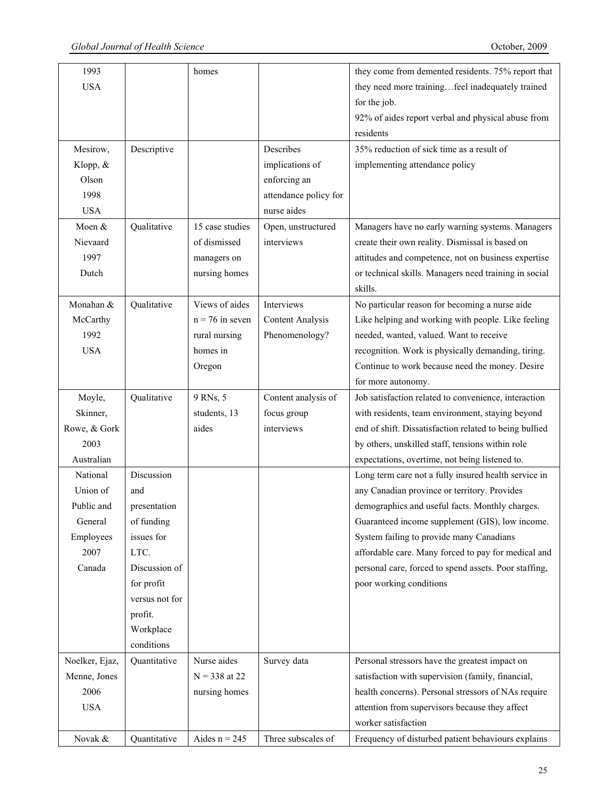| 1993           |                | homes             |                         | they come from demented residents. 75% report that     |
|----------------|----------------|-------------------|-------------------------|--------------------------------------------------------|
| <b>USA</b>     |                |                   |                         | they need more trainingfeel inadequately trained       |
|                |                |                   |                         | for the job.                                           |
|                |                |                   |                         | 92% of aides report verbal and physical abuse from     |
|                |                |                   |                         | residents                                              |
| Mesirow,       | Descriptive    |                   | Describes               | 35% reduction of sick time as a result of              |
| Klopp, &       |                |                   | implications of         | implementing attendance policy                         |
| Olson          |                |                   | enforcing an            |                                                        |
| 1998           |                |                   | attendance policy for   |                                                        |
| <b>USA</b>     |                |                   | nurse aides             |                                                        |
| Moen &         | Qualitative    | 15 case studies   | Open, unstructured      | Managers have no early warning systems. Managers       |
| Nievaard       |                | of dismissed      | interviews              | create their own reality. Dismissal is based on        |
| 1997           |                | managers on       |                         | attitudes and competence, not on business expertise    |
| Dutch          |                | nursing homes     |                         | or technical skills. Managers need training in social  |
|                |                |                   |                         | skills.                                                |
| Monahan &      | Qualitative    | Views of aides    | Interviews              | No particular reason for becoming a nurse aide         |
| McCarthy       |                | $n = 76$ in seven | <b>Content Analysis</b> | Like helping and working with people. Like feeling     |
| 1992           |                | rural nursing     | Phenomenology?          | needed, wanted, valued. Want to receive                |
| <b>USA</b>     |                | homes in          |                         | recognition. Work is physically demanding, tiring.     |
|                |                | Oregon            |                         | Continue to work because need the money. Desire        |
|                |                |                   |                         | for more autonomy.                                     |
| Moyle,         | Qualitative    | 9 RNs, 5          | Content analysis of     | Job satisfaction related to convenience, interaction   |
| Skinner,       |                | students, 13      | focus group             | with residents, team environment, staying beyond       |
| Rowe, & Gork   |                | aides             | interviews              | end of shift. Dissatisfaction related to being bullied |
| 2003           |                |                   |                         | by others, unskilled staff, tensions within role       |
| Australian     |                |                   |                         | expectations, overtime, not being listened to.         |
| National       | Discussion     |                   |                         | Long term care not a fully insured health service in   |
| Union of       | and            |                   |                         | any Canadian province or territory. Provides           |
| Public and     | presentation   |                   |                         | demographics and useful facts. Monthly charges.        |
| General        | of funding     |                   |                         | Guaranteed income supplement (GIS), low income.        |
| Employees      | issues for     |                   |                         | System failing to provide many Canadians               |
| 2007           | LTC.           |                   |                         | affordable care. Many forced to pay for medical and    |
| Canada         | Discussion of  |                   |                         | personal care, forced to spend assets. Poor staffing,  |
|                | for profit     |                   |                         | poor working conditions                                |
|                | versus not for |                   |                         |                                                        |
|                | profit.        |                   |                         |                                                        |
|                | Workplace      |                   |                         |                                                        |
|                | conditions     |                   |                         |                                                        |
| Noelker, Ejaz, | Quantitative   | Nurse aides       | Survey data             | Personal stressors have the greatest impact on         |
| Menne, Jones   |                | $N = 338$ at 22   |                         | satisfaction with supervision (family, financial,      |
| 2006           |                | nursing homes     |                         | health concerns). Personal stressors of NAs require    |
| <b>USA</b>     |                |                   |                         | attention from supervisors because they affect         |
|                |                |                   |                         | worker satisfaction                                    |
| Novak &        | Quantitative   | Aides $n = 245$   | Three subscales of      | Frequency of disturbed patient behaviours explains     |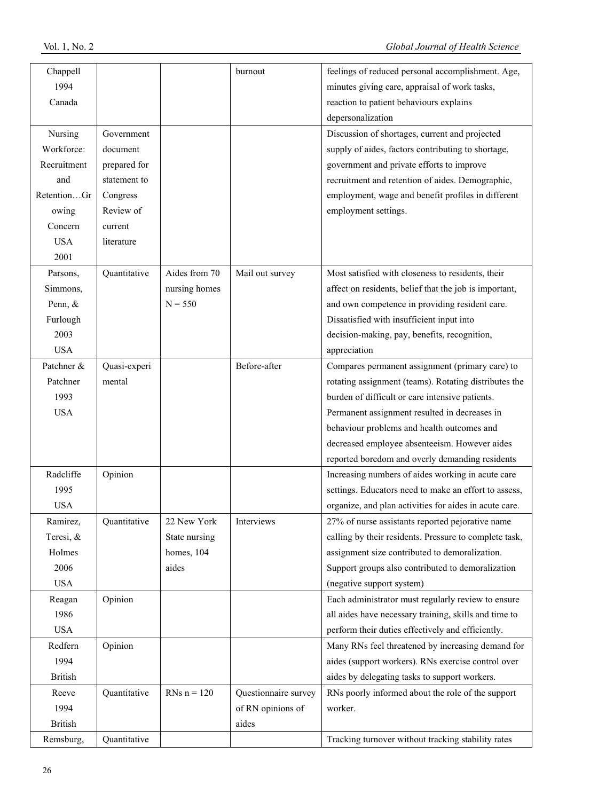| Chappell       |              |               | burnout              | feelings of reduced personal accomplishment. Age,      |
|----------------|--------------|---------------|----------------------|--------------------------------------------------------|
| 1994           |              |               |                      | minutes giving care, appraisal of work tasks,          |
| Canada         |              |               |                      | reaction to patient behaviours explains                |
|                |              |               |                      | depersonalization                                      |
| Nursing        | Government   |               |                      | Discussion of shortages, current and projected         |
| Workforce:     | document     |               |                      | supply of aides, factors contributing to shortage,     |
| Recruitment    | prepared for |               |                      | government and private efforts to improve              |
| and            | statement to |               |                      | recruitment and retention of aides. Demographic,       |
| RetentionGr    | Congress     |               |                      | employment, wage and benefit profiles in different     |
| owing          | Review of    |               |                      | employment settings.                                   |
| Concern        | current      |               |                      |                                                        |
| <b>USA</b>     | literature   |               |                      |                                                        |
| 2001           |              |               |                      |                                                        |
| Parsons,       | Quantitative | Aides from 70 | Mail out survey      | Most satisfied with closeness to residents, their      |
| Simmons,       |              | nursing homes |                      | affect on residents, belief that the job is important, |
| Penn, &        |              | $N = 550$     |                      | and own competence in providing resident care.         |
| Furlough       |              |               |                      | Dissatisfied with insufficient input into              |
| 2003           |              |               |                      | decision-making, pay, benefits, recognition,           |
| <b>USA</b>     |              |               |                      | appreciation                                           |
| Patchner &     | Quasi-experi |               | Before-after         | Compares permanent assignment (primary care) to        |
| Patchner       | mental       |               |                      | rotating assignment (teams). Rotating distributes the  |
| 1993           |              |               |                      | burden of difficult or care intensive patients.        |
| <b>USA</b>     |              |               |                      | Permanent assignment resulted in decreases in          |
|                |              |               |                      | behaviour problems and health outcomes and             |
|                |              |               |                      | decreased employee absenteeism. However aides          |
|                |              |               |                      | reported boredom and overly demanding residents        |
| Radcliffe      | Opinion      |               |                      | Increasing numbers of aides working in acute care      |
| 1995           |              |               |                      | settings. Educators need to make an effort to assess,  |
| <b>USA</b>     |              |               |                      | organize, and plan activities for aides in acute care. |
| Ramirez,       | Quantitative | 22 New York   | Interviews           | 27% of nurse assistants reported pejorative name       |
| Teresi, &      |              | State nursing |                      | calling by their residents. Pressure to complete task, |
| Holmes         |              | homes, 104    |                      | assignment size contributed to demoralization.         |
| 2006           |              | aides         |                      | Support groups also contributed to demoralization      |
| <b>USA</b>     |              |               |                      | (negative support system)                              |
| Reagan         | Opinion      |               |                      | Each administrator must regularly review to ensure     |
| 1986           |              |               |                      | all aides have necessary training, skills and time to  |
| <b>USA</b>     |              |               |                      | perform their duties effectively and efficiently.      |
| Redfern        | Opinion      |               |                      | Many RNs feel threatened by increasing demand for      |
| 1994           |              |               |                      | aides (support workers). RNs exercise control over     |
| <b>British</b> |              |               |                      | aides by delegating tasks to support workers.          |
| Reeve          | Quantitative | RNs $n = 120$ | Questionnaire survey | RNs poorly informed about the role of the support      |
| 1994           |              |               | of RN opinions of    | worker.                                                |
| <b>British</b> |              |               | aides                |                                                        |
| Remsburg,      | Quantitative |               |                      | Tracking turnover without tracking stability rates     |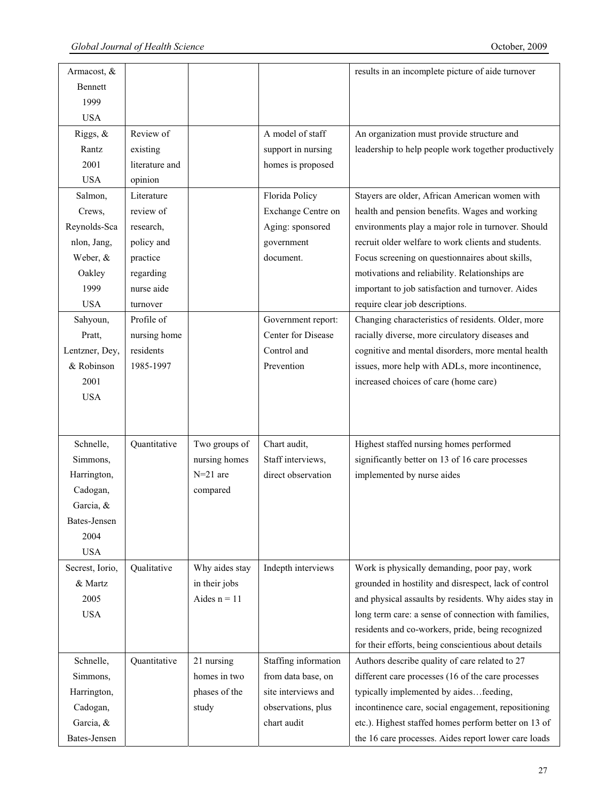| Armacost, &         |                |                |                      | results in an incomplete picture of aide turnover     |
|---------------------|----------------|----------------|----------------------|-------------------------------------------------------|
| Bennett             |                |                |                      |                                                       |
| 1999                |                |                |                      |                                                       |
| <b>USA</b>          |                |                |                      |                                                       |
| Riggs, &            | Review of      |                | A model of staff     | An organization must provide structure and            |
| Rantz               | existing       |                | support in nursing   | leadership to help people work together productively  |
| 2001                | literature and |                | homes is proposed    |                                                       |
| <b>USA</b>          | opinion        |                |                      |                                                       |
| Salmon,             | Literature     |                | Florida Policy       | Stayers are older, African American women with        |
| Crews,              | review of      |                | Exchange Centre on   | health and pension benefits. Wages and working        |
| Reynolds-Sca        | research,      |                | Aging: sponsored     | environments play a major role in turnover. Should    |
| nlon, Jang,         | policy and     |                | government           | recruit older welfare to work clients and students.   |
| Weber, &            |                |                | document.            | Focus screening on questionnaires about skills,       |
|                     | practice       |                |                      | motivations and reliability. Relationships are        |
| Oakley              | regarding      |                |                      |                                                       |
| 1999                | nurse aide     |                |                      | important to job satisfaction and turnover. Aides     |
| <b>USA</b>          | turnover       |                |                      | require clear job descriptions.                       |
| Sahyoun,            | Profile of     |                | Government report:   | Changing characteristics of residents. Older, more    |
| Pratt,              | nursing home   |                | Center for Disease   | racially diverse, more circulatory diseases and       |
| Lentzner, Dey,      | residents      |                | Control and          | cognitive and mental disorders, more mental health    |
| & Robinson          | 1985-1997      |                | Prevention           | issues, more help with ADLs, more incontinence,       |
| 2001                |                |                |                      | increased choices of care (home care)                 |
| <b>USA</b>          |                |                |                      |                                                       |
|                     |                |                |                      |                                                       |
|                     |                |                |                      |                                                       |
| Schnelle,           | Quantitative   | Two groups of  | Chart audit,         | Highest staffed nursing homes performed               |
| Simmons,            |                | nursing homes  | Staff interviews,    | significantly better on 13 of 16 care processes       |
| Harrington,         |                | $N=21$ are     | direct observation   | implemented by nurse aides                            |
| Cadogan,            |                | compared       |                      |                                                       |
| Garcia, &           |                |                |                      |                                                       |
| <b>Bates-Jensen</b> |                |                |                      |                                                       |
| 2004                |                |                |                      |                                                       |
| <b>USA</b>          |                |                |                      |                                                       |
| Secrest, Iorio,     | Qualitative    | Why aides stay | Indepth interviews   | Work is physically demanding, poor pay, work          |
| & Martz             |                | in their jobs  |                      | grounded in hostility and disrespect, lack of control |
| 2005                |                | Aides $n = 11$ |                      | and physical assaults by residents. Why aides stay in |
| <b>USA</b>          |                |                |                      | long term care: a sense of connection with families,  |
|                     |                |                |                      | residents and co-workers, pride, being recognized     |
|                     |                |                |                      | for their efforts, being conscientious about details  |
| Schnelle,           | Quantitative   | 21 nursing     | Staffing information | Authors describe quality of care related to 27        |
| Simmons,            |                | homes in two   | from data base, on   | different care processes (16 of the care processes    |
| Harrington,         |                | phases of the  | site interviews and  | typically implemented by aidesfeeding,                |
| Cadogan,            |                | study          | observations, plus   | incontinence care, social engagement, repositioning   |
| Garcia, &           |                |                | chart audit          | etc.). Highest staffed homes perform better on 13 of  |
| Bates-Jensen        |                |                |                      | the 16 care processes. Aides report lower care loads  |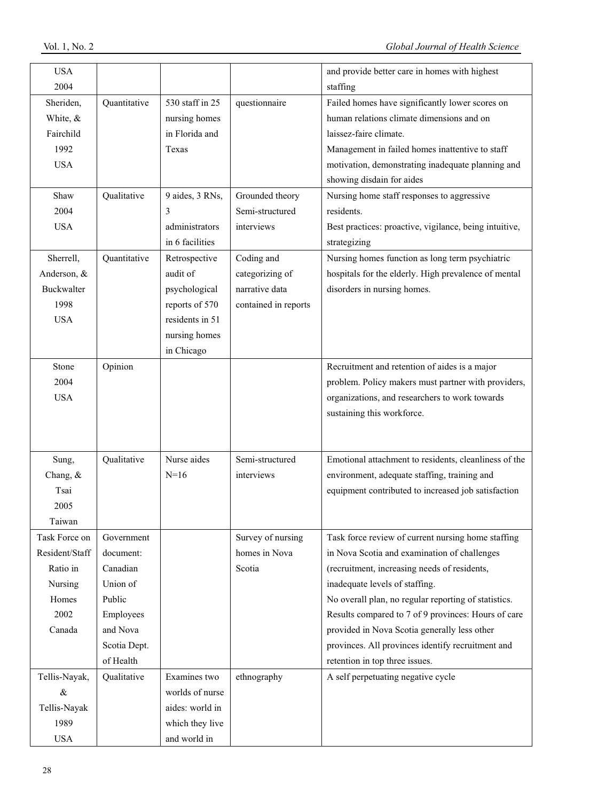| <b>USA</b>     |              |                 |                      | and provide better care in homes with highest          |
|----------------|--------------|-----------------|----------------------|--------------------------------------------------------|
| 2004           |              |                 |                      | staffing                                               |
| Sheriden,      | Quantitative | 530 staff in 25 | questionnaire        | Failed homes have significantly lower scores on        |
| White, &       |              | nursing homes   |                      | human relations climate dimensions and on              |
| Fairchild      |              | in Florida and  |                      | laissez-faire climate.                                 |
| 1992           |              | Texas           |                      | Management in failed homes inattentive to staff        |
| <b>USA</b>     |              |                 |                      | motivation, demonstrating inadequate planning and      |
|                |              |                 |                      | showing disdain for aides                              |
| Shaw           | Qualitative  | 9 aides, 3 RNs, | Grounded theory      | Nursing home staff responses to aggressive             |
| 2004           |              | 3               | Semi-structured      | residents.                                             |
| <b>USA</b>     |              | administrators  | interviews           | Best practices: proactive, vigilance, being intuitive, |
|                |              | in 6 facilities |                      | strategizing                                           |
| Sherrell,      | Quantitative | Retrospective   | Coding and           | Nursing homes function as long term psychiatric        |
| Anderson, &    |              | audit of        | categorizing of      | hospitals for the elderly. High prevalence of mental   |
| Buckwalter     |              | psychological   | narrative data       | disorders in nursing homes.                            |
| 1998           |              | reports of 570  | contained in reports |                                                        |
| <b>USA</b>     |              | residents in 51 |                      |                                                        |
|                |              | nursing homes   |                      |                                                        |
|                |              | in Chicago      |                      |                                                        |
| Stone          | Opinion      |                 |                      | Recruitment and retention of aides is a major          |
| 2004           |              |                 |                      | problem. Policy makers must partner with providers,    |
| <b>USA</b>     |              |                 |                      | organizations, and researchers to work towards         |
|                |              |                 |                      | sustaining this workforce.                             |
|                |              |                 |                      |                                                        |
|                |              |                 |                      |                                                        |
| Sung,          | Qualitative  | Nurse aides     | Semi-structured      | Emotional attachment to residents, cleanliness of the  |
| Chang, &       |              | $N=16$          | interviews           | environment, adequate staffing, training and           |
| Tsai           |              |                 |                      | equipment contributed to increased job satisfaction    |
| 2005           |              |                 |                      |                                                        |
| Taiwan         |              |                 |                      |                                                        |
| Task Force on  | Government   |                 | Survey of nursing    | Task force review of current nursing home staffing     |
| Resident/Staff | document:    |                 | homes in Nova        | in Nova Scotia and examination of challenges           |
| Ratio in       | Canadian     |                 | Scotia               | (recruitment, increasing needs of residents,           |
| Nursing        | Union of     |                 |                      | inadequate levels of staffing.                         |
| Homes          | Public       |                 |                      | No overall plan, no regular reporting of statistics.   |
| 2002           | Employees    |                 |                      | Results compared to 7 of 9 provinces: Hours of care    |
| Canada         | and Nova     |                 |                      | provided in Nova Scotia generally less other           |
|                | Scotia Dept. |                 |                      | provinces. All provinces identify recruitment and      |
|                | of Health    |                 |                      | retention in top three issues.                         |
| Tellis-Nayak,  | Qualitative  | Examines two    | ethnography          | A self perpetuating negative cycle                     |
| $\&$           |              | worlds of nurse |                      |                                                        |
| Tellis-Nayak   |              | aides: world in |                      |                                                        |
| 1989           |              | which they live |                      |                                                        |
|                |              |                 |                      |                                                        |
| <b>USA</b>     |              | and world in    |                      |                                                        |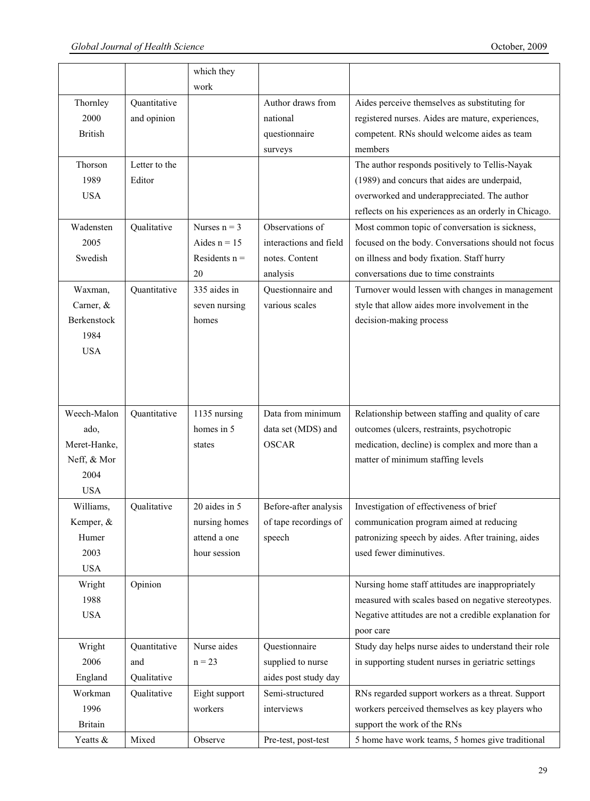|                |               | which they      |                        |                                                       |
|----------------|---------------|-----------------|------------------------|-------------------------------------------------------|
|                |               | work            |                        |                                                       |
| Thornley       | Quantitative  |                 | Author draws from      | Aides perceive themselves as substituting for         |
| 2000           | and opinion   |                 | national               | registered nurses. Aides are mature, experiences,     |
| <b>British</b> |               |                 | questionnaire          | competent. RNs should welcome aides as team           |
|                |               |                 | surveys                | members                                               |
| Thorson        | Letter to the |                 |                        | The author responds positively to Tellis-Nayak        |
| 1989           | Editor        |                 |                        | (1989) and concurs that aides are underpaid,          |
| <b>USA</b>     |               |                 |                        | overworked and underappreciated. The author           |
|                |               |                 |                        | reflects on his experiences as an orderly in Chicago. |
| Wadensten      | Qualitative   | Nurses $n = 3$  | Observations of        | Most common topic of conversation is sickness,        |
| 2005           |               | Aides $n = 15$  | interactions and field | focused on the body. Conversations should not focus   |
| Swedish        |               | Residents $n =$ | notes. Content         | on illness and body fixation. Staff hurry             |
|                |               | 20              | analysis               | conversations due to time constraints                 |
| Waxman,        | Quantitative  | 335 aides in    | Questionnaire and      | Turnover would lessen with changes in management      |
| Carner, &      |               | seven nursing   | various scales         | style that allow aides more involvement in the        |
| Berkenstock    |               | homes           |                        | decision-making process                               |
| 1984           |               |                 |                        |                                                       |
| <b>USA</b>     |               |                 |                        |                                                       |
|                |               |                 |                        |                                                       |
|                |               |                 |                        |                                                       |
|                |               |                 |                        |                                                       |
| Weech-Malon    | Quantitative  | 1135 nursing    | Data from minimum      | Relationship between staffing and quality of care     |
| ado,           |               | homes in 5      | data set (MDS) and     | outcomes (ulcers, restraints, psychotropic            |
| Meret-Hanke,   |               | states          | <b>OSCAR</b>           | medication, decline) is complex and more than a       |
| Neff, & Mor    |               |                 |                        | matter of minimum staffing levels                     |
| 2004           |               |                 |                        |                                                       |
| <b>USA</b>     |               |                 |                        |                                                       |
| Williams,      | Qualitative   | 20 aides in 5   | Before-after analysis  | Investigation of effectiveness of brief               |
| Kemper, &      |               | nursing homes   | of tape recordings of  | communication program aimed at reducing               |
| Humer          |               | attend a one    | speech                 | patronizing speech by aides. After training, aides    |
| 2003           |               | hour session    |                        | used fewer diminutives.                               |
| <b>USA</b>     |               |                 |                        |                                                       |
| Wright         | Opinion       |                 |                        | Nursing home staff attitudes are inappropriately      |
| 1988           |               |                 |                        | measured with scales based on negative stereotypes.   |
| <b>USA</b>     |               |                 |                        | Negative attitudes are not a credible explanation for |
|                |               |                 |                        | poor care                                             |
| Wright         | Quantitative  | Nurse aides     | Questionnaire          | Study day helps nurse aides to understand their role  |
| 2006           | and           | $n = 23$        | supplied to nurse      | in supporting student nurses in geriatric settings    |
| England        | Qualitative   |                 | aides post study day   |                                                       |
| Workman        | Qualitative   | Eight support   | Semi-structured        | RNs regarded support workers as a threat. Support     |
| 1996           |               | workers         | interviews             | workers perceived themselves as key players who       |
| <b>Britain</b> |               |                 |                        | support the work of the RNs                           |
| Yeatts &       | Mixed         | Observe         | Pre-test, post-test    | 5 home have work teams, 5 homes give traditional      |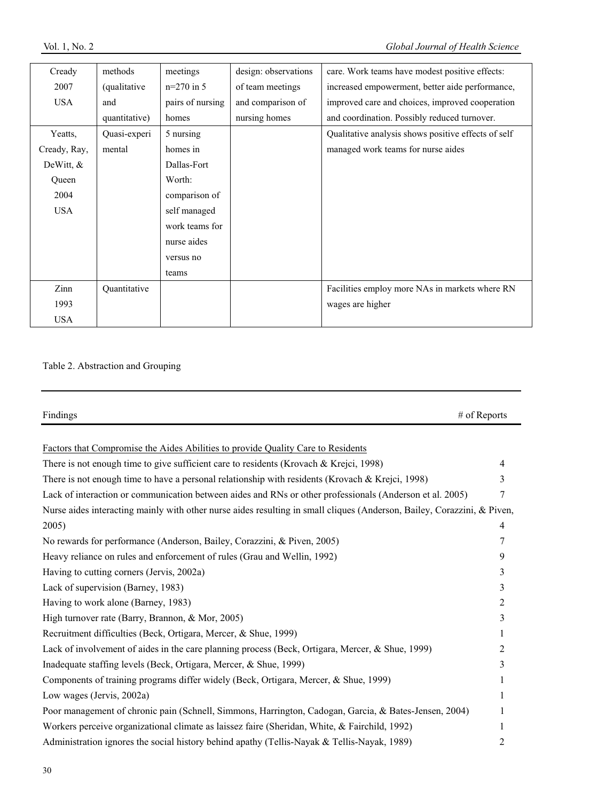| Cready       | methods              | meetings         | design: observations | care. Work teams have modest positive effects:      |
|--------------|----------------------|------------------|----------------------|-----------------------------------------------------|
| 2007         | <i>(qualitative)</i> | $n=270$ in 5     | of team meetings     | increased empowerment, better aide performance,     |
| <b>USA</b>   | and                  | pairs of nursing | and comparison of    | improved care and choices, improved cooperation     |
|              | quantitative)        | homes            | nursing homes        | and coordination. Possibly reduced turnover.        |
| Yeatts,      | Quasi-experi         | 5 nursing        |                      | Qualitative analysis shows positive effects of self |
| Cready, Ray, | mental               | homes in         |                      | managed work teams for nurse aides                  |
| DeWitt, $&$  |                      | Dallas-Fort      |                      |                                                     |
| Queen        |                      | Worth:           |                      |                                                     |
| 2004         |                      | comparison of    |                      |                                                     |
| <b>USA</b>   |                      | self managed     |                      |                                                     |
|              |                      | work teams for   |                      |                                                     |
|              |                      | nurse aides      |                      |                                                     |
|              |                      | versus no        |                      |                                                     |
|              |                      | teams            |                      |                                                     |
| Zinn         | Quantitative         |                  |                      | Facilities employ more NAs in markets where RN      |
| 1993         |                      |                  |                      | wages are higher                                    |
| <b>USA</b>   |                      |                  |                      |                                                     |

# Table 2. Abstraction and Grouping

| Findings                                                                                                                | # of Reports   |
|-------------------------------------------------------------------------------------------------------------------------|----------------|
|                                                                                                                         |                |
| Factors that Compromise the Aides Abilities to provide Quality Care to Residents                                        |                |
| There is not enough time to give sufficient care to residents (Krovach & Krejci, 1998)                                  | $\overline{4}$ |
| There is not enough time to have a personal relationship with residents (Krovach & Krejci, 1998)                        | 3              |
| Lack of interaction or communication between aides and RNs or other professionals (Anderson et al. 2005)                | 7              |
| Nurse aides interacting mainly with other nurse aides resulting in small cliques (Anderson, Bailey, Corazzini, & Piven, |                |
| 2005)                                                                                                                   | $\overline{4}$ |
| No rewards for performance (Anderson, Bailey, Corazzini, & Piven, 2005)                                                 | 7              |
| Heavy reliance on rules and enforcement of rules (Grau and Wellin, 1992)                                                | 9              |
| Having to cutting corners (Jervis, 2002a)                                                                               | 3              |
| Lack of supervision (Barney, 1983)                                                                                      | 3              |
| Having to work alone (Barney, 1983)                                                                                     | 2              |
| High turnover rate (Barry, Brannon, & Mor, 2005)                                                                        | 3              |
| Recruitment difficulties (Beck, Ortigara, Mercer, & Shue, 1999)                                                         | 1              |
| Lack of involvement of aides in the care planning process (Beck, Ortigara, Mercer, & Shue, 1999)                        | 2              |
| Inadequate staffing levels (Beck, Ortigara, Mercer, & Shue, 1999)                                                       | 3              |
| Components of training programs differ widely (Beck, Ortigara, Mercer, & Shue, 1999)                                    | 1              |
| Low wages (Jervis, 2002a)                                                                                               | 1              |
| Poor management of chronic pain (Schnell, Simmons, Harrington, Cadogan, Garcia, & Bates-Jensen, 2004)                   | 1              |
| Workers perceive organizational climate as laissez faire (Sheridan, White, & Fairchild, 1992)                           | 1              |
| Administration ignores the social history behind apathy (Tellis-Nayak & Tellis-Nayak, 1989)                             | 2              |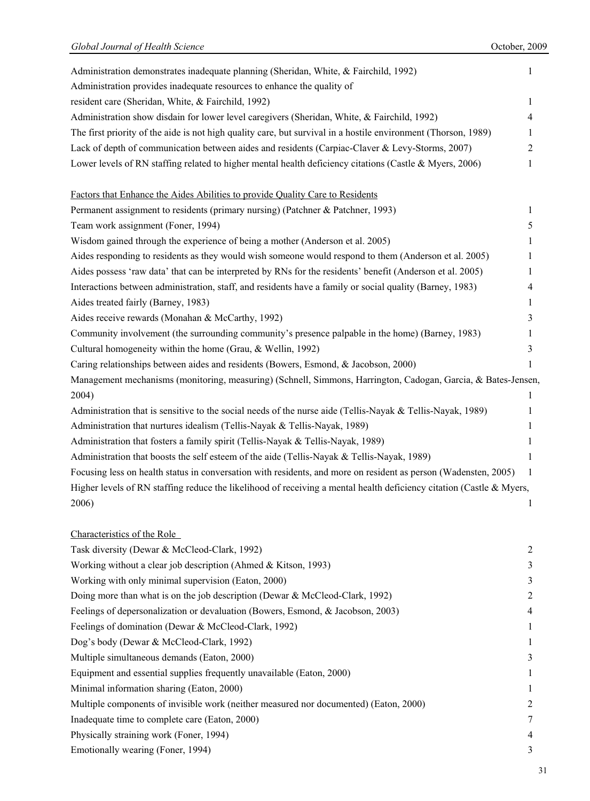| Administration demonstrates inadequate planning (Sheridan, White, & Fairchild, 1992)<br>1                            |  |
|----------------------------------------------------------------------------------------------------------------------|--|
| Administration provides inadequate resources to enhance the quality of                                               |  |
| resident care (Sheridan, White, & Fairchild, 1992)<br>1                                                              |  |
| Administration show disdain for lower level caregivers (Sheridan, White, & Fairchild, 1992)<br>4                     |  |
| The first priority of the aide is not high quality care, but survival in a hostile environment (Thorson, 1989)<br>1  |  |
| Lack of depth of communication between aides and residents (Carpiac-Claver & Levy-Storms, 2007)<br>$\overline{2}$    |  |
| Lower levels of RN staffing related to higher mental health deficiency citations (Castle & Myers, 2006)<br>1         |  |
| Factors that Enhance the Aides Abilities to provide Quality Care to Residents                                        |  |
| Permanent assignment to residents (primary nursing) (Patchner & Patchner, 1993)<br>1                                 |  |
| Team work assignment (Foner, 1994)<br>5                                                                              |  |
| Wisdom gained through the experience of being a mother (Anderson et al. 2005)<br>1                                   |  |
| Aides responding to residents as they would wish someone would respond to them (Anderson et al. 2005)<br>1           |  |
| Aides possess 'raw data' that can be interpreted by RNs for the residents' benefit (Anderson et al. 2005)<br>1       |  |
| Interactions between administration, staff, and residents have a family or social quality (Barney, 1983)<br>4        |  |
| Aides treated fairly (Barney, 1983)<br>1                                                                             |  |
| Aides receive rewards (Monahan & McCarthy, 1992)<br>3                                                                |  |
| Community involvement (the surrounding community's presence palpable in the home) (Barney, 1983)<br>1                |  |
| Cultural homogeneity within the home (Grau, & Wellin, 1992)<br>3                                                     |  |
| Caring relationships between aides and residents (Bowers, Esmond, & Jacobson, 2000)<br>1                             |  |
| Management mechanisms (monitoring, measuring) (Schnell, Simmons, Harrington, Cadogan, Garcia, & Bates-Jensen,        |  |
| 2004)<br>1                                                                                                           |  |
| Administration that is sensitive to the social needs of the nurse aide (Tellis-Nayak & Tellis-Nayak, 1989)<br>1      |  |
| Administration that nurtures idealism (Tellis-Nayak & Tellis-Nayak, 1989)<br>1                                       |  |
| Administration that fosters a family spirit (Tellis-Nayak & Tellis-Nayak, 1989)<br>1                                 |  |
| Administration that boosts the self esteem of the aide (Tellis-Nayak & Tellis-Nayak, 1989)<br>1                      |  |
| Focusing less on health status in conversation with residents, and more on resident as person (Wadensten, 2005)<br>1 |  |
| Higher levels of RN staffing reduce the likelihood of receiving a mental health deficiency citation (Castle & Myers, |  |
| 2006)                                                                                                                |  |
| Characteristics of the Role                                                                                          |  |
| Task diversity (Dewar & McCleod-Clark, 1992)<br>$\overline{2}$                                                       |  |
| Working without a clear job description (Ahmed & Kitson, 1993)<br>3                                                  |  |
| Working with only minimal supervision (Eaton, 2000)<br>3                                                             |  |
| Doing more than what is on the job description (Dewar & McCleod-Clark, 1992)<br>2                                    |  |
| Feelings of depersonalization or devaluation (Bowers, Esmond, & Jacobson, 2003)<br>4                                 |  |
| Feelings of domination (Dewar & McCleod-Clark, 1992)<br>1                                                            |  |
| Dog's body (Dewar & McCleod-Clark, 1992)<br>1                                                                        |  |
| Multiple simultaneous demands (Eaton, 2000)<br>3                                                                     |  |
| Equipment and essential supplies frequently unavailable (Eaton, 2000)<br>1                                           |  |
| Minimal information sharing (Eaton, 2000)<br>1                                                                       |  |
| Multiple components of invisible work (neither measured nor documented) (Eaton, 2000)<br>2                           |  |
| Inadequate time to complete care (Eaton, 2000)<br>7                                                                  |  |
| Physically straining work (Foner, 1994)<br>4                                                                         |  |
| Emotionally wearing (Foner, 1994)<br>3                                                                               |  |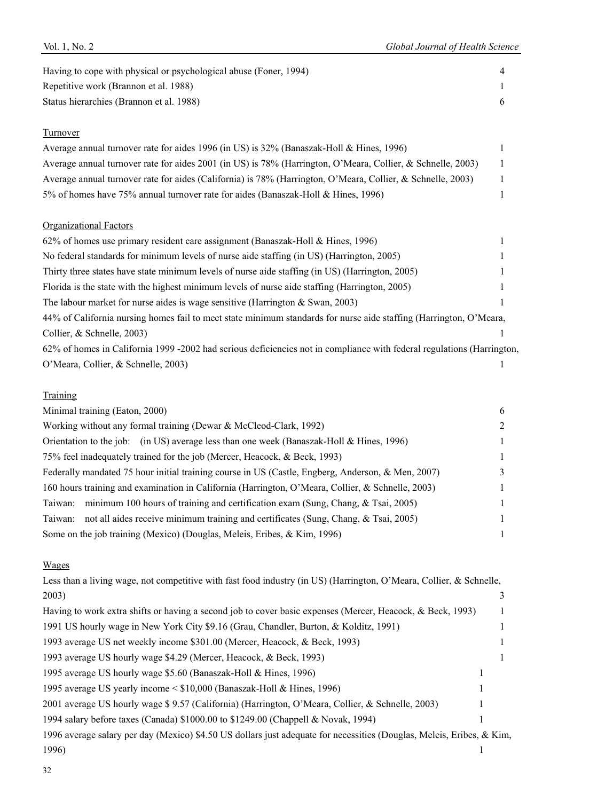| Having to cope with physical or psychological abuse (Foner, 1994)                                                      | 4 |
|------------------------------------------------------------------------------------------------------------------------|---|
| Repetitive work (Brannon et al. 1988)                                                                                  |   |
| Status hierarchies (Brannon et al. 1988)                                                                               | 6 |
| Turnover                                                                                                               |   |
| Average annual turnover rate for aides 1996 (in US) is 32% (Banaszak-Holl & Hines, 1996)                               |   |
| Average annual turnover rate for aides 2001 (in US) is 78% (Harrington, O'Meara, Collier, & Schnelle, 2003)            | 1 |
| Average annual turnover rate for aides (California) is 78% (Harrington, O'Meara, Collier, & Schnelle, 2003)            | 1 |
| 5% of homes have 75% annual turnover rate for aides (Banaszak-Holl & Hines, 1996)                                      | 1 |
| <b>Organizational Factors</b>                                                                                          |   |
| 62% of homes use primary resident care assignment (Banaszak-Holl & Hines, 1996)                                        |   |
| No federal standards for minimum levels of nurse aide staffing (in US) (Harrington, 2005)                              |   |
| Thirty three states have state minimum levels of nurse aide staffing (in US) (Harrington, 2005)                        |   |
| Florida is the state with the highest minimum levels of nurse aide staffing (Harrington, 2005)                         |   |
| The labour market for nurse aides is wage sensitive (Harrington $&$ Swan, 2003)                                        |   |
| 44% of California nursing homes fail to meet state minimum standards for nurse aide staffing (Harrington, O'Meara,     |   |
| Collier, & Schnelle, 2003)                                                                                             |   |
| 62% of homes in California 1999 -2002 had serious deficiencies not in compliance with federal regulations (Harrington, |   |
| O'Meara, Collier, & Schnelle, 2003)                                                                                    | 1 |
| Training                                                                                                               |   |
| Minimal training (Eaton, 2000)                                                                                         | 6 |

| Working without any formal training (Dewar & McCleod-Clark, 1992)                                 | $\mathfrak{D}$ |
|---------------------------------------------------------------------------------------------------|----------------|
| Orientation to the job: (in US) average less than one week (Banaszak-Holl & Hines, 1996)          | 1              |
| 75% feel inadequately trained for the job (Mercer, Heacock, & Beck, 1993)                         | 1              |
| Federally mandated 75 hour initial training course in US (Castle, Engberg, Anderson, & Men, 2007) | 3              |
| 160 hours training and examination in California (Harrington, O'Meara, Collier, & Schnelle, 2003) |                |
| minimum 100 hours of training and certification exam (Sung, Chang, $\&$ Tsai, 2005)<br>Taiwan:    | 1              |
| not all aides receive minimum training and certificates (Sung, Chang, & Tsai, 2005)<br>Taiwan:    |                |
| Some on the job training (Mexico) (Douglas, Meleis, Eribes, & Kim, 1996)                          |                |

# Wages

| Less than a living wage, not competitive with fast food industry (in US) (Harrington, O'Meara, Collier, & Schnelle,   |  |
|-----------------------------------------------------------------------------------------------------------------------|--|
| 2003)                                                                                                                 |  |
| Having to work extra shifts or having a second job to cover basic expenses (Mercer, Heacock, & Beck, 1993)            |  |
| 1991 US hourly wage in New York City \$9.16 (Grau, Chandler, Burton, & Kolditz, 1991)                                 |  |
| 1993 average US net weekly income \$301.00 (Mercer, Heacock, & Beck, 1993)                                            |  |
| 1993 average US hourly wage \$4.29 (Mercer, Heacock, & Beck, 1993)                                                    |  |
| 1995 average US hourly wage \$5.60 (Banaszak-Holl & Hines, 1996)                                                      |  |
| 1995 average US yearly income < \$10,000 (Banaszak-Holl & Hines, 1996)                                                |  |
| 2001 average US hourly wage \$9.57 (California) (Harrington, O'Meara, Collier, & Schnelle, 2003)                      |  |
| 1994 salary before taxes (Canada) \$1000.00 to \$1249.00 (Chappell & Novak, 1994)                                     |  |
| 1996 average salary per day (Mexico) \$4.50 US dollars just adequate for necessities (Douglas, Meleis, Eribes, & Kim, |  |
| 1996)                                                                                                                 |  |
|                                                                                                                       |  |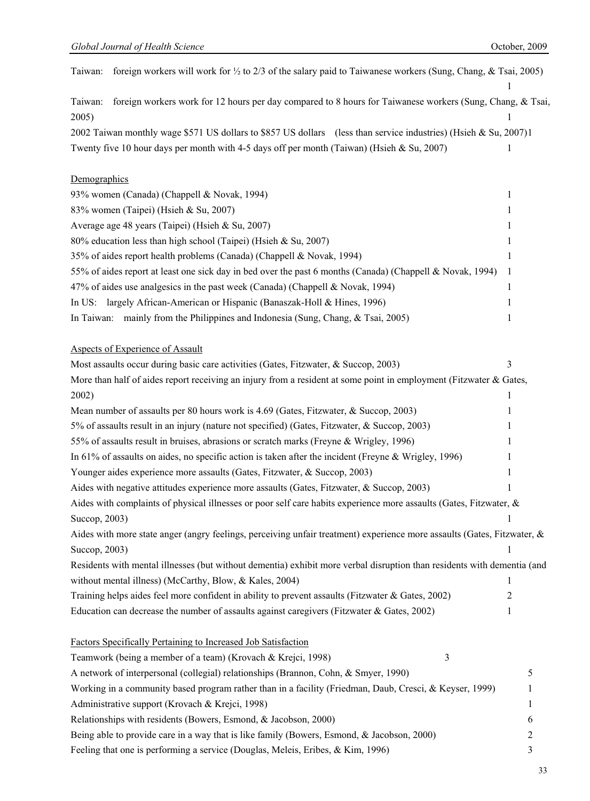| foreign workers will work for 1/2 to 2/3 of the salary paid to Taiwanese workers (Sung, Chang, & Tsai, 2005)<br>Taiwan: |   |
|-------------------------------------------------------------------------------------------------------------------------|---|
|                                                                                                                         |   |
| foreign workers work for 12 hours per day compared to 8 hours for Taiwanese workers (Sung, Chang, & Tsai,<br>Taiwan:    |   |
| 2005)                                                                                                                   |   |
| 2002 Taiwan monthly wage \$571 US dollars to \$857 US dollars (less than service industries) (Hsieh & Su, 2007)1        |   |
| Twenty five 10 hour days per month with 4-5 days off per month (Taiwan) (Hsieh & Su, 2007)                              | 1 |
|                                                                                                                         |   |
| Demographics                                                                                                            |   |
| 93% women (Canada) (Chappell & Novak, 1994)                                                                             | 1 |
| 83% women (Taipei) (Hsieh & Su, 2007)                                                                                   | 1 |
| Average age 48 years (Taipei) (Hsieh & Su, 2007)                                                                        | 1 |
| 80% education less than high school (Taipei) (Hsieh & Su, 2007)                                                         | 1 |
| 35% of aides report health problems (Canada) (Chappell & Novak, 1994)                                                   | 1 |
| 55% of aides report at least one sick day in bed over the past 6 months (Canada) (Chappell & Novak, 1994)               | 1 |
| 47% of aides use analgesics in the past week (Canada) (Chappell & Novak, 1994)                                          | 1 |
| largely African-American or Hispanic (Banaszak-Holl & Hines, 1996)<br>In US:                                            | 1 |
| In Taiwan: mainly from the Philippines and Indonesia (Sung, Chang, & Tsai, 2005)                                        | 1 |
|                                                                                                                         |   |
| Aspects of Experience of Assault                                                                                        |   |
| Most assaults occur during basic care activities (Gates, Fitzwater, & Succop, 2003)                                     | 3 |
| More than half of aides report receiving an injury from a resident at some point in employment (Fitzwater & Gates,      |   |
| 2002)                                                                                                                   | 1 |
| Mean number of assaults per 80 hours work is 4.69 (Gates, Fitzwater, & Succop, 2003)                                    |   |
| 5% of assaults result in an injury (nature not specified) (Gates, Fitzwater, & Succop, 2003)                            |   |
| 55% of assaults result in bruises, abrasions or scratch marks (Freyne & Wrigley, 1996)                                  |   |
| In 61% of assaults on aides, no specific action is taken after the incident (Freyne & Wrigley, 1996)                    | 1 |
| Younger aides experience more assaults (Gates, Fitzwater, & Succop, 2003)                                               | 1 |
| Aides with negative attitudes experience more assaults (Gates, Fitzwater, & Succop, 2003)                               |   |
| Aides with complaints of physical illnesses or poor self care habits experience more assaults (Gates, Fitzwater, &      |   |
| Succop, 2003)                                                                                                           | 1 |
| Aides with more state anger (angry feelings, perceiving unfair treatment) experience more assaults (Gates, Fitzwater, & |   |
| Succop, 2003)                                                                                                           | 1 |
| Residents with mental illnesses (but without dementia) exhibit more verbal disruption than residents with dementia (and |   |
| without mental illness) (McCarthy, Blow, & Kales, 2004)                                                                 | 1 |
| Training helps aides feel more confident in ability to prevent assaults (Fitzwater & Gates, 2002)                       | 2 |
| Education can decrease the number of assaults against caregivers (Fitzwater & Gates, 2002)                              | 1 |
|                                                                                                                         |   |
| Factors Specifically Pertaining to Increased Job Satisfaction                                                           |   |
| Teamwork (being a member of a team) (Krovach & Krejci, 1998)<br>3                                                       |   |
| A network of interpersonal (collegial) relationships (Brannon, Cohn, & Smyer, 1990)                                     | 5 |
| Working in a community based program rather than in a facility (Friedman, Daub, Cresci, & Keyser, 1999)                 | 1 |
| Administrative support (Krovach & Krejci, 1998)                                                                         | 1 |
| Relationships with residents (Bowers, Esmond, & Jacobson, 2000)                                                         | 6 |
| Being able to provide care in a way that is like family (Bowers, Esmond, & Jacobson, 2000)                              | 2 |
| Feeling that one is performing a service (Douglas, Meleis, Eribes, & Kim, 1996)                                         | 3 |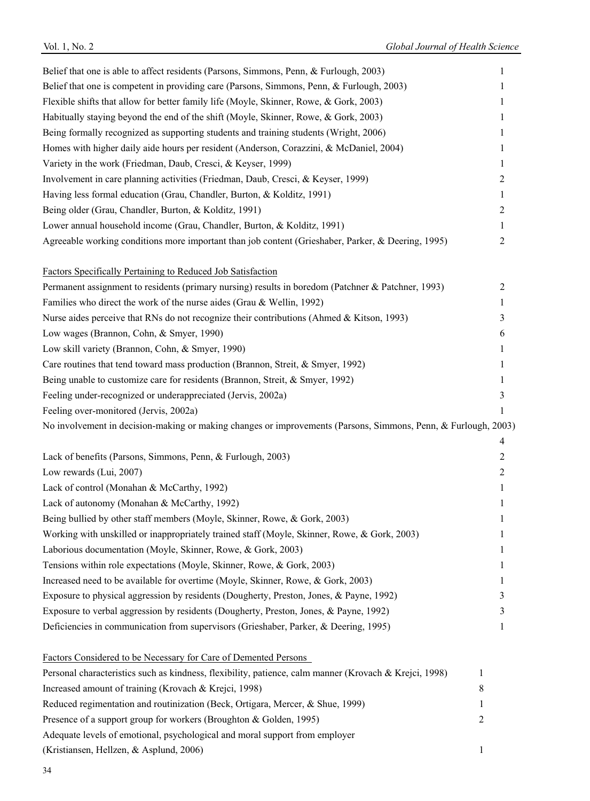| Belief that one is able to affect residents (Parsons, Simmons, Penn, & Furlough, 2003)                         | 1            |
|----------------------------------------------------------------------------------------------------------------|--------------|
| Belief that one is competent in providing care (Parsons, Simmons, Penn, & Furlough, 2003)                      | 1            |
| Flexible shifts that allow for better family life (Moyle, Skinner, Rowe, & Gork, 2003)                         | 1            |
| Habitually staying beyond the end of the shift (Moyle, Skinner, Rowe, & Gork, 2003)                            | 1            |
| Being formally recognized as supporting students and training students (Wright, 2006)                          | 1            |
| Homes with higher daily aide hours per resident (Anderson, Corazzini, & McDaniel, 2004)                        | 1            |
| Variety in the work (Friedman, Daub, Cresci, & Keyser, 1999)                                                   | 1            |
| Involvement in care planning activities (Friedman, Daub, Cresci, & Keyser, 1999)                               | 2            |
| Having less formal education (Grau, Chandler, Burton, & Kolditz, 1991)                                         | 1            |
| Being older (Grau, Chandler, Burton, & Kolditz, 1991)                                                          | 2            |
| Lower annual household income (Grau, Chandler, Burton, & Kolditz, 1991)                                        | 1            |
| Agreeable working conditions more important than job content (Grieshaber, Parker, & Deering, 1995)             | 2            |
| Factors Specifically Pertaining to Reduced Job Satisfaction                                                    |              |
| Permanent assignment to residents (primary nursing) results in boredom (Patchner & Patchner, 1993)             | 2            |
| Families who direct the work of the nurse aides (Grau & Wellin, 1992)                                          | 1            |
| Nurse aides perceive that RNs do not recognize their contributions (Ahmed & Kitson, 1993)                      | 3            |
| Low wages (Brannon, Cohn, & Smyer, 1990)                                                                       | 6            |
| Low skill variety (Brannon, Cohn, & Smyer, 1990)                                                               | 1            |
| Care routines that tend toward mass production (Brannon, Streit, & Smyer, 1992)                                | 1            |
| Being unable to customize care for residents (Brannon, Streit, & Smyer, 1992)                                  | 1            |
| Feeling under-recognized or underappreciated (Jervis, 2002a)                                                   | 3            |
| Feeling over-monitored (Jervis, 2002a)                                                                         | 1            |
| No involvement in decision-making or making changes or improvements (Parsons, Simmons, Penn, & Furlough, 2003) |              |
|                                                                                                                |              |
|                                                                                                                | 4            |
| Lack of benefits (Parsons, Simmons, Penn, & Furlough, 2003)                                                    | 2            |
| Low rewards (Lui, 2007)                                                                                        | 2            |
| Lack of control (Monahan & McCarthy, 1992)                                                                     | 1            |
| Lack of autonomy (Monahan & McCarthy, 1992)                                                                    | 1            |
| Being bullied by other staff members (Moyle, Skinner, Rowe, & Gork, 2003)                                      | 1            |
| Working with unskilled or inappropriately trained staff (Moyle, Skinner, Rowe, & Gork, 2003)                   | 1            |
| Laborious documentation (Moyle, Skinner, Rowe, & Gork, 2003)                                                   | $\mathbf{I}$ |
| Tensions within role expectations (Moyle, Skinner, Rowe, & Gork, 2003)                                         |              |
| Increased need to be available for overtime (Moyle, Skinner, Rowe, & Gork, 2003)                               | 1            |
| Exposure to physical aggression by residents (Dougherty, Preston, Jones, & Payne, 1992)                        | 3            |
| Exposure to verbal aggression by residents (Dougherty, Preston, Jones, & Payne, 1992)                          | 3            |
| Deficiencies in communication from supervisors (Grieshaber, Parker, & Deering, 1995)                           | 1            |
| Factors Considered to be Necessary for Care of Demented Persons                                                |              |
| Personal characteristics such as kindness, flexibility, patience, calm manner (Krovach & Krejci, 1998)         | 1            |
| Increased amount of training (Krovach & Krejci, 1998)                                                          | 8            |
| Reduced regimentation and routinization (Beck, Ortigara, Mercer, & Shue, 1999)                                 | 1            |
| Presence of a support group for workers (Broughton & Golden, 1995)                                             | 2            |
| Adequate levels of emotional, psychological and moral support from employer                                    |              |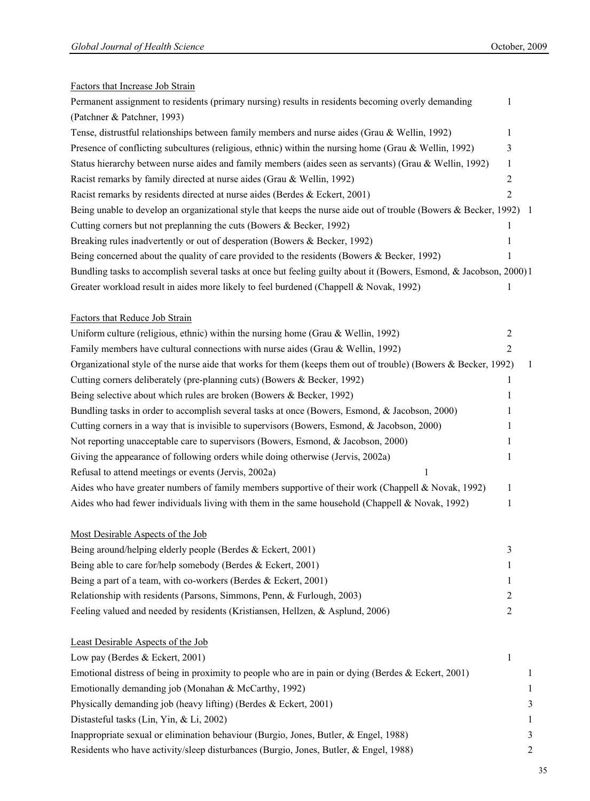# Factors that Increase Job Strain

| Permanent assignment to residents (primary nursing) results in residents becoming overly demanding                 | 1              |    |
|--------------------------------------------------------------------------------------------------------------------|----------------|----|
| (Patchner & Patchner, 1993)                                                                                        |                |    |
| Tense, distrustful relationships between family members and nurse aides (Grau & Wellin, 1992)                      | 1              |    |
| Presence of conflicting subcultures (religious, ethnic) within the nursing home (Grau & Wellin, 1992)              | 3              |    |
| Status hierarchy between nurse aides and family members (aides seen as servants) (Grau & Wellin, 1992)             | 1              |    |
| Racist remarks by family directed at nurse aides (Grau & Wellin, 1992)                                             | 2              |    |
| Racist remarks by residents directed at nurse aides (Berdes & Eckert, 2001)                                        | 2              |    |
| Being unable to develop an organizational style that keeps the nurse aide out of trouble (Bowers & Becker, 1992) 1 |                |    |
| Cutting corners but not preplanning the cuts (Bowers & Becker, 1992)                                               | 1              |    |
| Breaking rules inadvertently or out of desperation (Bowers & Becker, 1992)                                         | 1              |    |
| Being concerned about the quality of care provided to the residents (Bowers & Becker, 1992)                        | 1              |    |
| Bundling tasks to accomplish several tasks at once but feeling guilty about it (Bowers, Esmond, & Jacobson, 2000)1 |                |    |
| Greater workload result in aides more likely to feel burdened (Chappell & Novak, 1992)                             | 1              |    |
| Factors that Reduce Job Strain                                                                                     |                |    |
| Uniform culture (religious, ethnic) within the nursing home (Grau & Wellin, 1992)                                  | $\overline{2}$ |    |
| Family members have cultural connections with nurse aides (Grau & Wellin, 1992)                                    | 2              |    |
| Organizational style of the nurse aide that works for them (keeps them out of trouble) (Bowers & Becker, 1992)     |                | -1 |
| Cutting corners deliberately (pre-planning cuts) (Bowers & Becker, 1992)                                           | 1              |    |
| Being selective about which rules are broken (Bowers & Becker, 1992)                                               | 1              |    |
| Bundling tasks in order to accomplish several tasks at once (Bowers, Esmond, & Jacobson, 2000)                     | 1              |    |
| Cutting corners in a way that is invisible to supervisors (Bowers, Esmond, & Jacobson, 2000)                       | 1              |    |
| Not reporting unacceptable care to supervisors (Bowers, Esmond, & Jacobson, 2000)                                  | 1              |    |
| Giving the appearance of following orders while doing otherwise (Jervis, 2002a)                                    | 1              |    |
| Refusal to attend meetings or events (Jervis, 2002a)<br>1                                                          |                |    |
| Aides who have greater numbers of family members supportive of their work (Chappell & Novak, 1992)                 | 1              |    |
| Aides who had fewer individuals living with them in the same household (Chappell & Novak, 1992)                    | 1              |    |
| Most Desirable Aspects of the Job                                                                                  |                |    |
| Being around/helping elderly people (Berdes & Eckert, 2001)                                                        | 3              |    |
| Being able to care for/help somebody (Berdes & Eckert, 2001)                                                       | 1              |    |
| Being a part of a team, with co-workers (Berdes $& Eckert, 2001$ )                                                 | 1              |    |
| Relationship with residents (Parsons, Simmons, Penn, & Furlough, 2003)                                             | 2              |    |
| Feeling valued and needed by residents (Kristiansen, Hellzen, & Asplund, 2006)                                     | $\overline{2}$ |    |
| Least Desirable Aspects of the Job                                                                                 |                |    |
| Low pay (Berdes & Eckert, 2001)                                                                                    | 1              |    |
| Emotional distress of being in proximity to people who are in pain or dying (Berdes & Eckert, 2001)                |                | 1  |
| Emotionally demanding job (Monahan & McCarthy, 1992)                                                               |                | 1  |
| Physically demanding job (heavy lifting) (Berdes & Eckert, 2001)                                                   |                | 3  |
| Distasteful tasks (Lin, Yin, & Li, 2002)                                                                           |                | 1  |

Inappropriate sexual or elimination behaviour (Burgio, Jones, Butler, & Engel, 1988) 3 Residents who have activity/sleep disturbances (Burgio, Jones, Butler, & Engel, 1988) 2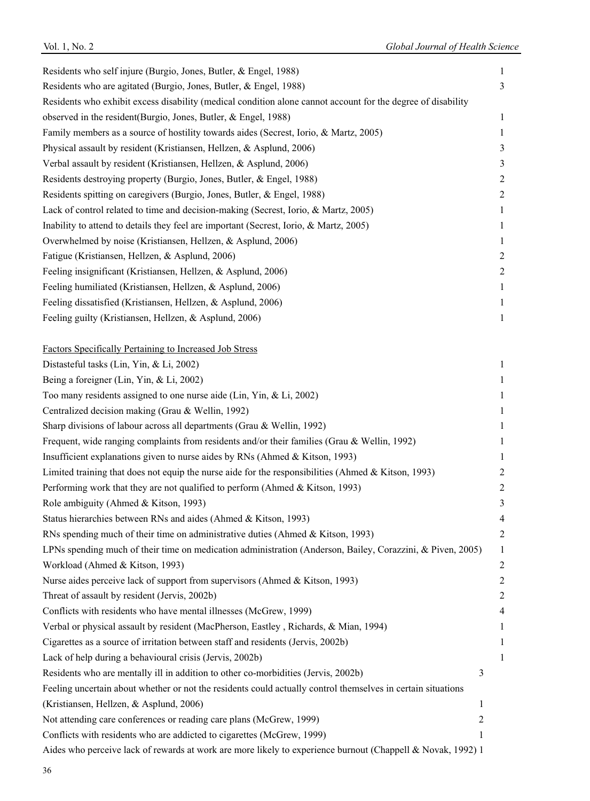| Residents who self injure (Burgio, Jones, Butler, & Engel, 1988)                                             | 1                |
|--------------------------------------------------------------------------------------------------------------|------------------|
| Residents who are agitated (Burgio, Jones, Butler, & Engel, 1988)                                            | 3                |
| Residents who exhibit excess disability (medical condition alone cannot account for the degree of disability |                  |
| observed in the resident(Burgio, Jones, Butler, & Engel, 1988)                                               | 1                |
| Family members as a source of hostility towards aides (Secrest, Iorio, & Martz, 2005)                        | 1                |
| Physical assault by resident (Kristiansen, Hellzen, & Asplund, 2006)                                         | 3                |
| Verbal assault by resident (Kristiansen, Hellzen, & Asplund, 2006)                                           | 3                |
| Residents destroying property (Burgio, Jones, Butler, & Engel, 1988)                                         | $\overline{c}$   |
| Residents spitting on caregivers (Burgio, Jones, Butler, & Engel, 1988)                                      | $\boldsymbol{2}$ |
| Lack of control related to time and decision-making (Secrest, Iorio, & Martz, 2005)                          | 1                |
| Inability to attend to details they feel are important (Secrest, Iorio, & Martz, 2005)                       | 1                |
| Overwhelmed by noise (Kristiansen, Hellzen, & Asplund, 2006)                                                 | 1                |
| Fatigue (Kristiansen, Hellzen, & Asplund, 2006)                                                              | $\overline{2}$   |
| Feeling insignificant (Kristiansen, Hellzen, & Asplund, 2006)                                                | $\overline{c}$   |
| Feeling humiliated (Kristiansen, Hellzen, & Asplund, 2006)                                                   | 1                |
| Feeling dissatisfied (Kristiansen, Hellzen, & Asplund, 2006)                                                 | 1                |
| Feeling guilty (Kristiansen, Hellzen, & Asplund, 2006)                                                       | $\mathbf{1}$     |
| Factors Specifically Pertaining to Increased Job Stress                                                      |                  |
| Distasteful tasks (Lin, Yin, & Li, 2002)                                                                     | 1                |
| Being a foreigner (Lin, Yin, & Li, 2002)                                                                     | $\mathbf{1}$     |
| Too many residents assigned to one nurse aide (Lin, Yin, & Li, 2002)                                         | 1                |
| Centralized decision making (Grau & Wellin, 1992)                                                            | 1                |
| Sharp divisions of labour across all departments (Grau & Wellin, 1992)                                       | 1                |
| Frequent, wide ranging complaints from residents and/or their families (Grau & Wellin, 1992)                 | 1                |
| Insufficient explanations given to nurse aides by RNs (Ahmed & Kitson, 1993)                                 | 1                |
| Limited training that does not equip the nurse aide for the responsibilities (Ahmed & Kitson, 1993)          | $\overline{c}$   |
| Performing work that they are not qualified to perform (Ahmed & Kitson, 1993)                                | $\overline{c}$   |
| Role ambiguity (Ahmed & Kitson, 1993)                                                                        | 3                |
| Status hierarchies between RNs and aides (Ahmed & Kitson, 1993)                                              | 4                |
| RNs spending much of their time on administrative duties (Ahmed & Kitson, 1993)                              | 2                |
| LPNs spending much of their time on medication administration (Anderson, Bailey, Corazzini, & Piven, 2005)   | 1                |
| Workload (Ahmed & Kitson, 1993)                                                                              | $\boldsymbol{2}$ |
| Nurse aides perceive lack of support from supervisors (Ahmed & Kitson, 1993)                                 | $\boldsymbol{2}$ |
| Threat of assault by resident (Jervis, 2002b)                                                                | $\overline{c}$   |
| Conflicts with residents who have mental illnesses (McGrew, 1999)                                            | 4                |
| Verbal or physical assault by resident (MacPherson, Eastley, Richards, & Mian, 1994)                         | 1                |
| Cigarettes as a source of irritation between staff and residents (Jervis, 2002b)                             | 1                |
| Lack of help during a behavioural crisis (Jervis, 2002b)                                                     | 1                |
| Residents who are mentally ill in addition to other co-morbidities (Jervis, 2002b)<br>3                      |                  |
| Feeling uncertain about whether or not the residents could actually control themselves in certain situations |                  |
| (Kristiansen, Hellzen, & Asplund, 2006)<br>1                                                                 |                  |
| Not attending care conferences or reading care plans (McGrew, 1999)<br>2                                     |                  |
| Conflicts with residents who are addicted to cigarettes (McGrew, 1999)<br>1                                  |                  |
| Aides who perceive lack of rewards at work are more likely to experience burnout (Chappell & Novak, 1992) 1  |                  |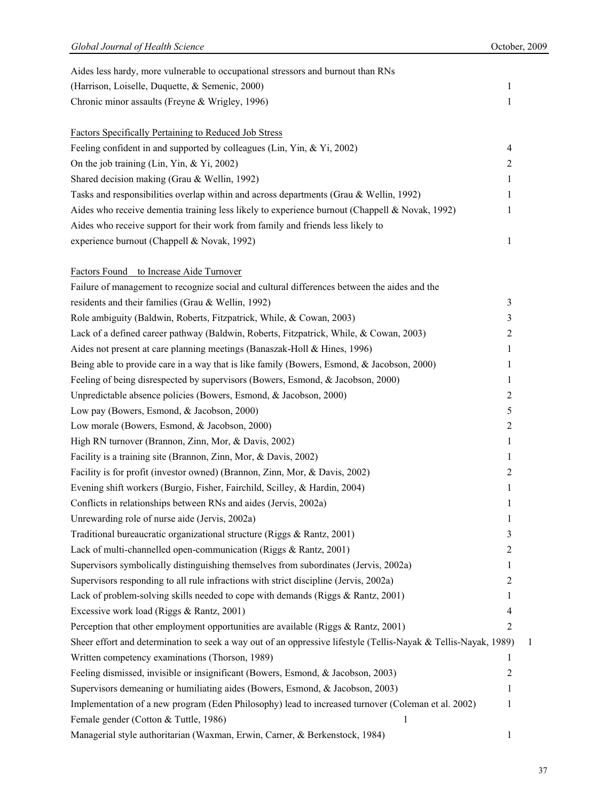| Aides less hardy, more vulnerable to occupational stressors and burnout than RNs                                |   |              |
|-----------------------------------------------------------------------------------------------------------------|---|--------------|
| (Harrison, Loiselle, Duquette, & Semenic, 2000)                                                                 | 1 |              |
| Chronic minor assaults (Freyne & Wrigley, 1996)                                                                 | 1 |              |
| <b>Factors Specifically Pertaining to Reduced Job Stress</b>                                                    |   |              |
| Feeling confident in and supported by colleagues (Lin, Yin, & Yi, 2002)                                         | 4 |              |
| On the job training (Lin, Yin, & Yi, 2002)                                                                      | 2 |              |
| Shared decision making (Grau & Wellin, 1992)                                                                    | 1 |              |
| Tasks and responsibilities overlap within and across departments (Grau & Wellin, 1992)                          | 1 |              |
| Aides who receive dementia training less likely to experience burnout (Chappell & Novak, 1992)                  | 1 |              |
| Aides who receive support for their work from family and friends less likely to                                 |   |              |
| experience burnout (Chappell & Novak, 1992)                                                                     | 1 |              |
| Factors Found to Increase Aide Turnover                                                                         |   |              |
| Failure of management to recognize social and cultural differences between the aides and the                    |   |              |
| residents and their families (Grau & Wellin, 1992)                                                              | 3 |              |
| Role ambiguity (Baldwin, Roberts, Fitzpatrick, While, & Cowan, 2003)                                            | 3 |              |
| Lack of a defined career pathway (Baldwin, Roberts, Fitzpatrick, While, & Cowan, 2003)                          | 2 |              |
| Aides not present at care planning meetings (Banaszak-Holl & Hines, 1996)                                       | 1 |              |
| Being able to provide care in a way that is like family (Bowers, Esmond, & Jacobson, 2000)                      | 1 |              |
| Feeling of being disrespected by supervisors (Bowers, Esmond, & Jacobson, 2000)                                 | 1 |              |
| Unpredictable absence policies (Bowers, Esmond, & Jacobson, 2000)                                               | 2 |              |
| Low pay (Bowers, Esmond, & Jacobson, 2000)                                                                      | 5 |              |
| Low morale (Bowers, Esmond, & Jacobson, 2000)                                                                   | 2 |              |
| High RN turnover (Brannon, Zinn, Mor, & Davis, 2002)                                                            | 1 |              |
| Facility is a training site (Brannon, Zinn, Mor, & Davis, 2002)                                                 | 1 |              |
| Facility is for profit (investor owned) (Brannon, Zinn, Mor, & Davis, 2002)                                     | 2 |              |
| Evening shift workers (Burgio, Fisher, Fairchild, Scilley, & Hardin, 2004)                                      | 1 |              |
| Conflicts in relationships between RNs and aides (Jervis, 2002a)                                                | 1 |              |
| Unrewarding role of nurse aide (Jervis, 2002a)                                                                  | 1 |              |
| Traditional bureaucratic organizational structure (Riggs & Rantz, 2001)                                         | 3 |              |
| Lack of multi-channelled open-communication (Riggs & Rantz, 2001)                                               | 2 |              |
| Supervisors symbolically distinguishing themselves from subordinates (Jervis, 2002a)                            | 1 |              |
| Supervisors responding to all rule infractions with strict discipline (Jervis, 2002a)                           | 2 |              |
| Lack of problem-solving skills needed to cope with demands (Riggs & Rantz, 2001)                                | 1 |              |
| Excessive work load (Riggs & Rantz, 2001)                                                                       | 4 |              |
| Perception that other employment opportunities are available (Riggs & Rantz, 2001)                              | 2 |              |
| Sheer effort and determination to seek a way out of an oppressive lifestyle (Tellis-Nayak & Tellis-Nayak, 1989) |   | $\mathbf{I}$ |
| Written competency examinations (Thorson, 1989)                                                                 | 1 |              |
| Feeling dismissed, invisible or insignificant (Bowers, Esmond, & Jacobson, 2003)                                | 2 |              |
| Supervisors demeaning or humiliating aides (Bowers, Esmond, & Jacobson, 2003)                                   | 1 |              |
| Implementation of a new program (Eden Philosophy) lead to increased turnover (Coleman et al. 2002)              | 1 |              |
| Female gender (Cotton & Tuttle, 1986)<br>1                                                                      |   |              |
| Managerial style authoritarian (Waxman, Erwin, Carner, & Berkenstock, 1984)                                     | 1 |              |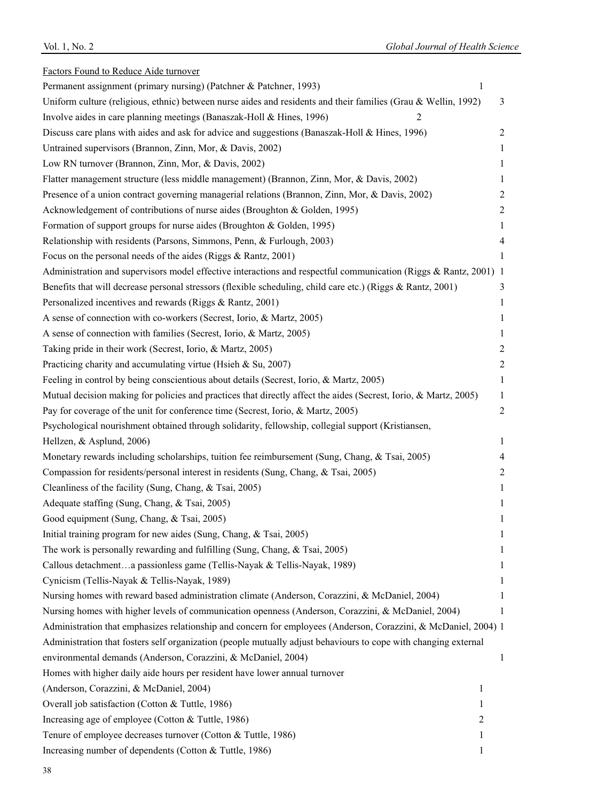| Factors Found to Reduce Aide turnover                                                                            |                  |
|------------------------------------------------------------------------------------------------------------------|------------------|
| Permanent assignment (primary nursing) (Patchner & Patchner, 1993)<br>1                                          |                  |
| Uniform culture (religious, ethnic) between nurse aides and residents and their families (Grau & Wellin, 1992)   | 3                |
| Involve aides in care planning meetings (Banaszak-Holl & Hines, 1996)<br>2                                       |                  |
| Discuss care plans with aides and ask for advice and suggestions (Banaszak-Holl & Hines, 1996)                   | $\boldsymbol{2}$ |
| Untrained supervisors (Brannon, Zinn, Mor, & Davis, 2002)                                                        | 1                |
| Low RN turnover (Brannon, Zinn, Mor, & Davis, 2002)                                                              | 1                |
| Flatter management structure (less middle management) (Brannon, Zinn, Mor, & Davis, 2002)                        | 1                |
| Presence of a union contract governing managerial relations (Brannon, Zinn, Mor, & Davis, 2002)                  | 2                |
| Acknowledgement of contributions of nurse aides (Broughton & Golden, 1995)                                       | $\overline{2}$   |
| Formation of support groups for nurse aides (Broughton & Golden, 1995)                                           | 1                |
| Relationship with residents (Parsons, Simmons, Penn, & Furlough, 2003)                                           | 4                |
| Focus on the personal needs of the aides (Riggs & Rantz, 2001)                                                   | 1                |
| Administration and supervisors model effective interactions and respectful communication (Riggs & Rantz, 2001) 1 |                  |
| Benefits that will decrease personal stressors (flexible scheduling, child care etc.) (Riggs & Rantz, 2001)      | 3                |
| Personalized incentives and rewards (Riggs & Rantz, 2001)                                                        | 1                |
| A sense of connection with co-workers (Secrest, Iorio, & Martz, 2005)                                            | 1                |
| A sense of connection with families (Secrest, Iorio, & Martz, 2005)                                              | 1                |
| Taking pride in their work (Secrest, Iorio, & Martz, 2005)                                                       | 2                |
| Practicing charity and accumulating virtue (Hsieh & Su, 2007)                                                    | $\sqrt{2}$       |
| Feeling in control by being conscientious about details (Secrest, Iorio, & Martz, 2005)                          | 1                |
| Mutual decision making for policies and practices that directly affect the aides (Secrest, Iorio, & Martz, 2005) | 1                |
| Pay for coverage of the unit for conference time (Secrest, Iorio, & Martz, 2005)                                 | $\overline{c}$   |
| Psychological nourishment obtained through solidarity, fellowship, collegial support (Kristiansen,               |                  |
| Hellzen, & Asplund, 2006)                                                                                        | 1                |
| Monetary rewards including scholarships, tuition fee reimbursement (Sung, Chang, & Tsai, 2005)                   | 4                |
| Compassion for residents/personal interest in residents (Sung, Chang, & Tsai, 2005)                              | 2                |
| Cleanliness of the facility (Sung, Chang, & Tsai, 2005)                                                          | $\mathbf{1}$     |
| Adequate staffing (Sung, Chang, & Tsai, 2005)                                                                    | 1                |
| Good equipment (Sung, Chang, & Tsai, 2005)                                                                       | 1                |
| Initial training program for new aides (Sung, Chang, & Tsai, 2005)                                               | 1                |
| The work is personally rewarding and fulfilling (Sung, Chang, & Tsai, 2005)                                      | 1                |
| Callous detachmenta passionless game (Tellis-Nayak & Tellis-Nayak, 1989)                                         | 1                |
| Cynicism (Tellis-Nayak & Tellis-Nayak, 1989)                                                                     | 1                |
| Nursing homes with reward based administration climate (Anderson, Corazzini, & McDaniel, 2004)                   | 1                |
| Nursing homes with higher levels of communication openness (Anderson, Corazzini, & McDaniel, 2004)               | 1                |
| Administration that emphasizes relationship and concern for employees (Anderson, Corazzini, & McDaniel, 2004) 1  |                  |
| Administration that fosters self organization (people mutually adjust behaviours to cope with changing external  |                  |
| environmental demands (Anderson, Corazzini, & McDaniel, 2004)                                                    | 1                |
| Homes with higher daily aide hours per resident have lower annual turnover                                       |                  |
| (Anderson, Corazzini, & McDaniel, 2004)<br>1                                                                     |                  |
| Overall job satisfaction (Cotton & Tuttle, 1986)<br>1                                                            |                  |
| Increasing age of employee (Cotton & Tuttle, 1986)<br>2                                                          |                  |
| Tenure of employee decreases turnover (Cotton & Tuttle, 1986)<br>1                                               |                  |
| Increasing number of dependents (Cotton & Tuttle, 1986)<br>1                                                     |                  |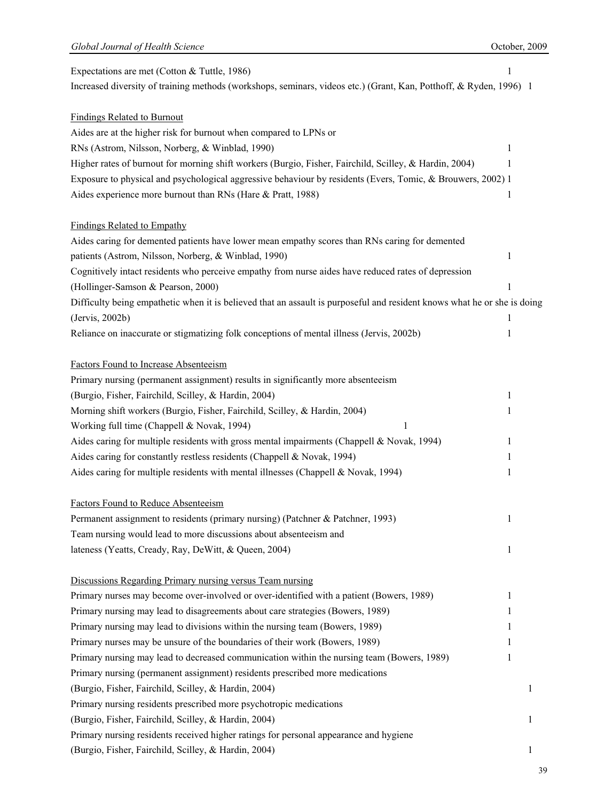| Expectations are met (Cotton & Tuttle, 1986)                                                                             |   |   |
|--------------------------------------------------------------------------------------------------------------------------|---|---|
| Increased diversity of training methods (workshops, seminars, videos etc.) (Grant, Kan, Potthoff, & Ryden, 1996) 1       |   |   |
|                                                                                                                          |   |   |
| <b>Findings Related to Burnout</b>                                                                                       |   |   |
| Aides are at the higher risk for burnout when compared to LPNs or                                                        |   |   |
| RNs (Astrom, Nilsson, Norberg, & Winblad, 1990)                                                                          | 1 |   |
| Higher rates of burnout for morning shift workers (Burgio, Fisher, Fairchild, Scilley, & Hardin, 2004)                   | 1 |   |
|                                                                                                                          |   |   |
| Exposure to physical and psychological aggressive behaviour by residents (Evers, Tomic, & Brouwers, 2002) 1              |   |   |
| Aides experience more burnout than RNs (Hare & Pratt, 1988)                                                              | 1 |   |
|                                                                                                                          |   |   |
| <b>Findings Related to Empathy</b>                                                                                       |   |   |
| Aides caring for demented patients have lower mean empathy scores than RNs caring for demented                           |   |   |
| patients (Astrom, Nilsson, Norberg, & Winblad, 1990)                                                                     | 1 |   |
| Cognitively intact residents who perceive empathy from nurse aides have reduced rates of depression                      |   |   |
| (Hollinger-Samson & Pearson, 2000)                                                                                       | 1 |   |
| Difficulty being empathetic when it is believed that an assault is purposeful and resident knows what he or she is doing |   |   |
| (Jervis, 2002b)                                                                                                          | 1 |   |
| Reliance on inaccurate or stigmatizing folk conceptions of mental illness (Jervis, 2002b)                                | 1 |   |
|                                                                                                                          |   |   |
| <b>Factors Found to Increase Absenteeism</b>                                                                             |   |   |
| Primary nursing (permanent assignment) results in significantly more absenteeism                                         |   |   |
| (Burgio, Fisher, Fairchild, Scilley, & Hardin, 2004)                                                                     | 1 |   |
| Morning shift workers (Burgio, Fisher, Fairchild, Scilley, & Hardin, 2004)                                               | 1 |   |
| Working full time (Chappell & Novak, 1994)<br>1                                                                          |   |   |
| Aides caring for multiple residents with gross mental impairments (Chappell & Novak, 1994)                               | 1 |   |
| Aides caring for constantly restless residents (Chappell & Novak, 1994)                                                  | 1 |   |
| Aides caring for multiple residents with mental illnesses (Chappell & Novak, 1994)                                       | 1 |   |
|                                                                                                                          |   |   |
| <b>Factors Found to Reduce Absenteeism</b>                                                                               |   |   |
| Permanent assignment to residents (primary nursing) (Patchner & Patchner, 1993)                                          | 1 |   |
| Team nursing would lead to more discussions about absenteeism and                                                        |   |   |
|                                                                                                                          |   |   |
| lateness (Yeatts, Cready, Ray, DeWitt, & Queen, 2004)                                                                    | 1 |   |
| Discussions Regarding Primary nursing versus Team nursing                                                                |   |   |
| Primary nurses may become over-involved or over-identified with a patient (Bowers, 1989)                                 |   |   |
|                                                                                                                          | 1 |   |
| Primary nursing may lead to disagreements about care strategies (Bowers, 1989)                                           | 1 |   |
| Primary nursing may lead to divisions within the nursing team (Bowers, 1989)                                             | 1 |   |
| Primary nurses may be unsure of the boundaries of their work (Bowers, 1989)                                              | 1 |   |
| Primary nursing may lead to decreased communication within the nursing team (Bowers, 1989)                               | 1 |   |
| Primary nursing (permanent assignment) residents prescribed more medications                                             |   |   |
| (Burgio, Fisher, Fairchild, Scilley, & Hardin, 2004)                                                                     |   | 1 |
| Primary nursing residents prescribed more psychotropic medications                                                       |   |   |
| (Burgio, Fisher, Fairchild, Scilley, & Hardin, 2004)                                                                     |   | 1 |
| Primary nursing residents received higher ratings for personal appearance and hygiene                                    |   |   |
| (Burgio, Fisher, Fairchild, Scilley, & Hardin, 2004)                                                                     |   | 1 |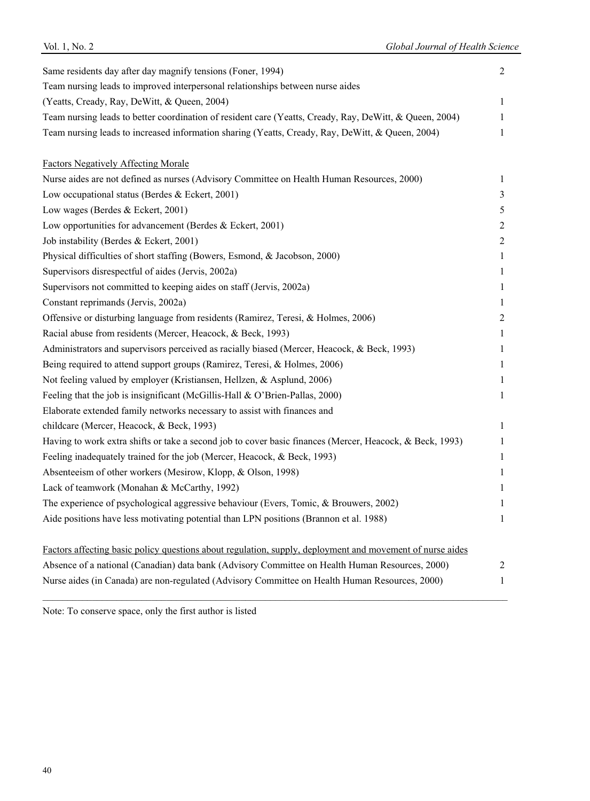| Same residents day after day magnify tensions (Foner, 1994)                                               |  |
|-----------------------------------------------------------------------------------------------------------|--|
| Team nursing leads to improved interpersonal relationships between nurse aides                            |  |
| (Yeatts, Cready, Ray, DeWitt, & Queen, 2004)                                                              |  |
| Team nursing leads to better coordination of resident care (Yeatts, Cready, Ray, DeWitt, & Queen, 2004)   |  |
| Team nursing leads to increased information sharing (Yeatts, Cready, Ray, DeWitt, & Queen, 2004)          |  |
| <b>Factors Negatively Affecting Morale</b>                                                                |  |
| Nurse aides are not defined as nurses (Advisory Committee on Health Human Resources, 2000)                |  |
| Low occupational status (Berdes & Eckert, 2001)                                                           |  |
| Low wages (Berdes & Eckert, 2001)                                                                         |  |
| Low opportunities for advancement (Berdes & Eckert, 2001)                                                 |  |
| Job instability (Berdes & Eckert, 2001)                                                                   |  |
| Physical difficulties of short staffing (Bowers, Esmond, & Jacobson, 2000)                                |  |
| Supervisors disrespectful of aides (Jervis, 2002a)                                                        |  |
| Supervisors not committed to keeping aides on staff (Jervis, 2002a)                                       |  |
| Constant reprimands (Jervis, 2002a)                                                                       |  |
| Offensive or disturbing language from residents (Ramirez, Teresi, & Holmes, 2006)                         |  |
| Racial abuse from residents (Mercer, Heacock, & Beck, 1993)                                               |  |
| Administrators and supervisors perceived as racially biased (Mercer, Heacock, & Beck, 1993)               |  |
| Being required to attend support groups (Ramirez, Teresi, & Holmes, 2006)                                 |  |
| Not feeling valued by employer (Kristiansen, Hellzen, & Asplund, 2006)                                    |  |
| Feeling that the job is insignificant (McGillis-Hall & O'Brien-Pallas, 2000)                              |  |
| Elaborate extended family networks necessary to assist with finances and                                  |  |
| childcare (Mercer, Heacock, & Beck, 1993)                                                                 |  |
| Having to work extra shifts or take a second job to cover basic finances (Mercer, Heacock, & Beck, 1993)  |  |
| Feeling inadequately trained for the job (Mercer, Heacock, & Beck, 1993)                                  |  |
| Absenteeism of other workers (Mesirow, Klopp, & Olson, 1998)                                              |  |
| Lack of teamwork (Monahan & McCarthy, 1992)                                                               |  |
| The experience of psychological aggressive behaviour (Evers, Tomic, & Brouwers, 2002)                     |  |
| Aide positions have less motivating potential than LPN positions (Brannon et al. 1988)                    |  |
| Factors affecting basic policy questions about regulation, supply, deployment and movement of nurse aides |  |
| Absence of a national (Canadian) data bank (Advisory Committee on Health Human Resources, 2000)           |  |
| Nurse aides (in Canada) are non-regulated (Advisory Committee on Health Human Resources, 2000)            |  |

\_\_\_\_\_\_\_\_\_\_\_\_\_\_\_\_\_\_\_\_\_\_\_\_\_\_\_\_\_\_\_\_\_\_\_\_\_\_\_\_\_\_\_\_\_\_\_\_\_\_\_\_\_\_\_\_\_\_\_\_\_\_\_\_\_\_\_\_\_\_\_\_\_\_\_\_\_\_\_\_\_\_\_\_\_\_\_\_\_\_\_\_\_\_

Vol. 1, No. 2 *Global Journal of Health Science*

Note: To conserve space, only the first author is listed